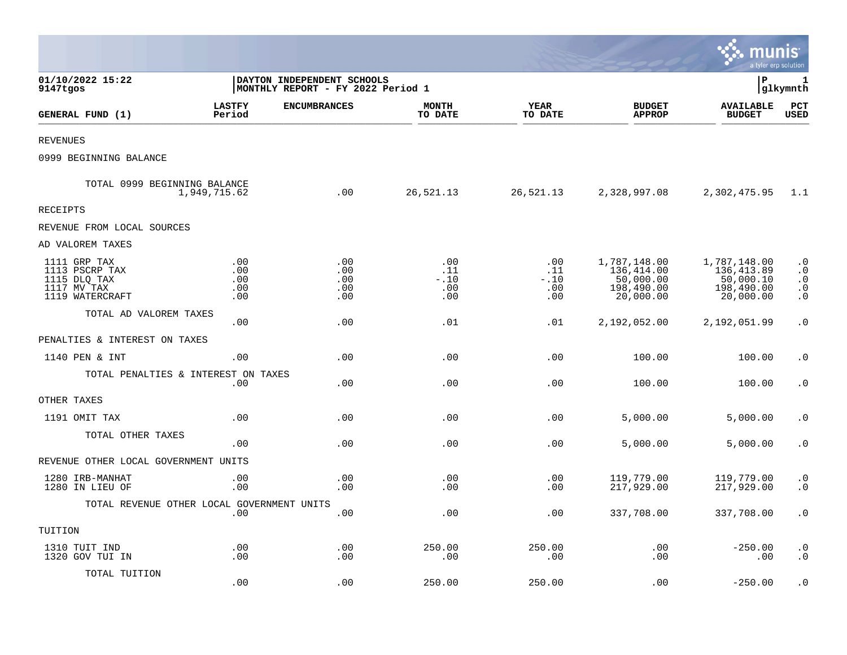|                                                                                  |                                 |                                                                  |                                    |                                         |                                                                    | munis<br>a tyler erp solution                                       |                                                                            |
|----------------------------------------------------------------------------------|---------------------------------|------------------------------------------------------------------|------------------------------------|-----------------------------------------|--------------------------------------------------------------------|---------------------------------------------------------------------|----------------------------------------------------------------------------|
| 01/10/2022 15:22<br>9147tgos                                                     |                                 | DAYTON INDEPENDENT SCHOOLS<br> MONTHLY REPORT - FY 2022 Period 1 |                                    |                                         |                                                                    | lР                                                                  | 1<br> glkymnth                                                             |
| GENERAL FUND (1)                                                                 | <b>LASTFY</b><br>Period         | <b>ENCUMBRANCES</b>                                              | <b>MONTH</b><br>TO DATE            | <b>YEAR</b><br>TO DATE                  | <b>BUDGET</b><br><b>APPROP</b>                                     | <b>AVAILABLE</b><br><b>BUDGET</b>                                   | PCT<br><b>USED</b>                                                         |
| <b>REVENUES</b>                                                                  |                                 |                                                                  |                                    |                                         |                                                                    |                                                                     |                                                                            |
| 0999 BEGINNING BALANCE                                                           |                                 |                                                                  |                                    |                                         |                                                                    |                                                                     |                                                                            |
| TOTAL 0999 BEGINNING BALANCE                                                     | 1,949,715.62                    | .00                                                              | 26,521.13                          | 26,521.13                               | 2,328,997.08                                                       | 2,302,475.95                                                        | 1.1                                                                        |
| RECEIPTS                                                                         |                                 |                                                                  |                                    |                                         |                                                                    |                                                                     |                                                                            |
| REVENUE FROM LOCAL SOURCES                                                       |                                 |                                                                  |                                    |                                         |                                                                    |                                                                     |                                                                            |
| AD VALOREM TAXES                                                                 |                                 |                                                                  |                                    |                                         |                                                                    |                                                                     |                                                                            |
| 1111 GRP TAX<br>1113 PSCRP TAX<br>1115 DLQ TAX<br>1117 MV TAX<br>1119 WATERCRAFT | .00<br>.00<br>.00<br>.00<br>.00 | .00<br>.00<br>.00<br>.00<br>.00                                  | .00<br>.11<br>$-.10$<br>.00<br>.00 | $.00 \,$<br>.11<br>$-.10$<br>.00<br>.00 | 1,787,148.00<br>136,414.00<br>50,000.00<br>198,490.00<br>20,000.00 | 1,787,148.00<br>136, 413.89<br>50,000.10<br>198,490.00<br>20,000.00 | $\boldsymbol{\cdot}$ 0<br>$\cdot$ 0<br>$\cdot$ 0<br>$\cdot$ 0<br>$\cdot$ 0 |
| TOTAL AD VALOREM TAXES                                                           | .00                             | .00                                                              | .01                                | .01                                     | 2,192,052.00                                                       | 2,192,051.99                                                        | $\boldsymbol{\cdot}$ 0                                                     |
| PENALTIES & INTEREST ON TAXES                                                    |                                 |                                                                  |                                    |                                         |                                                                    |                                                                     |                                                                            |
| 1140 PEN & INT                                                                   | .00                             | .00                                                              | .00                                | .00                                     | 100.00                                                             | 100.00                                                              | $\cdot$ 0                                                                  |
| TOTAL PENALTIES & INTEREST ON TAXES                                              | .00                             | .00                                                              | .00                                | .00                                     | 100.00                                                             | 100.00                                                              | $\cdot$ 0                                                                  |
| OTHER TAXES                                                                      |                                 |                                                                  |                                    |                                         |                                                                    |                                                                     |                                                                            |
| 1191 OMIT TAX                                                                    | .00                             | .00                                                              | .00                                | .00                                     | 5,000.00                                                           | 5,000.00                                                            | $\cdot$ 0                                                                  |
| TOTAL OTHER TAXES                                                                | .00                             | .00                                                              | .00                                | .00                                     | 5,000.00                                                           | 5,000.00                                                            | $\cdot$ 0                                                                  |
| REVENUE OTHER LOCAL GOVERNMENT UNITS                                             |                                 |                                                                  |                                    |                                         |                                                                    |                                                                     |                                                                            |
| 1280 IRB-MANHAT<br>1280 IN LIEU OF                                               | .00<br>.00                      | .00<br>.00                                                       | .00<br>.00                         | .00<br>.00                              | 119,779.00<br>217,929.00                                           | 119,779.00<br>217,929.00                                            | $\cdot$ 0<br>$\cdot$ 0                                                     |
| TOTAL REVENUE OTHER LOCAL GOVERNMENT UNITS                                       | .00                             | .00                                                              | .00                                | .00                                     | 337,708.00                                                         | 337,708.00                                                          | $\cdot$ 0                                                                  |
| TUITION                                                                          |                                 |                                                                  |                                    |                                         |                                                                    |                                                                     |                                                                            |
| 1310 TUIT IND<br>1320 GOV TUI IN                                                 | .00<br>.00                      | .00<br>.00                                                       | 250.00<br>.00                      | 250.00<br>.00                           | .00<br>.00                                                         | $-250.00$<br>.00                                                    | $\cdot$ 0<br>$\cdot$ 0                                                     |
| TOTAL TUITION                                                                    | .00                             | .00                                                              | 250.00                             | 250.00                                  | .00                                                                | $-250.00$                                                           | $\cdot$ 0                                                                  |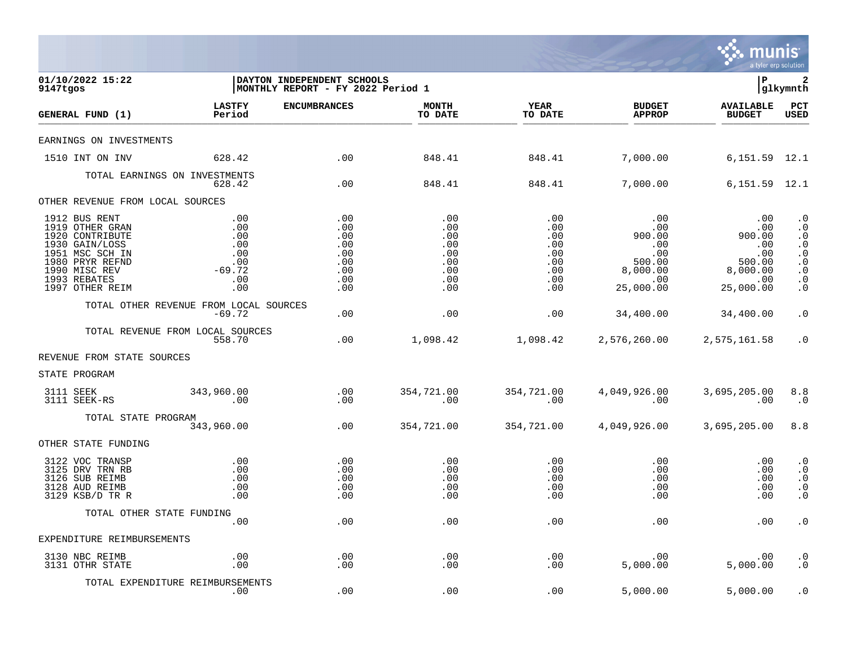

| 01/10/2022 15:22<br>9147tgos                                                                                                                                    |                                                                                                             | DAYTON INDEPENDENT SCHOOLS<br>MONTHLY REPORT - FY 2022 Period 1 |                                                             |                                                                          |                                                                                      | l P                                                                                                                                                                                                                | $\overline{\mathbf{2}}$<br> glkymnth                                                                                                  |
|-----------------------------------------------------------------------------------------------------------------------------------------------------------------|-------------------------------------------------------------------------------------------------------------|-----------------------------------------------------------------|-------------------------------------------------------------|--------------------------------------------------------------------------|--------------------------------------------------------------------------------------|--------------------------------------------------------------------------------------------------------------------------------------------------------------------------------------------------------------------|---------------------------------------------------------------------------------------------------------------------------------------|
| GENERAL FUND (1)                                                                                                                                                | <b>LASTFY</b><br>Period                                                                                     | <b>ENCUMBRANCES</b>                                             | <b>MONTH</b><br>TO DATE                                     | <b>YEAR</b><br>TO DATE                                                   | <b>BUDGET</b><br><b>APPROP</b>                                                       | <b>AVAILABLE</b><br><b>BUDGET</b>                                                                                                                                                                                  | PCT<br><b>USED</b>                                                                                                                    |
| EARNINGS ON INVESTMENTS                                                                                                                                         |                                                                                                             |                                                                 |                                                             |                                                                          |                                                                                      |                                                                                                                                                                                                                    |                                                                                                                                       |
| 1510 INT ON INV                                                                                                                                                 | 628.42                                                                                                      | $\overline{00}$                                                 | 848.41                                                      | 848.41                                                                   | 7,000.00    6,151.59    12.1                                                         |                                                                                                                                                                                                                    |                                                                                                                                       |
|                                                                                                                                                                 | TOTAL EARNINGS ON INVESTMENTS<br>628.42                                                                     | $\overline{00}$                                                 | 848.41                                                      | 848.41                                                                   | 7,000.00                                                                             | 6,151.59 12.1                                                                                                                                                                                                      |                                                                                                                                       |
| OTHER REVENUE FROM LOCAL SOURCES                                                                                                                                |                                                                                                             |                                                                 |                                                             |                                                                          |                                                                                      |                                                                                                                                                                                                                    |                                                                                                                                       |
| 1912 BUS RENT<br>1919 OTHER GRAN<br>1920 CONTRIBUTE<br>1930 GAIN/LOSS<br>1951 MSC SCH IN<br>1980 PRYR REFND<br>1990 MISC REV<br>1993 REBATES<br>1997 OTHER REIM | .00<br>$\begin{array}{c} .00 \\ .00 \\ .00 \\ .00 \\ .00 \\ .00 \\ .00 \\ -69.72 \end{array}$<br>.00<br>.00 | .00<br>.00<br>.00<br>.00<br>.00<br>.00<br>.00<br>.00<br>.00     | .00<br>.00<br>.00<br>.00<br>.00<br>.00<br>.00<br>.00<br>.00 | .00<br>.00<br>$\begin{array}{c} 0.00 \\ -0.00 \end{array}$<br>.00<br>.00 | $\begin{array}{c} \texttt{.00} \\ \texttt{.00} \end{array}$<br>5,000.00<br>25,000.00 | 00.<br>00.<br>00.00 00.000<br>00.00 00.000<br>.00<br>$\begin{array}{cccc} 0.00 & .00 & .00 & .00 \ 0.00 & .00 & .00 & .00 \ 0.00 & .00 & .00 & .00 \ 0.00 & .00 & .00 & .00 \end{array}$<br>$\sim$ 00<br>25,000.00 | $\cdot$ 0<br>$\cdot$ 0<br>$\boldsymbol{\cdot}$ 0<br>$\cdot$ 0<br>$\cdot$ 0<br>$\boldsymbol{\cdot}$ 0<br>$\cdot$ 0<br>$\cdot$ 0<br>. 0 |
|                                                                                                                                                                 | TOTAL OTHER REVENUE FROM LOCAL SOURCES<br>$-69.72$                                                          | .00                                                             | .00                                                         | .00                                                                      | 34,400.00                                                                            | 34,400.00                                                                                                                                                                                                          | $\cdot$ 0                                                                                                                             |
|                                                                                                                                                                 | TOTAL REVENUE FROM LOCAL SOURCES<br>558.70                                                                  | .00                                                             |                                                             |                                                                          | $1,098.42$ $1,098.42$ $2,576,260.00$ $2,575,161.58$                                  |                                                                                                                                                                                                                    | $\cdot$ 0                                                                                                                             |
| REVENUE FROM STATE SOURCES                                                                                                                                      |                                                                                                             |                                                                 |                                                             |                                                                          |                                                                                      |                                                                                                                                                                                                                    |                                                                                                                                       |
| STATE PROGRAM                                                                                                                                                   |                                                                                                             |                                                                 |                                                             |                                                                          |                                                                                      |                                                                                                                                                                                                                    |                                                                                                                                       |
| 3111 SEEK<br>3111 SEEK-RS                                                                                                                                       | 343,960.00<br>00.                                                                                           | $\begin{array}{c} 0.00 \\ -0.00 \end{array}$                    | 354,721.00<br>$\sim 00$                                     | 354,721.00<br>00.                                                        | 4,049,926.00<br>00<br>$\sim$ 00                                                      | 3,695,205.00 8.8<br>$\sim$ 00                                                                                                                                                                                      | $\ldots$                                                                                                                              |
| TOTAL STATE PROGRAM                                                                                                                                             | 343,960.00                                                                                                  | .00                                                             | 354,721.00                                                  | 354,721.00                                                               | 4,049,926.00                                                                         | 3,695,205.00                                                                                                                                                                                                       | 8.8                                                                                                                                   |
| OTHER STATE FUNDING                                                                                                                                             |                                                                                                             |                                                                 |                                                             |                                                                          |                                                                                      |                                                                                                                                                                                                                    |                                                                                                                                       |
| 3122 VOC TRANSP<br>3125 DRV TRN RB<br>3126 SUB REIMB<br>3128 AUD REIMB<br>3129 KSB/D TR R                                                                       | $\begin{array}{c} . & 0 & 0 \\ . & 0 & 0 \end{array}$<br>.00<br>.00<br>.00                                  | .00<br>.00<br>.00<br>.00<br>.00                                 | $\overline{00}$<br>.00<br>.00<br>.00<br>.00                 | .00<br>.00<br>.00<br>.00<br>.00                                          | $.00 \,$<br>.00<br>$.00 \,$<br>.00<br>.00                                            | .00<br>.00<br>$.00 \,$<br>.00<br>.00                                                                                                                                                                               | $\cdot$ 0<br>$\cdot$ 0<br>$\cdot$ 0<br>$\cdot$ 0<br>$\cdot$ 0                                                                         |
| TOTAL OTHER STATE FUNDING                                                                                                                                       | .00                                                                                                         | .00                                                             | .00                                                         | .00                                                                      | .00                                                                                  | .00                                                                                                                                                                                                                | $\cdot$ 0                                                                                                                             |
| EXPENDITURE REIMBURSEMENTS                                                                                                                                      |                                                                                                             |                                                                 |                                                             |                                                                          |                                                                                      |                                                                                                                                                                                                                    |                                                                                                                                       |
| 3130 NBC REIMB<br>3131 OTHR STATE                                                                                                                               | .00<br>.00                                                                                                  | .00<br>.00                                                      | .00<br>.00                                                  | .00<br>.00                                                               | .00<br>5,000.00                                                                      | $.00 \,$<br>5,000.00                                                                                                                                                                                               | $\cdot$ 0<br>$\cdot$ 0                                                                                                                |
|                                                                                                                                                                 | TOTAL EXPENDITURE REIMBURSEMENTS<br>.00                                                                     | .00                                                             | .00                                                         | .00                                                                      | 5,000.00                                                                             | 5,000.00                                                                                                                                                                                                           | $\cdot$ 0                                                                                                                             |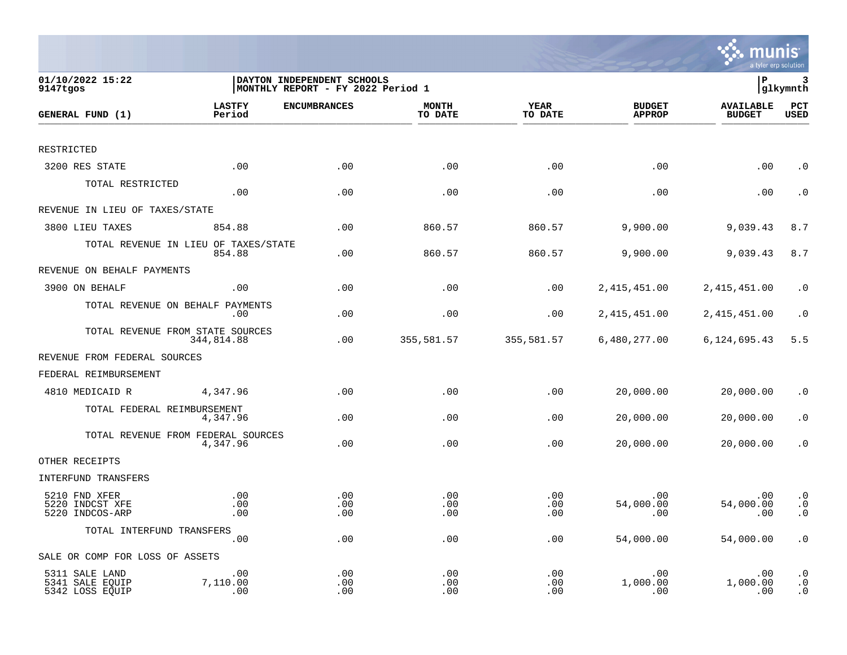| 01/10/2022 15:22<br>9147tgos                         |                                                | DAYTON INDEPENDENT SCHOOLS<br>MONTHLY REPORT - FY 2022 Period 1 |                         |                        |                                | P                                 | 3<br>glkymnth                                    |
|------------------------------------------------------|------------------------------------------------|-----------------------------------------------------------------|-------------------------|------------------------|--------------------------------|-----------------------------------|--------------------------------------------------|
| GENERAL FUND (1)                                     | <b>LASTFY</b><br>Period                        | <b>ENCUMBRANCES</b>                                             | <b>MONTH</b><br>TO DATE | <b>YEAR</b><br>TO DATE | <b>BUDGET</b><br><b>APPROP</b> | <b>AVAILABLE</b><br><b>BUDGET</b> | PCT<br><b>USED</b>                               |
|                                                      |                                                |                                                                 |                         |                        |                                |                                   |                                                  |
| RESTRICTED                                           |                                                |                                                                 |                         |                        |                                |                                   |                                                  |
| 3200 RES STATE                                       | .00                                            | .00                                                             | .00                     | .00                    | .00                            | .00                               | $\cdot$ 0                                        |
| TOTAL RESTRICTED                                     | .00                                            | .00                                                             | .00                     | .00                    | .00                            | .00                               | $\cdot$ 0                                        |
| REVENUE IN LIEU OF TAXES/STATE                       |                                                |                                                                 |                         |                        |                                |                                   |                                                  |
| 3800 LIEU TAXES                                      | 854.88                                         | .00                                                             | 860.57                  | 860.57                 | 9,900.00                       | 9,039.43                          | 8.7                                              |
|                                                      | TOTAL REVENUE IN LIEU OF TAXES/STATE<br>854.88 | .00                                                             | 860.57                  | 860.57                 | 9,900.00                       | 9,039.43                          | 8.7                                              |
| REVENUE ON BEHALF PAYMENTS                           |                                                |                                                                 |                         |                        |                                |                                   |                                                  |
| 3900 ON BEHALF                                       | .00                                            | .00                                                             | .00                     | .00                    | 2, 415, 451.00                 | 2, 415, 451.00                    | $\cdot$ 0                                        |
|                                                      | TOTAL REVENUE ON BEHALF PAYMENTS<br>.00        | .00                                                             | .00                     | .00                    | 2, 415, 451.00                 | 2, 415, 451.00                    | $\cdot$ 0                                        |
|                                                      | TOTAL REVENUE FROM STATE SOURCES<br>344,814.88 | .00                                                             | 355,581.57              | 355,581.57             | 6,480,277.00                   | 6,124,695.43                      | 5.5                                              |
| REVENUE FROM FEDERAL SOURCES                         |                                                |                                                                 |                         |                        |                                |                                   |                                                  |
| FEDERAL REIMBURSEMENT                                |                                                |                                                                 |                         |                        |                                |                                   |                                                  |
| 4810 MEDICAID R                                      | 4,347.96                                       | .00                                                             | .00                     | .00                    | 20,000.00                      | 20,000.00                         | $\cdot$ 0                                        |
| TOTAL FEDERAL REIMBURSEMENT                          | 4,347.96                                       | .00                                                             | .00                     | .00                    | 20,000.00                      | 20,000.00                         | $\cdot$ 0                                        |
|                                                      | TOTAL REVENUE FROM FEDERAL SOURCES<br>4,347.96 | .00                                                             | .00                     | .00                    | 20,000.00                      | 20,000.00                         | $\cdot$ 0                                        |
| OTHER RECEIPTS                                       |                                                |                                                                 |                         |                        |                                |                                   |                                                  |
| INTERFUND TRANSFERS                                  |                                                |                                                                 |                         |                        |                                |                                   |                                                  |
| 5210 FND XFER<br>5220 INDCST XFE<br>5220 INDCOS-ARP  | .00<br>.00<br>.00                              | .00<br>.00<br>.00                                               | .00<br>.00<br>.00       | .00<br>.00<br>.00      | .00<br>54,000.00<br>.00        | .00<br>54,000.00<br>.00           | $\boldsymbol{\cdot}$ 0<br>$\cdot$ 0<br>$\cdot$ 0 |
| TOTAL INTERFUND TRANSFERS                            | .00                                            | .00                                                             | .00                     | .00                    | 54,000.00                      | 54,000.00                         | $\cdot$ 0                                        |
| SALE OR COMP FOR LOSS OF ASSETS                      |                                                |                                                                 |                         |                        |                                |                                   |                                                  |
| 5311 SALE LAND<br>5341 SALE EQUIP<br>5342 LOSS EQUIP | .00<br>7,110.00<br>.00                         | .00<br>.00<br>.00                                               | .00<br>.00<br>.00       | .00<br>.00<br>.00      | .00<br>1,000.00<br>.00         | .00<br>1,000.00<br>.00            | $\cdot$ 0<br>$\cdot$ 0<br>$\cdot$ 0              |

**SAME MUNIS**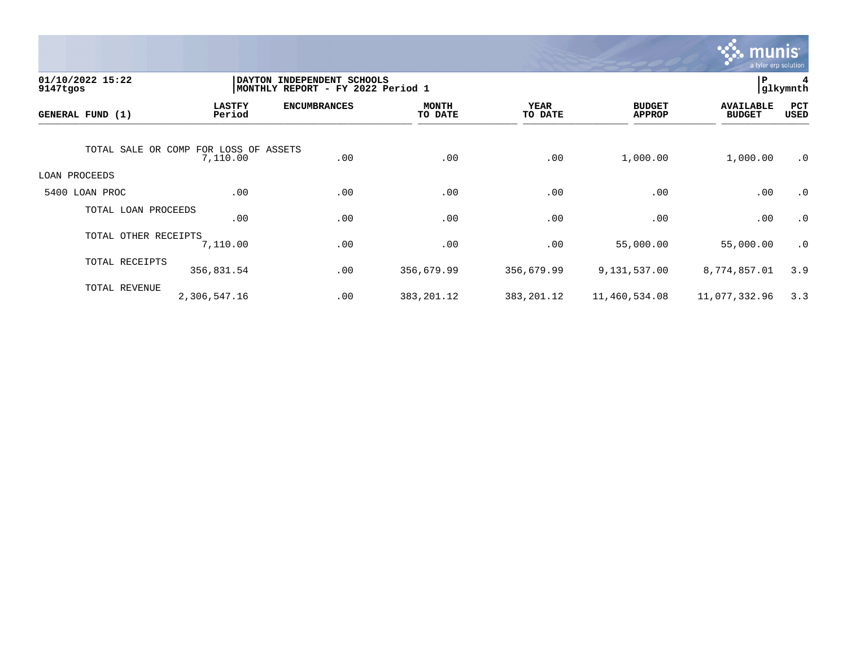

| 01/10/2022 15:22<br>9147tgos          | DAYTON INDEPENDENT SCHOOLS<br>MONTHLY REPORT - FY 2022 Period 1 | P.                  | glkymnth                |                        |                                |                                   |             |
|---------------------------------------|-----------------------------------------------------------------|---------------------|-------------------------|------------------------|--------------------------------|-----------------------------------|-------------|
| GENERAL FUND (1)                      | <b>LASTFY</b><br>Period                                         | <b>ENCUMBRANCES</b> | <b>MONTH</b><br>TO DATE | <b>YEAR</b><br>TO DATE | <b>BUDGET</b><br><b>APPROP</b> | <b>AVAILABLE</b><br><b>BUDGET</b> | PCT<br>USED |
| TOTAL SALE OR COMP FOR LOSS OF ASSETS | 7,110.00                                                        | .00                 | .00                     | .00                    | 1,000.00                       | 1,000.00                          | $\cdot$ 0   |
| LOAN PROCEEDS                         |                                                                 |                     |                         |                        |                                |                                   |             |
| 5400 LOAN PROC                        | .00                                                             | .00                 | .00                     | .00                    | .00                            | .00                               | $\cdot$ 0   |
| TOTAL LOAN PROCEEDS                   | .00                                                             | .00                 | .00                     | .00                    | .00                            | .00                               | $\cdot$ 0   |
| TOTAL OTHER RECEIPTS                  | 7,110.00                                                        | .00                 | .00                     | .00                    | 55,000.00                      | 55,000.00                         | $\cdot$ 0   |
| TOTAL RECEIPTS                        | 356,831.54                                                      | .00                 | 356,679.99              | 356,679.99             | 9,131,537.00                   | 8,774,857.01                      | 3.9         |
| TOTAL REVENUE                         | 2,306,547.16                                                    | .00                 | 383, 201. 12            | 383, 201. 12           | 11,460,534.08                  | 11,077,332.96                     | 3.3         |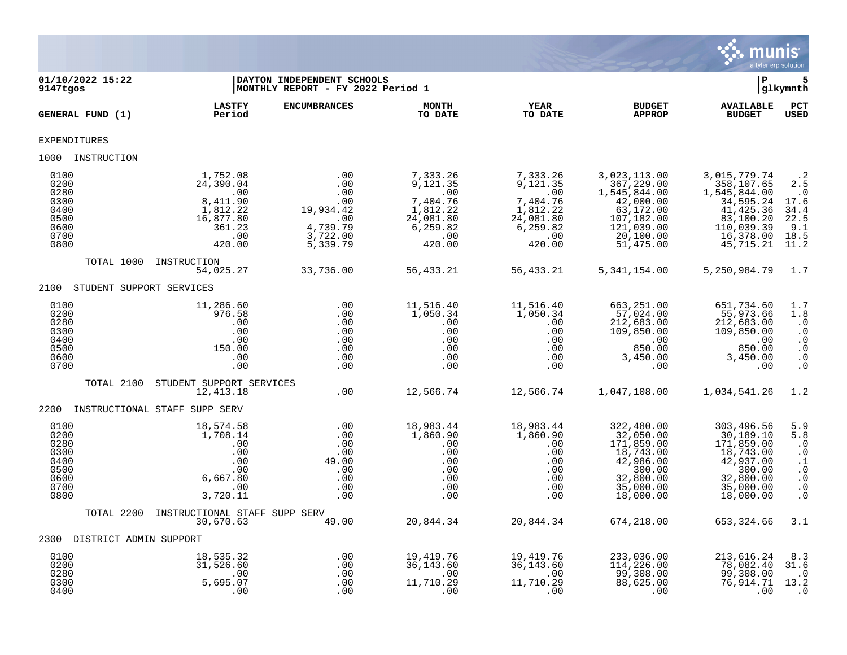

| 01/10/2022 15:22<br>9147tgos                                         |                          |                                                                                              | DAYTON INDEPENDENT SCHOOLS<br> MONTHLY REPORT - FY 2022 Period 1                 |                                                                                               |                                                                                               |                                                                                                                            | l P                                                                                                                        | glkymnth                                                                                              |
|----------------------------------------------------------------------|--------------------------|----------------------------------------------------------------------------------------------|----------------------------------------------------------------------------------|-----------------------------------------------------------------------------------------------|-----------------------------------------------------------------------------------------------|----------------------------------------------------------------------------------------------------------------------------|----------------------------------------------------------------------------------------------------------------------------|-------------------------------------------------------------------------------------------------------|
|                                                                      | GENERAL FUND (1)         | <b>LASTFY</b><br>Period                                                                      | <b>ENCUMBRANCES</b>                                                              | <b>MONTH</b><br>TO DATE                                                                       | <b>YEAR</b><br>TO DATE                                                                        | <b>BUDGET</b><br><b>APPROP</b>                                                                                             | <b>AVAILABLE</b><br><b>BUDGET</b>                                                                                          | PCT<br><b>USED</b>                                                                                    |
| <b>EXPENDITURES</b>                                                  |                          |                                                                                              |                                                                                  |                                                                                               |                                                                                               |                                                                                                                            |                                                                                                                            |                                                                                                       |
|                                                                      | 1000 INSTRUCTION         |                                                                                              |                                                                                  |                                                                                               |                                                                                               |                                                                                                                            |                                                                                                                            |                                                                                                       |
| 0100<br>0200<br>0280<br>0300<br>0400<br>0500<br>0600<br>0700<br>0800 |                          | 1,752.08<br>24,390.04<br>.00<br>8,411.90<br>1,812.22<br>16,877.80<br>361.23<br>.00<br>420.00 | .00<br>.00<br>.00<br>.00<br>19,934.42<br>.00<br>4,739.79<br>3,722.00<br>5,339.79 | 7,333.26<br>9,121.35<br>.00<br>7,404.76<br>1,812.22<br>24,081.80<br>6,259.82<br>.00<br>420.00 | 7,333.26<br>9,121.35<br>.00<br>7,404.76<br>1,812.22<br>24,081.80<br>6,259.82<br>.00<br>420.00 | 3,023,113.00<br>367,229.00<br>1,545,844.00<br>42,000.00<br>63,172.00<br>107,182.00<br>121,039.00<br>20,100.00<br>51,475.00 | 3,015,779.74<br>358,107.65<br>1,545,844.00<br>34,595.24<br>41, 425.36<br>83,100.20<br>110,039.39<br>16,378.00<br>45,715.21 | $\cdot$ 2<br>2.5<br>$\cdot$ 0<br>17.6<br>34.4<br>22.5<br>9.1<br>18.5<br>11.2                          |
|                                                                      | TOTAL 1000 INSTRUCTION   | 54,025.27                                                                                    | 33,736.00                                                                        | 56,433.21                                                                                     | 56,433.21                                                                                     | 5,341,154.00                                                                                                               | 5, 250, 984. 79                                                                                                            | 1.7                                                                                                   |
| 2100                                                                 | STUDENT SUPPORT SERVICES |                                                                                              |                                                                                  |                                                                                               |                                                                                               |                                                                                                                            |                                                                                                                            |                                                                                                       |
| 0100<br>0200<br>0280<br>0300<br>0400<br>0500<br>0600<br>0700         |                          | 11,286.60<br>976.58<br>.00<br>.00<br>.00<br>150.00<br>.00<br>.00                             | .00<br>.00<br>.00<br>.00<br>.00<br>.00<br>.00<br>.00                             | 11,516.40<br>1,050.34<br>.00<br>.00<br>.00<br>.00<br>.00<br>.00                               | 11,516.40<br>1,050.34<br>.00<br>.00<br>.00<br>.00<br>.00<br>.00                               | 663,251.00<br>57,024.00<br>212,683.00<br>109,850.00<br>$\overline{00}$<br>850.00<br>3,450.00<br>.00                        | 651,734.60<br>55,973.66<br>212,683.00<br>109,850.00<br>$\sim 00$<br>850.00<br>3,450.00<br>.00                              | 1.7<br>1.8<br>$\cdot$ 0<br>$\cdot$ 0<br>$\cdot$ 0<br>$\cdot$ 0<br>$\cdot$ 0<br>$\cdot$ 0              |
|                                                                      | TOTAL 2100               | STUDENT SUPPORT SERVICES<br>12,413.18                                                        | .00                                                                              | 12,566.74                                                                                     | 12,566.74                                                                                     | 1,047,108.00                                                                                                               | 1,034,541.26                                                                                                               | 1.2                                                                                                   |
| 2200                                                                 |                          | INSTRUCTIONAL STAFF SUPP SERV                                                                |                                                                                  |                                                                                               |                                                                                               |                                                                                                                            |                                                                                                                            |                                                                                                       |
| 0100<br>0200<br>0280<br>0300<br>0400<br>0500<br>0600<br>0700<br>0800 |                          | 18,574.58<br>1,708.14<br>.00<br>.00<br>.00<br>.00<br>6,667.80<br>.00<br>3,720.11             | .00<br>.00<br>.00<br>.00<br>49.00<br>.00<br>.00<br>.00<br>.00                    | 18,983.44<br>1,860.90<br>.00<br>.00<br>.00<br>.00<br>.00<br>.00<br>.00                        | 18,983.44<br>1,860.90<br>.00<br>.00<br>.00<br>.00<br>.00<br>.00<br>.00                        | 322,480.00<br>32,050.00<br>171,859.00<br>18,743.00<br>42,986.00<br>300.00<br>32,800.00<br>35,000.00<br>18,000.00           | 303,496.56<br>30,189.10<br>171,859.00<br>18,743.00<br>42,937.00<br>300.00<br>32,800.00<br>35,000.00<br>18,000.00           | 5.9<br>5.8<br>$\cdot$ 0<br>$\cdot$ 0<br>$\cdot$ 1<br>$\cdot$ 0<br>$\cdot$ 0<br>$\cdot$ 0<br>$\cdot$ 0 |
|                                                                      | TOTAL 2200               | INSTRUCTIONAL STAFF SUPP SERV<br>30,670.63                                                   | 49.00                                                                            | 20,844.34                                                                                     | 20,844.34                                                                                     | 674,218.00                                                                                                                 | 653,324.66                                                                                                                 | 3.1                                                                                                   |
| 2300                                                                 | DISTRICT ADMIN SUPPORT   |                                                                                              |                                                                                  |                                                                                               |                                                                                               |                                                                                                                            |                                                                                                                            |                                                                                                       |
| 0100<br>0200<br>0280<br>0300<br>0400                                 |                          | 18,535.32<br>31,526.60<br>.00<br>5,695.07<br>.00                                             | .00<br>.00<br>.00<br>.00<br>.00                                                  | 19,419.76<br>36, 143.60<br>.00<br>11,710.29<br>.00                                            | 19, 419. 76<br>36, 143.60<br>.00<br>11,710.29<br>.00                                          | 233,036.00<br>114,226.00<br>99,308.00<br>88,625.00<br>.00                                                                  | 213,616.24<br>78,082.40<br>99,308.00<br>76,914.71<br>.00                                                                   | 8.3<br>31.6<br>$\cdot$ 0<br>13.2<br>$\cdot$ 0                                                         |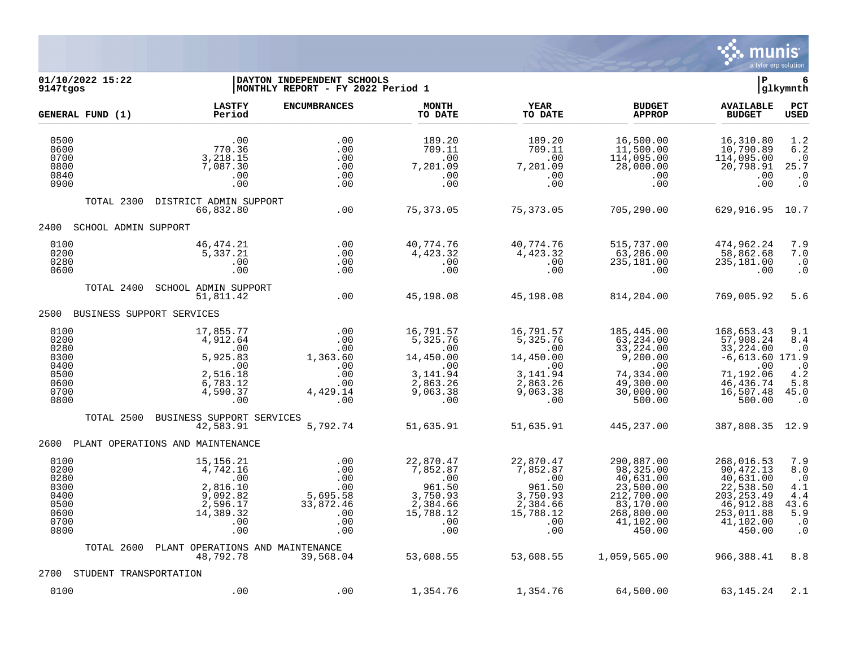

# **01/10/2022 15:22 |DAYTON INDEPENDENT SCHOOLS |P 6 9147tgos |MONTHLY REPORT - FY 2022 Period 1 |glkymnth**

|                                                                      | GENERAL FUND (1)       | <b>LASTFY</b><br>Period                                                                       | <b>ENCUMBRANCES</b>                                                    | <b>MONTH</b><br>TO DATE                                                                      | <b>YEAR</b><br>TO DATE                                                                       | <b>BUDGET</b><br><b>APPROP</b>                                                                                    | <b>AVAILABLE</b><br><b>BUDGET</b>                                                                                  | PCT<br><b>USED</b>                                                             |
|----------------------------------------------------------------------|------------------------|-----------------------------------------------------------------------------------------------|------------------------------------------------------------------------|----------------------------------------------------------------------------------------------|----------------------------------------------------------------------------------------------|-------------------------------------------------------------------------------------------------------------------|--------------------------------------------------------------------------------------------------------------------|--------------------------------------------------------------------------------|
| 0500<br>0600<br>0700<br>0800<br>0840<br>0900                         |                        | .00<br>770.36<br>3,218.15<br>7,087.30<br>.00<br>.00                                           | .00<br>.00<br>.00<br>.00<br>.00<br>.00                                 | 189.20<br>709.11<br>.00<br>7,201.09<br>.00<br>.00                                            | 189.20<br>709.11<br>.00<br>7,201.09<br>.00<br>.00                                            | 16,500.00<br>11,500.00<br>114,095.00<br>28,000.00<br>.00<br>.00                                                   | 16,310.80<br>10,790.89<br>114,095.00<br>20,798.91<br>.00<br>.00                                                    | 1.2<br>6.2<br>$\cdot$ 0<br>25.7<br>$\cdot$ 0<br>$\boldsymbol{\cdot}$ 0         |
|                                                                      | TOTAL 2300             | DISTRICT ADMIN SUPPORT<br>66,832.80                                                           | .00                                                                    | 75, 373.05                                                                                   | 75,373.05                                                                                    | 705,290.00                                                                                                        | 629,916.95                                                                                                         | 10.7                                                                           |
| 2400                                                                 | SCHOOL ADMIN SUPPORT   |                                                                                               |                                                                        |                                                                                              |                                                                                              |                                                                                                                   |                                                                                                                    |                                                                                |
| 0100<br>0200<br>0280<br>0600                                         |                        | 46,474.21<br>5,337.21<br>.00<br>.00                                                           | .00<br>.00<br>.00<br>.00                                               | 40,774.76<br>4,423.32<br>.00<br>.00                                                          | 40,774.76<br>4,423.32<br>.00<br>.00                                                          | 515,737.00<br>63,286.00<br>235,181.00<br>.00                                                                      | 474,962.24<br>58,862.68<br>235,181.00<br>.00                                                                       | 7.9<br>7.0<br>$\cdot$ 0<br>$\cdot$ 0                                           |
|                                                                      | TOTAL 2400             | SCHOOL ADMIN SUPPORT<br>51,811.42                                                             | .00                                                                    | 45,198.08                                                                                    | 45,198.08                                                                                    | 814,204.00                                                                                                        | 769,005.92                                                                                                         | 5.6                                                                            |
| 2500                                                                 |                        | BUSINESS SUPPORT SERVICES                                                                     |                                                                        |                                                                                              |                                                                                              |                                                                                                                   |                                                                                                                    |                                                                                |
| 0100<br>0200<br>0280<br>0300<br>0400<br>0500<br>0600<br>0700<br>0800 |                        | 17,855.77<br>4,912.64<br>.00<br>5,925.83<br>.00<br>2,516.18<br>6,783.12<br>4,590.37<br>.00    | .00<br>.00<br>.00<br>1,363.60<br>.00<br>.00<br>.00<br>4,429.14<br>.00  | 16,791.57<br>5,325.76<br>.00<br>14,450.00<br>.00<br>3, 141.94<br>2,863.26<br>9,063.38<br>.00 | 16,791.57<br>5,325.76<br>.00<br>14,450.00<br>.00<br>3, 141.94<br>2,863.26<br>9,063.38<br>.00 | 185,445.00<br>63,234.00<br>33,224.00<br>9,200.00<br>.00<br>74,334.00<br>49,300.00<br>30,000.00<br>500.00          | 168,653.43<br>57,908.24<br>33,224.00<br>$-6,613.60$ 171.9<br>.00<br>71,192.06<br>46,436.74<br>16,507.48<br>500.00  | 9.1<br>8.4<br>$\cdot$ 0<br>$\cdot$ 0<br>4.2<br>5.8<br>45.0<br>$\cdot$ 0        |
|                                                                      | TOTAL 2500             | BUSINESS SUPPORT SERVICES<br>42,583.91                                                        | 5,792.74                                                               | 51,635.91                                                                                    | 51,635.91                                                                                    | 445,237.00                                                                                                        | 387,808.35                                                                                                         | 12.9                                                                           |
| 2600                                                                 |                        | PLANT OPERATIONS AND MAINTENANCE                                                              |                                                                        |                                                                                              |                                                                                              |                                                                                                                   |                                                                                                                    |                                                                                |
| 0100<br>0200<br>0280<br>0300<br>0400<br>0500<br>0600<br>0700<br>0800 |                        | 15, 156. 21<br>4,742.16<br>.00<br>2,816.10<br>9,092.82<br>2,596.17<br>14,389.32<br>.00<br>.00 | .00<br>.00<br>.00<br>.00<br>5,695.58<br>33,872.46<br>.00<br>.00<br>.00 | 22,870.47<br>7,852.87<br>.00<br>961.50<br>3,750.93<br>2,384.66<br>15,788.12<br>.00<br>.00    | 22,870.47<br>7,852.87<br>.00<br>961.50<br>3,750.93<br>2,384.66<br>15,788.12<br>.00<br>.00    | 290,887.00<br>98,325.00<br>40,631.00<br>23,500.00<br>212,700.00<br>83,170.00<br>268,800.00<br>41,102.00<br>450.00 | 268,016.53<br>90,472.13<br>40,631.00<br>22,538.50<br>203, 253.49<br>46,912.88<br>253,011.88<br>41,102.00<br>450.00 | 7.9<br>8.0<br>$\cdot$ 0<br>4.1<br>4.4<br>43.6<br>5.9<br>$\cdot$ 0<br>$\cdot$ 0 |
|                                                                      | TOTAL 2600             | PLANT OPERATIONS AND MAINTENANCE<br>48,792.78                                                 | 39,568.04                                                              | 53,608.55                                                                                    | 53,608.55                                                                                    | 1,059,565.00                                                                                                      | 966,388.41                                                                                                         | 8.8                                                                            |
| 2700                                                                 | STUDENT TRANSPORTATION |                                                                                               |                                                                        |                                                                                              |                                                                                              |                                                                                                                   |                                                                                                                    |                                                                                |
| 0100                                                                 |                        | .00                                                                                           | .00                                                                    | 1,354.76                                                                                     | 1,354.76                                                                                     | 64,500.00                                                                                                         | 63, 145. 24                                                                                                        | 2.1                                                                            |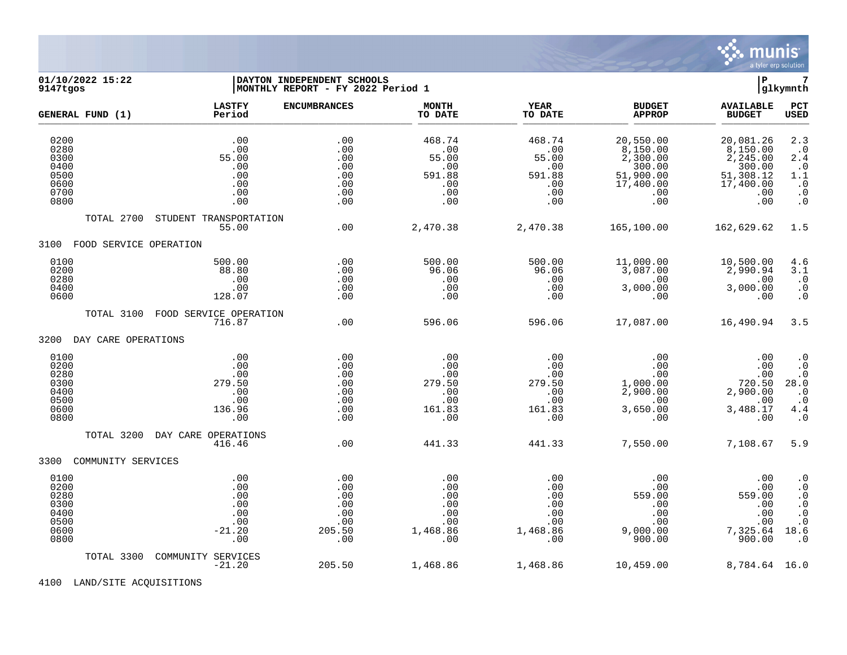

## **01/10/2022 15:22 |DAYTON INDEPENDENT SCHOOLS |P 7 9147tgos |MONTHLY REPORT - FY 2022 Period 1 |glkymnth**

| GENERAL FUND (1)                                             | <b>LASTFY</b><br>Period                                    | <b>ENCUMBRANCES</b>                                     | <b>MONTH</b><br>TO DATE                                        | <b>YEAR</b><br>TO DATE                                       | <b>BUDGET</b><br><b>APPROP</b>                                                        | <b>AVAILABLE</b><br><b>BUDGET</b>                                                         | PCT<br><b>USED</b>                                                                                                                                 |
|--------------------------------------------------------------|------------------------------------------------------------|---------------------------------------------------------|----------------------------------------------------------------|--------------------------------------------------------------|---------------------------------------------------------------------------------------|-------------------------------------------------------------------------------------------|----------------------------------------------------------------------------------------------------------------------------------------------------|
| 0200<br>0280<br>0300<br>0400<br>0500<br>0600<br>0700<br>0800 | .00<br>.00<br>55.00<br>.00<br>.00<br>.00<br>.00<br>.00     | .00<br>.00<br>.00<br>.00<br>.00<br>.00<br>.00<br>.00    | 468.74<br>.00<br>55.00<br>.00<br>591.88<br>.00<br>.00<br>.00   | 468.74<br>.00<br>55.00<br>.00<br>591.88<br>.00<br>.00<br>.00 | 20,550.00<br>8,150.00<br>$2,300.00$<br>300.00<br>51,900.00<br>17,400.00<br>.00<br>.00 | 20,081.26<br>8,150.00<br>2, 245.00<br>300.00<br>51,308.12<br>17,400.00<br>$.00 \,$<br>.00 | 2.3<br>$\cdot$ 0<br>2.4<br>$\cdot$ 0<br>$1.1\,$<br>$\cdot$ 0<br>$\cdot$ 0<br>$\ddot{\theta}$                                                       |
| TOTAL 2700                                                   | STUDENT TRANSPORTATION                                     |                                                         |                                                                |                                                              |                                                                                       |                                                                                           |                                                                                                                                                    |
|                                                              | 55.00                                                      | .00                                                     | 2,470.38                                                       | 2,470.38                                                     | 165,100.00                                                                            | 162,629.62                                                                                | 1.5                                                                                                                                                |
| FOOD SERVICE OPERATION<br>3100                               |                                                            |                                                         |                                                                |                                                              |                                                                                       |                                                                                           |                                                                                                                                                    |
| 0100<br>0200<br>0280<br>0400<br>0600                         | 500.00<br>88.80<br>$\,$ .00<br>.00<br>128.07               | .00<br>.00<br>.00<br>.00<br>.00                         | 500.00<br>96.06<br>.00<br>.00<br>.00                           | 500.00<br>96.06<br>.00<br>.00<br>.00                         | 11,000.00<br>3,087.00<br>.00<br>3,000.00<br>.00                                       | 10,500.00<br>2,990.94<br>.00<br>3,000.00<br>.00                                           | 4.6<br>3.1<br>$\cdot$ 0<br>$\begin{smallmatrix} 0.1 \\ 0.1 \end{smallmatrix}$                                                                      |
|                                                              | TOTAL 3100 FOOD SERVICE OPERATION<br>716.87                | .00                                                     | 596.06                                                         | 596.06                                                       | 17,087.00                                                                             | 16,490.94                                                                                 | 3.5                                                                                                                                                |
| 3200<br>DAY CARE OPERATIONS                                  |                                                            |                                                         |                                                                |                                                              |                                                                                       |                                                                                           |                                                                                                                                                    |
| 0100<br>0200<br>0280<br>0300<br>0400<br>0500<br>0600<br>0800 | .00<br>.00<br>.00<br>279.50<br>.00<br>.00<br>136.96<br>.00 | .00<br>.00<br>.00<br>.00<br>.00<br>.00<br>.00<br>.00    | .00<br>.00<br>.00<br>279.50<br>.00<br>.00<br>161.83<br>.00     | .00<br>.00<br>.00<br>279.50<br>.00<br>.00<br>161.83<br>.00   | .00<br>.00<br>.00<br>1,000.00<br>2,900.00<br>.00<br>3,650.00<br>.00                   | .00<br>.00<br>.00<br>720.50<br>2,900.00<br>.00<br>3,488.17<br>.00                         | $\cdot$ 0<br>$\cdot$ 0<br>$\cdot$ 0<br>28.0<br>$\cdot$ 0<br>$\cdot$ 0<br>4.4<br>$\cdot$ 0                                                          |
| TOTAL 3200                                                   | DAY CARE OPERATIONS<br>416.46                              | .00                                                     | 441.33                                                         | 441.33                                                       | 7,550.00                                                                              | 7,108.67                                                                                  | 5.9                                                                                                                                                |
| 3300<br>COMMUNITY SERVICES                                   |                                                            |                                                         |                                                                |                                                              |                                                                                       |                                                                                           |                                                                                                                                                    |
| 0100<br>0200<br>0280<br>0300<br>0400<br>0500<br>0600<br>0800 | .00<br>.00<br>.00<br>.00<br>.00<br>.00<br>$-21.20$<br>.00  | .00<br>.00<br>.00<br>.00<br>.00<br>.00<br>205.50<br>.00 | $.00 \,$<br>.00<br>.00<br>.00<br>.00<br>.00<br>1,468.86<br>.00 | .00<br>.00<br>.00<br>.00<br>.00<br>.00<br>1,468.86<br>.00    | .00<br>.00<br>559.00<br>.00<br>.00<br>.00<br>9,000.00<br>900.00                       | .00<br>.00<br>559.00<br>.00<br>.00<br>.00<br>7,325.64<br>900.00                           | $\cdot$ 0<br>$\ddot{\theta}$<br>$\cdot$ 0<br>$\begin{smallmatrix} . & 0 \\ . & 0 \end{smallmatrix}$<br>$\boldsymbol{\cdot}$ 0<br>18.6<br>$\cdot$ 0 |
| TOTAL 3300                                                   | COMMUNITY SERVICES<br>$-21.20$                             | 205.50                                                  | 1,468.86                                                       | 1,468.86                                                     | 10,459.00                                                                             | 8,784.64 16.0                                                                             |                                                                                                                                                    |

4100 LAND/SITE ACQUISITIONS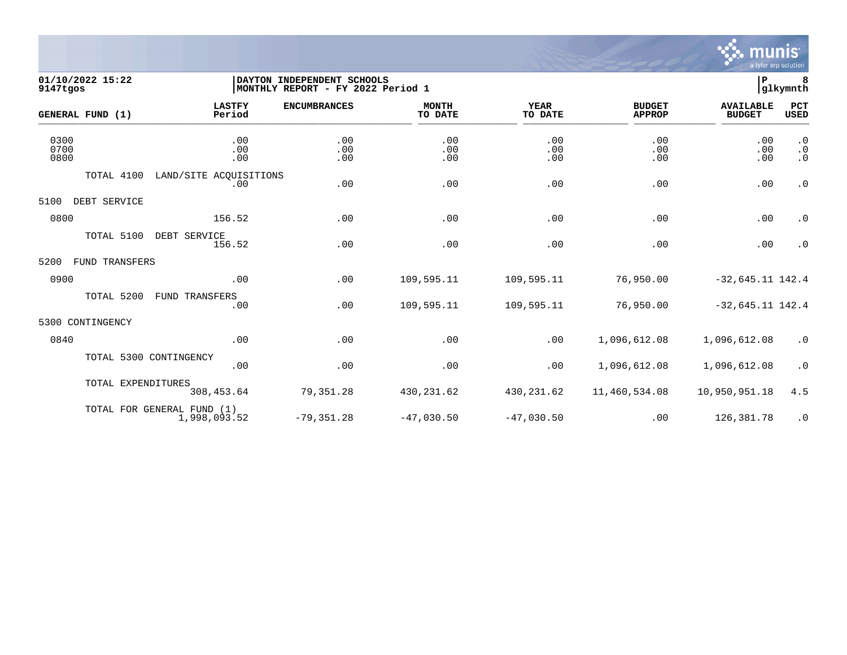

# **01/10/2022 15:22 |DAYTON INDEPENDENT SCHOOLS |P 8 9147tgos |MONTHLY REPORT - FY 2022 Period 1 |glkymnth**

| GENERAL FUND (1)     |                        | <b>LASTFY</b><br>Period                    | <b>ENCUMBRANCES</b> | <b>MONTH</b><br>TO DATE | <b>YEAR</b><br>TO DATE | <b>BUDGET</b><br><b>APPROP</b> | <b>AVAILABLE</b><br><b>BUDGET</b> | PCT<br>USED                         |
|----------------------|------------------------|--------------------------------------------|---------------------|-------------------------|------------------------|--------------------------------|-----------------------------------|-------------------------------------|
| 0300<br>0700<br>0800 |                        | .00<br>.00<br>.00                          | .00<br>.00<br>.00   | .00<br>.00<br>.00       | .00<br>.00<br>.00      | .00<br>.00<br>.00              | .00<br>.00<br>.00                 | $\cdot$ 0<br>$\cdot$ 0<br>$\cdot$ 0 |
|                      | TOTAL 4100             | LAND/SITE ACQUISITIONS<br>.00              | .00                 | .00                     | .00                    | .00                            | .00                               | $\cdot$ 0                           |
| 5100                 | DEBT SERVICE           |                                            |                     |                         |                        |                                |                                   |                                     |
| 0800                 |                        | 156.52                                     | .00                 | .00                     | .00                    | .00                            | .00                               | $\cdot$ 0                           |
|                      | TOTAL 5100             | DEBT SERVICE<br>156.52                     | .00                 | .00                     | .00                    | .00                            | .00                               | $\cdot$ 0                           |
| 5200                 | FUND TRANSFERS         |                                            |                     |                         |                        |                                |                                   |                                     |
| 0900                 |                        | .00                                        | .00                 | 109,595.11              | 109,595.11             | 76,950.00                      | $-32,645.11$ 142.4                |                                     |
|                      | TOTAL 5200             | <b>FUND TRANSFERS</b><br>.00               | .00                 | 109,595.11              | 109,595.11             | 76,950.00                      | $-32,645.11$ 142.4                |                                     |
| 5300 CONTINGENCY     |                        |                                            |                     |                         |                        |                                |                                   |                                     |
| 0840                 |                        | .00                                        | .00                 | .00                     | .00                    | 1,096,612.08                   | 1,096,612.08                      | $\cdot$ 0                           |
|                      | TOTAL 5300 CONTINGENCY | .00                                        | .00                 | .00                     | .00                    | 1,096,612.08                   | 1,096,612.08                      | $\cdot$ 0                           |
|                      | TOTAL EXPENDITURES     | 308,453.64                                 | 79,351.28           | 430,231.62              | 430,231.62             | 11,460,534.08                  | 10,950,951.18                     | 4.5                                 |
|                      |                        | TOTAL FOR GENERAL FUND (1)<br>1,998,093.52 | $-79, 351.28$       | $-47,030.50$            | $-47,030.50$           | .00                            | 126,381.78                        | $\cdot$ 0                           |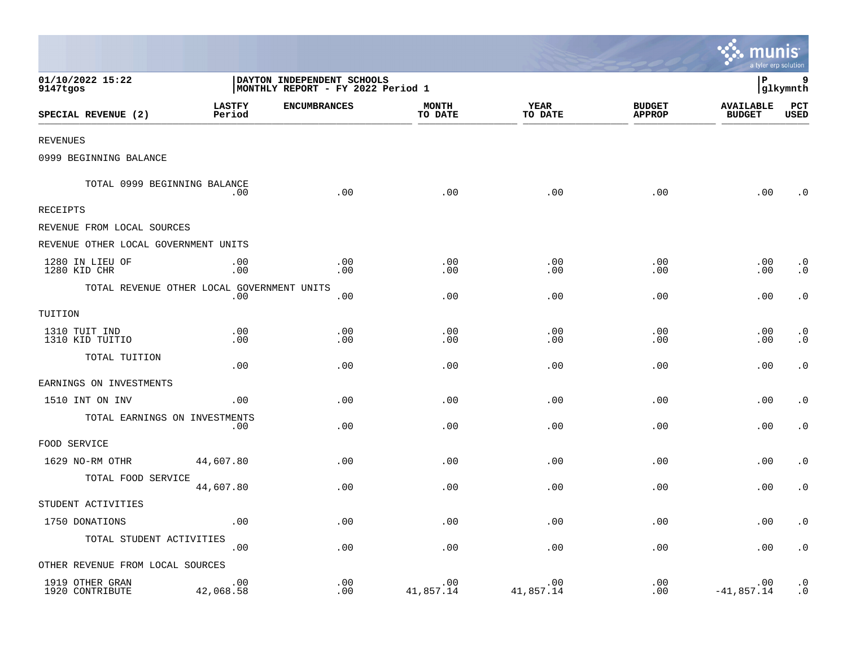|                                      |                                                   |                                                                 |                         |                        |                                | munis<br>a tyler erp solution     |                           |
|--------------------------------------|---------------------------------------------------|-----------------------------------------------------------------|-------------------------|------------------------|--------------------------------|-----------------------------------|---------------------------|
| 01/10/2022 15:22<br>9147tgos         |                                                   | DAYTON INDEPENDENT SCHOOLS<br>MONTHLY REPORT - FY 2022 Period 1 |                         |                        |                                | l P                               | 9<br>glkymnth             |
| SPECIAL REVENUE (2)                  | <b>LASTFY</b><br>Period                           | <b>ENCUMBRANCES</b>                                             | <b>MONTH</b><br>TO DATE | <b>YEAR</b><br>TO DATE | <b>BUDGET</b><br><b>APPROP</b> | <b>AVAILABLE</b><br><b>BUDGET</b> | <b>PCT</b><br><b>USED</b> |
| <b>REVENUES</b>                      |                                                   |                                                                 |                         |                        |                                |                                   |                           |
| 0999 BEGINNING BALANCE               |                                                   |                                                                 |                         |                        |                                |                                   |                           |
| TOTAL 0999 BEGINNING BALANCE         | .00                                               | .00                                                             | .00                     | .00                    | .00                            | .00                               | . 0                       |
| <b>RECEIPTS</b>                      |                                                   |                                                                 |                         |                        |                                |                                   |                           |
| REVENUE FROM LOCAL SOURCES           |                                                   |                                                                 |                         |                        |                                |                                   |                           |
| REVENUE OTHER LOCAL GOVERNMENT UNITS |                                                   |                                                                 |                         |                        |                                |                                   |                           |
| 1280 IN LIEU OF<br>1280 KID CHR      | .00<br>.00                                        | .00<br>.00                                                      | .00<br>.00              | .00<br>.00             | .00<br>.00                     | .00<br>.00                        | $\cdot$ 0<br>$\cdot$ 0    |
|                                      | TOTAL REVENUE OTHER LOCAL GOVERNMENT UNITS<br>.00 | .00                                                             | .00                     | .00                    | .00                            | .00                               | $\cdot$ 0                 |
| TUITION                              |                                                   |                                                                 |                         |                        |                                |                                   |                           |
| 1310 TUIT IND<br>1310 KID TUITIO     | .00<br>.00                                        | .00<br>.00                                                      | .00<br>.00              | .00<br>.00             | .00<br>.00                     | .00<br>.00                        | $\cdot$ 0<br>$\cdot$ 0    |
| TOTAL TUITION                        | .00                                               | .00                                                             | .00                     | .00                    | .00                            | .00                               | $\cdot$ 0                 |
| EARNINGS ON INVESTMENTS              |                                                   |                                                                 |                         |                        |                                |                                   |                           |
| 1510 INT ON INV                      | .00                                               | .00                                                             | .00                     | .00                    | .00                            | .00                               | $\cdot$ 0                 |
| TOTAL EARNINGS ON INVESTMENTS        | .00                                               | .00                                                             | .00                     | .00                    | .00                            | .00                               | $\cdot$ 0                 |
| FOOD SERVICE                         |                                                   |                                                                 |                         |                        |                                |                                   |                           |
| 1629 NO-RM OTHR                      | 44,607.80                                         | .00                                                             | .00                     | .00                    | .00                            | .00                               | $\cdot$ 0                 |
| TOTAL FOOD SERVICE                   | 44,607.80                                         | .00                                                             | .00                     | .00                    | .00                            | .00                               | $\cdot$ 0                 |
| STUDENT ACTIVITIES                   |                                                   |                                                                 |                         |                        |                                |                                   |                           |
| 1750 DONATIONS                       | .00                                               | .00                                                             | .00                     | .00                    | .00                            | .00                               | $\cdot$ 0                 |
| TOTAL STUDENT ACTIVITIES             | .00                                               | .00                                                             | .00                     | .00                    | .00                            | .00                               | $\cdot$ 0                 |
| OTHER REVENUE FROM LOCAL SOURCES     |                                                   |                                                                 |                         |                        |                                |                                   |                           |
| 1919 OTHER GRAN<br>1920 CONTRIBUTE   | .00<br>42,068.58                                  | .00<br>.00                                                      | .00<br>41,857.14        | .00<br>41,857.14       | .00<br>.00                     | .00<br>$-41,857.14$               | $\cdot$ 0<br>$\cdot$ 0    |

and the contract of the contract of the contract of the contract of the contract of the contract of the contract of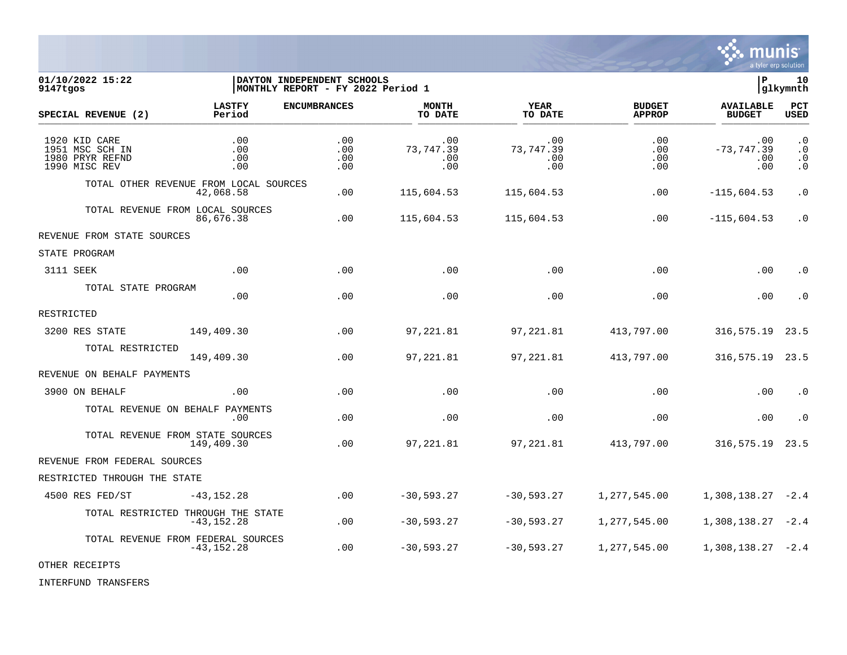

01/10/2022 15:22 **| DAYTON INDEPENDENT SCHOOLS**<br>9147tqos | QIkymnth | MONTHLY REPORT - FY 2022 Period 1 **9147tgos |MONTHLY REPORT - FY 2022 Period 1 |glkymnth LASTFY ENCUMBRANCES MONTH YEAR BUDGET AVAILABLE PCT SPECIAL REVENUE (2) Period TO DATE TO DATE APPROP BUDGET USED** \_\_\_\_\_\_\_\_\_\_\_\_\_\_\_\_\_\_\_\_\_\_\_\_\_\_\_\_\_\_\_\_\_\_\_\_\_\_\_\_\_\_\_\_\_\_\_\_\_\_\_\_\_\_\_\_\_\_\_\_\_\_\_\_ \_\_\_\_\_\_\_\_\_\_\_\_\_\_\_\_\_ \_\_\_\_\_\_\_\_\_\_\_\_\_\_\_\_\_\_ \_\_\_\_\_\_\_\_\_\_\_\_\_\_ \_\_\_\_\_\_\_\_\_\_\_\_\_\_\_ 1920 KID CARE .00 .00 .00 .00 .00 .00 .0 1951 MSC SCH IN .00 .00 73,747.39 73,747.39 .00 -73,747.39 .0 1980 PRYR REFND .00 .00 .00 .00 .00 .00 .0 1990 MISC REV .00 .00 .00 .00 .00 .00 .0 TOTAL OTHER REVENUE FROM LOCAL SOURCES 42,068.58 .00 115,604.53 115,604.53 .00 -115,604.53 .0 TOTAL REVENUE FROM LOCAL SOURCES<br>86.676.38 86,676.38 .00 115,604.53 115,604.53 .00 -115,604.53 .0 REVENUE FROM STATE SOURCES STATE PROGRAM 3111 SEEK .00 .00 .00 .00 .00 .00 .0 TOTAL STATE PROGRAM .00 .00 .00 .00 .00 .00 .0 RESTRICTED 3200 RES STATE 149,409.30 .00 97,221.81 97,221.81 413,797.00 316,575.19 23.5 TOTAL RESTRICTED 149,409.30 .00 97,221.81 97,221.81 413,797.00 316,575.19 23.5 REVENUE ON BEHALF PAYMENTS 3900 ON BEHALF .00 .00 .00 .00 .00 .00 .0 TOTAL REVENUE ON BEHALF PAYMENTS .00 .00 .00 .00 .00 .00 .0 TOTAL REVENUE FROM STATE SOURCES 149,409.30 .00 97,221.81 97,221.81 413,797.00 316,575.19 23.5 REVENUE FROM FEDERAL SOURCES RESTRICTED THROUGH THE STATE 4500 RES FED/ST -43,152.28 .00 -30,593.27 -30,593.27 1,277,545.00 1,308,138.27 -2.4 TOTAL RESTRICTED THROUGH THE STATE<br>43.152.28 -43,152.28 .00 -30,593.27 -30,593.27 1,277,545.00 1,308,138.27 -2.4 TOTAL REVENUE FROM FEDERAL SOURCES<br>43,152.28 -43,152.28 .00 -30,593.27 -30,593.27 1,277,545.00 1,308,138.27 -2.4

OTHER RECEIPTS

INTERFUND TRANSFERS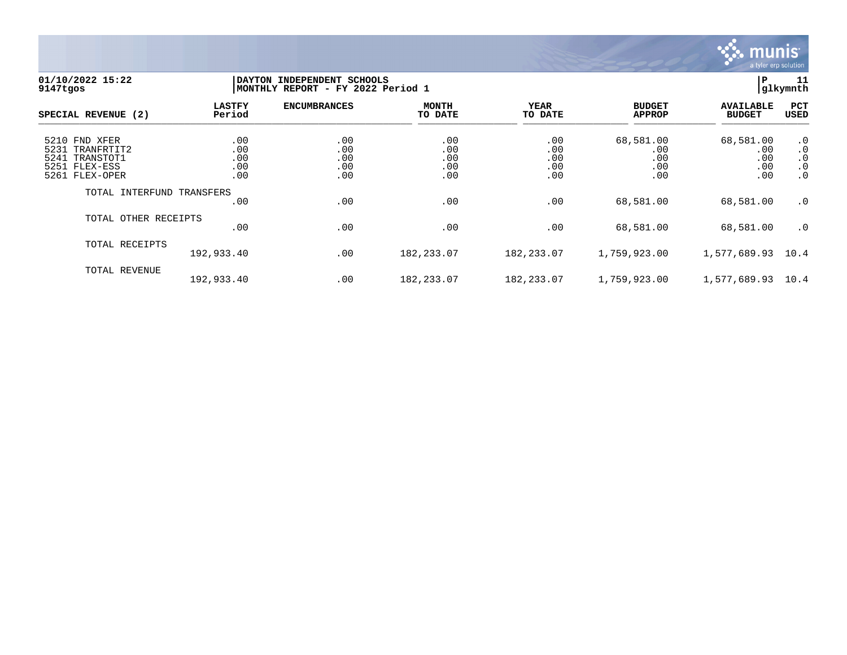

## **01/10/2022 15:22 |DAYTON INDEPENDENT SCHOOLS |P 11 9147tgos |MONTHLY REPORT - FY 2022 Period 1 |glkymnth**

| SPECIAL REVENUE (2)                                                                         | <b>LASTFY</b><br>Period         | <b>ENCUMBRANCES</b>             | <b>MONTH</b><br>TO DATE         | <b>YEAR</b><br>TO DATE          | <b>BUDGET</b><br><b>APPROP</b>        | <b>AVAILABLE</b><br><b>BUDGET</b>     | PCT<br><b>USED</b>                              |
|---------------------------------------------------------------------------------------------|---------------------------------|---------------------------------|---------------------------------|---------------------------------|---------------------------------------|---------------------------------------|-------------------------------------------------|
| 5210 FND XFER<br>5231<br>TRANFRTIT2<br>TRANSTOT1<br>5241<br>5251 FLEX-ESS<br>5261 FLEX-OPER | .00<br>.00<br>.00<br>.00<br>.00 | .00<br>.00<br>.00<br>.00<br>.00 | .00<br>.00<br>.00<br>.00<br>.00 | .00<br>.00<br>.00<br>.00<br>.00 | 68,581.00<br>.00<br>.00<br>.00<br>.00 | 68,581.00<br>.00<br>.00<br>.00<br>.00 | $\cdot$ 0<br>.0<br>.0<br>$\cdot$ 0<br>$\cdot$ 0 |
| TOTAL INTERFUND TRANSFERS                                                                   | .00                             | .00                             | .00                             | .00                             | 68,581.00                             | 68,581.00                             | $\cdot$ 0                                       |
| TOTAL OTHER RECEIPTS                                                                        | .00                             | .00                             | .00                             | .00                             | 68,581.00                             | 68,581.00                             | $\cdot$ 0                                       |
| TOTAL RECEIPTS                                                                              | 192,933.40                      | .00                             | 182, 233.07                     | 182,233.07                      | 1,759,923.00                          | 1,577,689.93                          | 10.4                                            |
| TOTAL REVENUE                                                                               | 192,933.40                      | .00                             | 182,233.07                      | 182,233.07                      | 1,759,923.00                          | 1,577,689.93                          | 10.4                                            |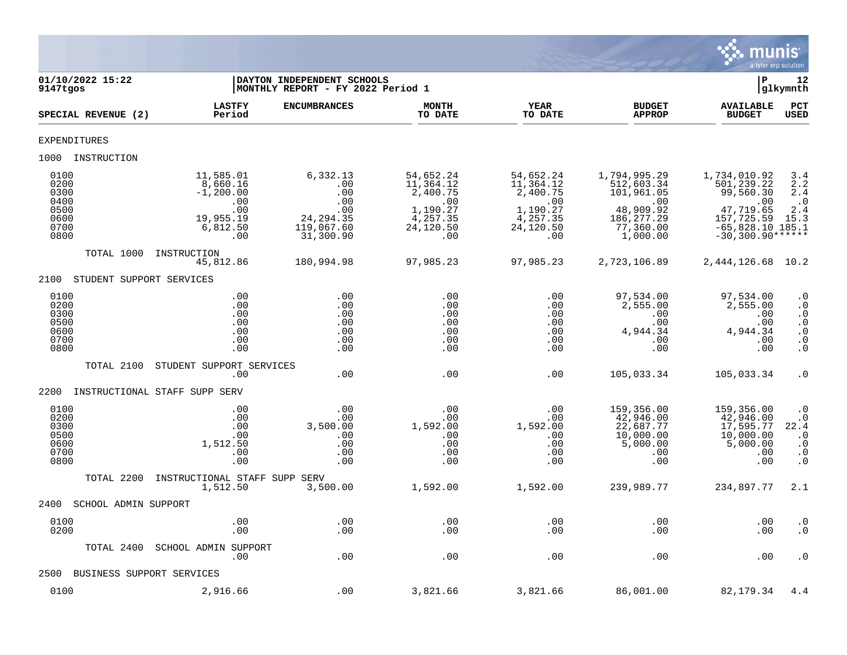

| 01/10/2022 15:22<br>9147tgos                                 |                                                                                     | DAYTON INDEPENDENT SCHOOLS<br> MONTHLY REPORT - FY 2022 Period 1              |                                                                                       |                                                                                       |                                                                                                       | ΙP                                                                                                                    | 12<br> glkymnth                                                                                               |
|--------------------------------------------------------------|-------------------------------------------------------------------------------------|-------------------------------------------------------------------------------|---------------------------------------------------------------------------------------|---------------------------------------------------------------------------------------|-------------------------------------------------------------------------------------------------------|-----------------------------------------------------------------------------------------------------------------------|---------------------------------------------------------------------------------------------------------------|
| SPECIAL REVENUE (2)                                          | <b>LASTFY</b><br>Period                                                             | <b>ENCUMBRANCES</b>                                                           | <b>MONTH</b><br>TO DATE                                                               | <b>YEAR</b><br>TO DATE                                                                | <b>BUDGET</b><br><b>APPROP</b>                                                                        | <b>AVAILABLE</b><br><b>BUDGET</b>                                                                                     | PCT<br><b>USED</b>                                                                                            |
| <b>EXPENDITURES</b>                                          |                                                                                     |                                                                               |                                                                                       |                                                                                       |                                                                                                       |                                                                                                                       |                                                                                                               |
| 1000 INSTRUCTION                                             |                                                                                     |                                                                               |                                                                                       |                                                                                       |                                                                                                       |                                                                                                                       |                                                                                                               |
| 0100<br>0200<br>0300<br>0400<br>0500<br>0600<br>0700<br>0800 | 11,585.01<br>8,660.16<br>$-1, 200.00$<br>.00<br>.00<br>19,955.19<br>6,812.50<br>.00 | 6,332.13<br>.00<br>.00<br>.00<br>.00<br>24, 294.35<br>119,067.60<br>31,300.90 | 54,652.24<br>11,364.12<br>2,400.75<br>.00<br>1,190.27<br>4,257.35<br>24,120.50<br>.00 | 54,652.24<br>11,364.12<br>2,400.75<br>.00<br>1,190.27<br>4,257.35<br>24,120.50<br>.00 | 1,794,995.29<br>512,603.34<br>101,961.05<br>.00<br>48,909.92<br>186, 277. 29<br>77,360.00<br>1,000.00 | 1,734,010.92<br>501,239.22<br>99,560.30<br>.00<br>47,719.65<br>157,725.59<br>$-65,828.10$ 185.1<br>$-30,300.90******$ | 3.4<br>2.2<br>2.4<br>$\cdot$ 0<br>2.4<br>15.3                                                                 |
| TOTAL 1000                                                   | INSTRUCTION<br>45,812.86                                                            | 180,994.98                                                                    | 97,985.23                                                                             | 97,985.23                                                                             | 2,723,106.89                                                                                          | 2, 444, 126.68                                                                                                        | 10.2                                                                                                          |
| 2100                                                         | STUDENT SUPPORT SERVICES                                                            |                                                                               |                                                                                       |                                                                                       |                                                                                                       |                                                                                                                       |                                                                                                               |
| 0100<br>0200<br>0300<br>0500<br>0600<br>0700<br>0800         | .00<br>.00<br>.00<br>.00<br>.00<br>.00<br>.00                                       | .00<br>.00<br>.00<br>.00<br>.00<br>.00<br>.00                                 | .00<br>.00<br>.00<br>.00<br>.00<br>.00<br>.00                                         | .00<br>.00<br>.00<br>.00<br>.00<br>.00<br>.00                                         | 97,534.00<br>2,555.00<br>.00<br>.00<br>4,944.34<br>.00<br>.00                                         | 97,534.00<br>2,555.00<br>.00<br>.00<br>4,944.34<br>.00<br>.00                                                         | $\cdot$ 0<br>$\cdot$ 0<br>$\boldsymbol{\cdot}$ 0<br>$\cdot$ 0<br>$\cdot$ 0<br>$\cdot$ 0<br>. $\boldsymbol{0}$ |
| TOTAL 2100                                                   | STUDENT SUPPORT SERVICES<br>.00                                                     | .00                                                                           | .00                                                                                   | .00                                                                                   | 105,033.34                                                                                            | 105,033.34                                                                                                            | $\cdot$ 0                                                                                                     |
| 2200                                                         | INSTRUCTIONAL STAFF SUPP SERV                                                       |                                                                               |                                                                                       |                                                                                       |                                                                                                       |                                                                                                                       |                                                                                                               |
| 0100<br>0200<br>0300<br>0500<br>0600<br>0700<br>0800         | .00<br>.00<br>.00<br>.00<br>1,512.50<br>.00<br>.00                                  | .00<br>.00<br>3,500.00<br>.00<br>.00<br>.00<br>.00                            | .00<br>.00<br>1,592.00<br>.00<br>.00<br>.00<br>.00                                    | .00<br>.00<br>1,592.00<br>.00<br>.00<br>.00<br>.00                                    | 159,356.00<br>42,946.00<br>22,687.77<br>10,000.00<br>5,000.00<br>.00<br>.00                           | 159,356.00<br>42,946.00<br>17,595.77<br>10,000.00<br>5,000.00<br>.00<br>.00                                           | $\cdot$ 0<br>$\cdot$ 0<br>22.4<br>$\cdot$ 0<br>$\cdot$ 0<br>$\cdot$ 0<br>$\cdot$ 0                            |
| TOTAL 2200                                                   | INSTRUCTIONAL STAFF SUPP SERV<br>1,512.50                                           | 3,500.00                                                                      | 1,592.00                                                                              | 1,592.00                                                                              | 239,989.77                                                                                            | 234,897.77                                                                                                            | 2.1                                                                                                           |
| 2400                                                         | SCHOOL ADMIN SUPPORT                                                                |                                                                               |                                                                                       |                                                                                       |                                                                                                       |                                                                                                                       |                                                                                                               |
| 0100<br>0200                                                 | .00<br>.00                                                                          | .00<br>.00                                                                    | .00<br>.00                                                                            | .00<br>.00                                                                            | .00<br>.00                                                                                            | .00<br>.00                                                                                                            | $\cdot$ 0<br>$\cdot$ 0                                                                                        |
| TOTAL 2400                                                   | SCHOOL ADMIN SUPPORT<br>.00                                                         | .00                                                                           | .00                                                                                   | .00                                                                                   | .00                                                                                                   | .00                                                                                                                   | $\cdot$ 0                                                                                                     |
| 2500                                                         | BUSINESS SUPPORT SERVICES                                                           |                                                                               |                                                                                       |                                                                                       |                                                                                                       |                                                                                                                       |                                                                                                               |
| 0100                                                         | 2,916.66                                                                            | .00                                                                           | 3,821.66                                                                              | 3,821.66                                                                              | 86,001.00                                                                                             | 82,179.34                                                                                                             | 4.4                                                                                                           |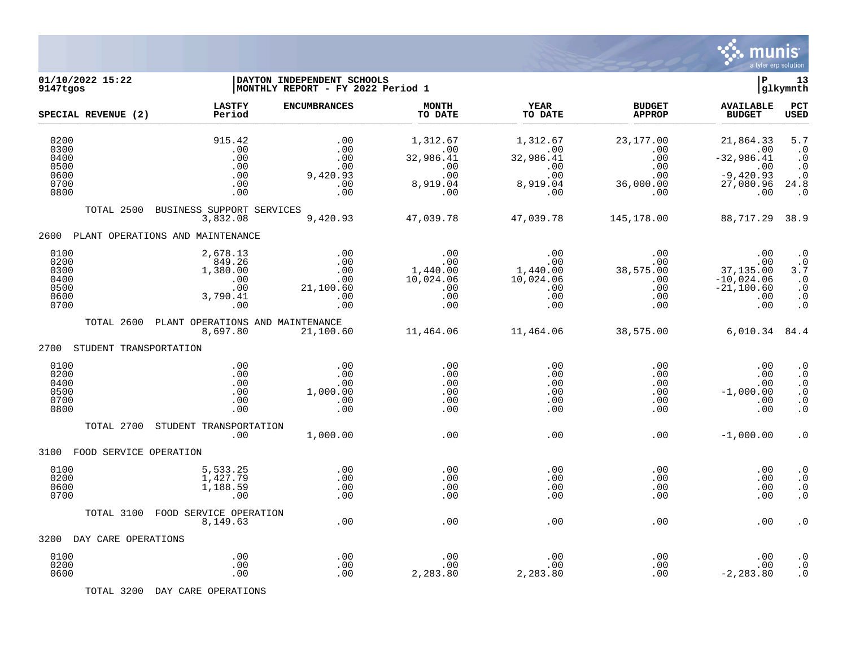

| 01/10/2022 15:22<br>9147tgos                         |                                                                 | DAYTON INDEPENDENT SCHOOLS<br>MONTHLY REPORT - FY 2022 Period 1 |                                                               |                                                               |                                                            | Þ                                                                          | 13<br> glkymnth                                                                   |
|------------------------------------------------------|-----------------------------------------------------------------|-----------------------------------------------------------------|---------------------------------------------------------------|---------------------------------------------------------------|------------------------------------------------------------|----------------------------------------------------------------------------|-----------------------------------------------------------------------------------|
| SPECIAL REVENUE (2)                                  | <b>LASTFY</b><br>Period                                         | <b>ENCUMBRANCES</b>                                             | <b>MONTH</b><br>TO DATE                                       | <b>YEAR</b><br>TO DATE                                        | <b>BUDGET</b><br><b>APPROP</b>                             | <b>AVAILABLE</b><br><b>BUDGET</b>                                          | PCT<br><b>USED</b>                                                                |
| 0200<br>0300<br>0400<br>0500<br>0600<br>0700<br>0800 | 915.42<br>.00<br>.00<br>.00<br>.00<br>.00<br>.00                | .00<br>.00<br>.00<br>.00<br>9,420.93<br>.00<br>.00              | 1,312.67<br>.00<br>32,986.41<br>.00<br>.00<br>8,919.04<br>.00 | 1,312.67<br>.00<br>32,986.41<br>.00<br>.00<br>8,919.04<br>.00 | 23, 177.00<br>.00<br>.00<br>.00<br>.00<br>36,000.00<br>.00 | 21,864.33<br>.00<br>$-32,986.41$<br>.00<br>$-9,420.93$<br>27,080.96<br>.00 | 5.7<br>$\cdot$ 0<br>$\cdot$ 0<br>$\cdot$ 0<br>$\cdot$ 0<br>24.8<br>$\cdot$ 0      |
| TOTAL 2500                                           | BUSINESS SUPPORT SERVICES<br>3,832.08                           | 9,420.93                                                        | 47,039.78                                                     | 47,039.78                                                     | 145,178.00                                                 | 88,717.29                                                                  | 38.9                                                                              |
| 2600                                                 | PLANT OPERATIONS AND MAINTENANCE                                |                                                                 |                                                               |                                                               |                                                            |                                                                            |                                                                                   |
| 0100<br>0200<br>0300<br>0400<br>0500<br>0600<br>0700 | 2,678.13<br>849.26<br>1,380.00<br>.00<br>.00<br>3,790.41<br>.00 | .00<br>.00<br>.00<br>.00<br>21,100.60<br>.00<br>.00             | .00<br>.00<br>1,440.00<br>10,024.06<br>.00<br>.00<br>.00      | .00<br>.00<br>1,440.00<br>10,024.06<br>.00<br>.00<br>.00      | .00<br>.00<br>38,575.00<br>.00<br>.00<br>.00<br>.00        | .00<br>.00<br>37,135.00<br>$-10,024.06$<br>$-21, 100.60$<br>.00<br>.00     | $\cdot$ 0<br>$\cdot$ 0<br>3.7<br>$\cdot$ 0<br>$\cdot$ 0<br>$\cdot$ 0<br>$\cdot$ 0 |
| TOTAL 2600                                           | PLANT OPERATIONS AND MAINTENANCE<br>8,697.80                    | 21,100.60                                                       | 11,464.06                                                     | 11,464.06                                                     | 38,575.00                                                  | 6,010.34                                                                   | 84.4                                                                              |
| 2700<br>STUDENT TRANSPORTATION                       |                                                                 |                                                                 |                                                               |                                                               |                                                            |                                                                            |                                                                                   |
| 0100<br>0200<br>0400<br>0500<br>0700<br>0800         | .00<br>.00<br>.00<br>.00<br>.00<br>.00                          | .00<br>.00<br>.00<br>1,000.00<br>.00<br>.00                     | .00<br>.00<br>.00<br>.00<br>.00<br>.00                        | .00<br>.00<br>.00<br>.00<br>.00<br>.00                        | .00<br>.00<br>.00<br>.00<br>.00<br>.00                     | .00<br>.00<br>.00<br>$-1,000.00$<br>.00<br>.00                             | $\cdot$ 0<br>$\cdot$ 0<br>$\cdot$ 0<br>$\cdot$ 0<br>$\cdot$ 0<br>$\cdot$ 0        |
| TOTAL 2700                                           | STUDENT TRANSPORTATION<br>.00                                   | 1,000.00                                                        | .00                                                           | .00                                                           | .00                                                        | $-1,000.00$                                                                | $\cdot$ 0                                                                         |
| FOOD SERVICE OPERATION<br>3100                       |                                                                 |                                                                 |                                                               |                                                               |                                                            |                                                                            |                                                                                   |
| 0100<br>0200<br>0600<br>0700                         | 5,533.25<br>1,427.79<br>1,188.59<br>.00                         | .00<br>.00<br>.00<br>.00                                        | .00<br>.00<br>.00<br>.00                                      | .00<br>.00<br>.00<br>.00                                      | .00<br>.00<br>.00<br>.00                                   | .00<br>.00<br>.00<br>.00                                                   | $\cdot$ 0<br>$\cdot$ 0<br>$\cdot$ 0<br>$\cdot$ 0                                  |
| TOTAL 3100                                           | FOOD SERVICE OPERATION                                          |                                                                 |                                                               |                                                               |                                                            |                                                                            |                                                                                   |
| DAY CARE OPERATIONS<br>3200                          | 8,149.63                                                        | .00                                                             | .00                                                           | .00                                                           | .00                                                        | .00                                                                        | . 0                                                                               |
| 0100<br>0200<br>0600                                 | .00<br>.00<br>.00                                               | .00<br>.00<br>.00                                               | .00<br>.00<br>2,283.80                                        | .00<br>.00<br>2,283.80                                        | .00<br>.00<br>.00                                          | .00<br>.00<br>$-2, 283.80$                                                 | $\cdot$ 0<br>$\cdot$ 0<br>. $\boldsymbol{0}$                                      |

TOTAL 3200 DAY CARE OPERATIONS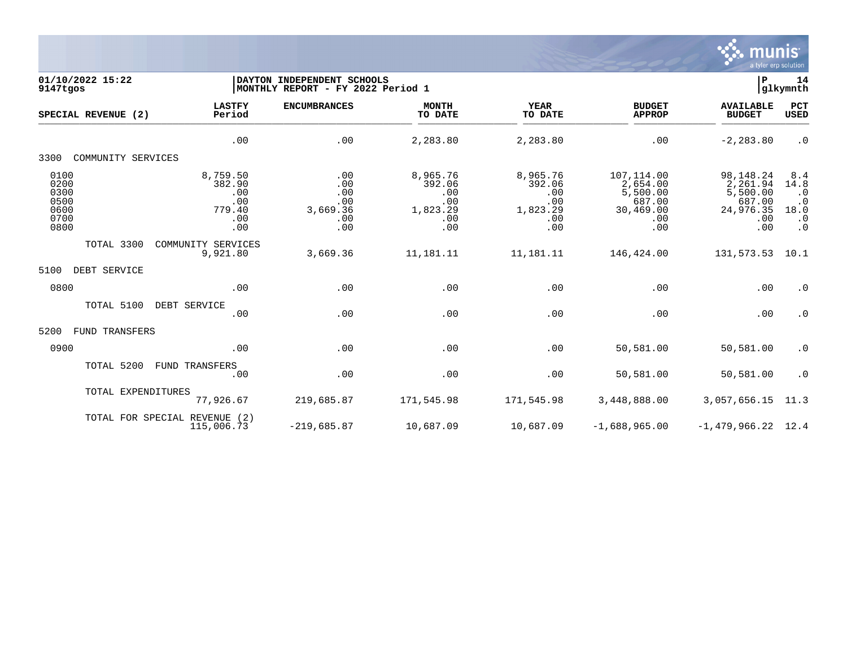

| 01/10/2022 15:22<br>9147tgos                         |                                                          | DAYTON INDEPENDENT SCHOOLS<br>MONTHLY REPORT - FY 2022 Period 1 |                                                            |                                                            |                                                                         |                                                                        |                                                                         |
|------------------------------------------------------|----------------------------------------------------------|-----------------------------------------------------------------|------------------------------------------------------------|------------------------------------------------------------|-------------------------------------------------------------------------|------------------------------------------------------------------------|-------------------------------------------------------------------------|
| SPECIAL REVENUE (2)                                  | <b>LASTFY</b><br>Period                                  | <b>ENCUMBRANCES</b>                                             | <b>MONTH</b><br>TO DATE                                    | <b>YEAR</b><br>TO DATE                                     | <b>BUDGET</b><br><b>APPROP</b>                                          | <b>AVAILABLE</b><br><b>BUDGET</b>                                      | PCT<br><b>USED</b>                                                      |
|                                                      | .00                                                      | .00                                                             | 2,283.80                                                   | 2,283.80                                                   | .00                                                                     | $-2, 283.80$                                                           | $\cdot$ 0                                                               |
| COMMUNITY SERVICES<br>3300                           |                                                          |                                                                 |                                                            |                                                            |                                                                         |                                                                        |                                                                         |
| 0100<br>0200<br>0300<br>0500<br>0600<br>0700<br>0800 | 8,759.50<br>382.90<br>.00<br>.00<br>779.40<br>.00<br>.00 | .00<br>.00<br>.00<br>.00<br>3,669.36<br>.00<br>.00              | 8,965.76<br>392.06<br>.00<br>.00<br>1,823.29<br>.00<br>.00 | 8,965.76<br>392.06<br>.00<br>.00<br>1,823.29<br>.00<br>.00 | 107,114.00<br>2,654.00<br>5,500.00<br>687.00<br>30,469.00<br>.00<br>.00 | 98,148.24<br>2,261.94<br>5,500.00<br>687.00<br>24,976.35<br>.00<br>.00 | 8.4<br>14.8<br>$\cdot$ 0<br>$\cdot$ 0<br>18.0<br>$\cdot$ 0<br>$\cdot$ 0 |
| TOTAL 3300                                           | COMMUNITY SERVICES<br>9,921.80                           | 3,669.36                                                        | 11,181.11                                                  | 11,181.11                                                  | 146,424.00                                                              | 131,573.53                                                             | 10.1                                                                    |
| 5100<br>DEBT SERVICE                                 |                                                          |                                                                 |                                                            |                                                            |                                                                         |                                                                        |                                                                         |
| 0800                                                 | .00                                                      | .00                                                             | .00                                                        | .00                                                        | .00                                                                     | .00                                                                    | $\cdot$ 0                                                               |
| TOTAL 5100                                           | DEBT SERVICE<br>.00                                      | .00                                                             | .00                                                        | .00                                                        | .00                                                                     | .00                                                                    | $\cdot$ 0                                                               |
| 5200<br>FUND TRANSFERS                               |                                                          |                                                                 |                                                            |                                                            |                                                                         |                                                                        |                                                                         |
| 0900                                                 | .00                                                      | .00                                                             | .00                                                        | .00                                                        | 50,581.00                                                               | 50,581.00                                                              | $\cdot$ 0                                                               |
| TOTAL 5200                                           | FUND TRANSFERS<br>.00                                    | .00                                                             | .00                                                        | .00                                                        | 50,581.00                                                               | 50,581.00                                                              | $\cdot$ 0                                                               |
| TOTAL EXPENDITURES                                   | 77,926.67                                                | 219,685.87                                                      | 171,545.98                                                 | 171,545.98                                                 | 3,448,888.00                                                            | 3,057,656.15                                                           | 11.3                                                                    |
|                                                      | TOTAL FOR SPECIAL REVENUE (2)<br>115,006.73              | $-219,685.87$                                                   | 10,687.09                                                  | 10,687.09                                                  | $-1,688,965.00$                                                         | $-1,479,966.22$                                                        | 12.4                                                                    |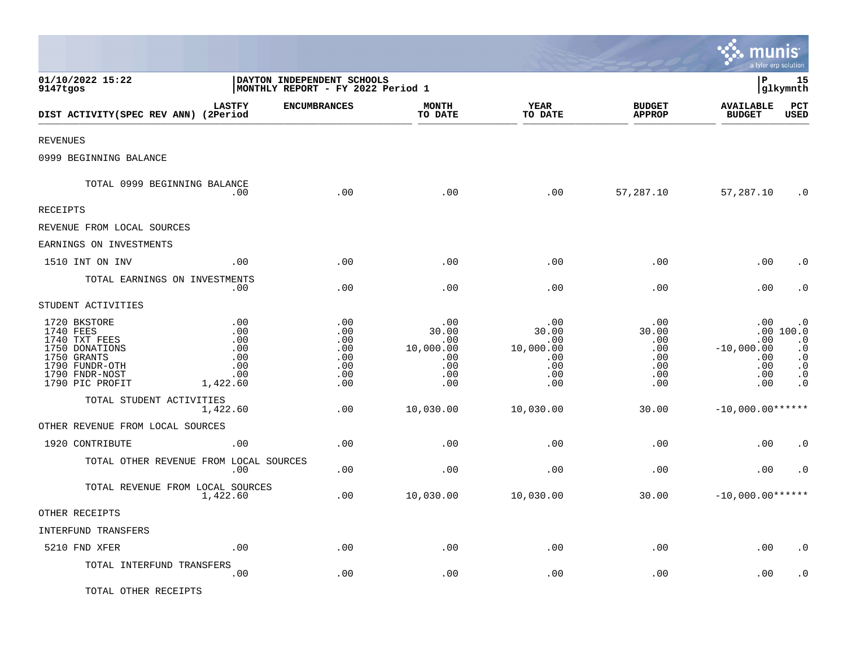|                                                                                                                                    |                                                           |                                                                  |                                                              |                                                              |                                                        | munis<br>a tyler erp solution                          |                                                                                                |
|------------------------------------------------------------------------------------------------------------------------------------|-----------------------------------------------------------|------------------------------------------------------------------|--------------------------------------------------------------|--------------------------------------------------------------|--------------------------------------------------------|--------------------------------------------------------|------------------------------------------------------------------------------------------------|
| 01/10/2022 15:22<br>9147tgos                                                                                                       |                                                           | DAYTON INDEPENDENT SCHOOLS<br> MONTHLY REPORT - FY 2022 Period 1 |                                                              |                                                              |                                                        | lР                                                     | 15<br> glkymnth                                                                                |
| DIST ACTIVITY(SPEC REV ANN) (2Period                                                                                               | <b>LASTFY</b>                                             | <b>ENCUMBRANCES</b>                                              | MONTH<br>TO DATE                                             | YEAR<br>TO DATE                                              | <b>BUDGET</b><br><b>APPROP</b>                         | <b>AVAILABLE</b><br><b>BUDGET</b>                      | PCT<br><b>USED</b>                                                                             |
| <b>REVENUES</b>                                                                                                                    |                                                           |                                                                  |                                                              |                                                              |                                                        |                                                        |                                                                                                |
| 0999 BEGINNING BALANCE                                                                                                             |                                                           |                                                                  |                                                              |                                                              |                                                        |                                                        |                                                                                                |
| TOTAL 0999 BEGINNING BALANCE                                                                                                       | .00                                                       | .00                                                              | .00                                                          | .00                                                          | 57,287.10                                              | 57,287.10                                              | $\cdot$ 0                                                                                      |
| RECEIPTS                                                                                                                           |                                                           |                                                                  |                                                              |                                                              |                                                        |                                                        |                                                                                                |
| REVENUE FROM LOCAL SOURCES                                                                                                         |                                                           |                                                                  |                                                              |                                                              |                                                        |                                                        |                                                                                                |
| EARNINGS ON INVESTMENTS                                                                                                            |                                                           |                                                                  |                                                              |                                                              |                                                        |                                                        |                                                                                                |
| 1510 INT ON INV                                                                                                                    | .00                                                       | .00                                                              | .00                                                          | .00                                                          | .00                                                    | .00                                                    | . 0                                                                                            |
|                                                                                                                                    | TOTAL EARNINGS ON INVESTMENTS<br>.00                      | .00                                                              | .00                                                          | .00                                                          | .00                                                    | .00                                                    | $\cdot$ 0                                                                                      |
| STUDENT ACTIVITIES                                                                                                                 |                                                           |                                                                  |                                                              |                                                              |                                                        |                                                        |                                                                                                |
| 1720 BKSTORE<br>1740 FEES<br>1740 TXT FEES<br>1750 DONATIONS<br>1750 GRANTS<br>1790 FUNDR-OTH<br>1790 FNDR-NOST<br>1790 PIC PROFIT | .00<br>.00<br>.00<br>.00<br>.00<br>.00<br>.00<br>1,422.60 | .00<br>.00<br>.00<br>.00<br>.00<br>.00<br>.00<br>.00             | .00<br>30.00<br>.00<br>10,000.00<br>.00<br>.00<br>.00<br>.00 | .00<br>30.00<br>.00<br>10,000.00<br>.00<br>.00<br>.00<br>.00 | .00<br>30.00<br>.00<br>.00<br>.00<br>.00<br>.00<br>.00 | .00<br>.00<br>$-10,000.00$<br>.00<br>.00<br>.00<br>.00 | . 0<br>.00 100.0<br>$\cdot$ 0<br>$\cdot$ 0<br>$\cdot$ 0<br>$\cdot$ 0<br>$\cdot$ 0<br>$\cdot$ 0 |
| TOTAL STUDENT ACTIVITIES                                                                                                           | 1,422.60                                                  | .00                                                              | 10,030.00                                                    | 10,030.00                                                    | 30.00                                                  | $-10,000.00******$                                     |                                                                                                |
| OTHER REVENUE FROM LOCAL SOURCES                                                                                                   |                                                           |                                                                  |                                                              |                                                              |                                                        |                                                        |                                                                                                |
| 1920 CONTRIBUTE                                                                                                                    | .00                                                       | .00                                                              | .00                                                          | .00                                                          | .00                                                    | .00                                                    | $\cdot$ 0                                                                                      |
|                                                                                                                                    | TOTAL OTHER REVENUE FROM LOCAL SOURCES<br>.00             | .00                                                              | .00                                                          | .00                                                          | .00                                                    | .00                                                    | $\cdot$ 0                                                                                      |
|                                                                                                                                    | TOTAL REVENUE FROM LOCAL SOURCES<br>1,422.60              | .00                                                              | 10,030.00                                                    | 10,030.00                                                    | 30.00                                                  | $-10,000.00******$                                     |                                                                                                |
| OTHER RECEIPTS                                                                                                                     |                                                           |                                                                  |                                                              |                                                              |                                                        |                                                        |                                                                                                |
| INTERFUND TRANSFERS                                                                                                                |                                                           |                                                                  |                                                              |                                                              |                                                        |                                                        |                                                                                                |
| 5210 FND XFER                                                                                                                      | .00                                                       | .00                                                              | .00                                                          | .00                                                          | .00                                                    | .00                                                    | $\cdot$ 0                                                                                      |
| TOTAL INTERFUND TRANSFERS                                                                                                          | .00                                                       | .00                                                              | .00                                                          | .00                                                          | .00                                                    | .00                                                    | . 0                                                                                            |
| TOTAL OTHER RECEIPTS                                                                                                               |                                                           |                                                                  |                                                              |                                                              |                                                        |                                                        |                                                                                                |

 $\mathcal{L}$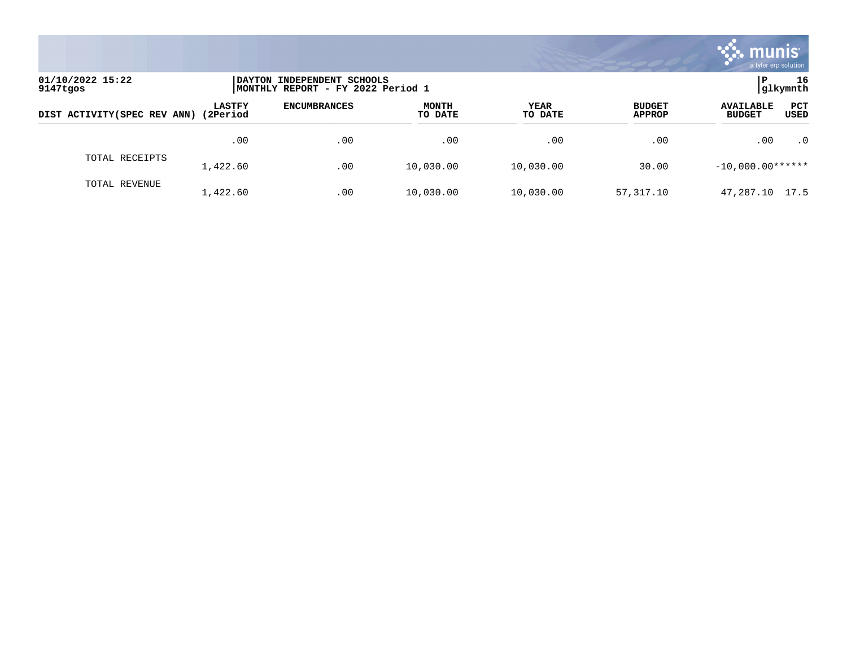

| 01/10/2022 15:22<br>9147tgos |                           | DAYTON INDEPENDENT SCHOOLS<br>MONTHLY REPORT - FY 2022 Period 1 |                         |                 |                                |                                                                |  |
|------------------------------|---------------------------|-----------------------------------------------------------------|-------------------------|-----------------|--------------------------------|----------------------------------------------------------------|--|
| DIST ACTIVITY (SPEC REV ANN) | <b>LASTFY</b><br>(2Period | <b>ENCUMBRANCES</b>                                             | <b>MONTH</b><br>TO DATE | YEAR<br>TO DATE | <b>BUDGET</b><br><b>APPROP</b> | <b>PCT</b><br><b>AVAILABLE</b><br><b>USED</b><br><b>BUDGET</b> |  |
|                              | .00                       | .00                                                             | .00                     | .00             | .00                            | $\cdot$ 0<br>.00                                               |  |
| TOTAL RECEIPTS               | 1,422.60                  | .00                                                             | 10,030.00               | 10,030.00       | 30.00                          | $-10,000.00******$                                             |  |
| TOTAL REVENUE                | 1,422.60                  | .00                                                             | 10,030.00               | 10,030.00       | 57,317.10                      | 47,287.10<br>17.5                                              |  |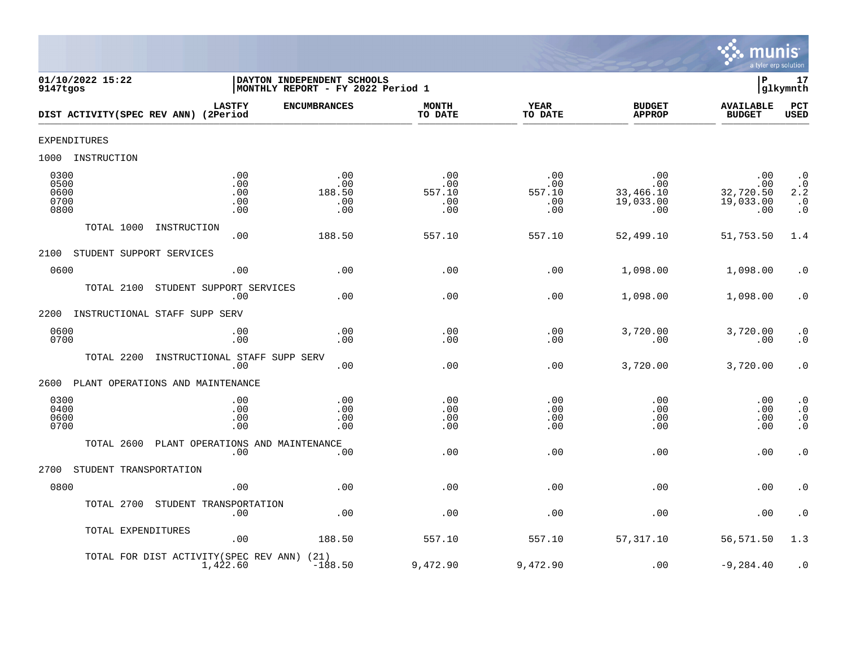

| 01/10/2022 15:22<br>9147tgos          |                                                    | 17<br>DAYTON INDEPENDENT SCHOOLS<br>ΙP<br>glkymnth<br> MONTHLY REPORT - FY 2022 Period 1 |                                    |                                    |                                             |                                             |                                                                              |  |  |  |
|---------------------------------------|----------------------------------------------------|------------------------------------------------------------------------------------------|------------------------------------|------------------------------------|---------------------------------------------|---------------------------------------------|------------------------------------------------------------------------------|--|--|--|
| DIST ACTIVITY(SPEC REV ANN) (2Period  | <b>LASTFY</b>                                      | <b>ENCUMBRANCES</b>                                                                      | <b>MONTH</b><br>TO DATE            | <b>YEAR</b><br>TO DATE             | <b>BUDGET</b><br><b>APPROP</b>              | <b>AVAILABLE</b><br><b>BUDGET</b>           | PCT<br>USED                                                                  |  |  |  |
| EXPENDITURES                          |                                                    |                                                                                          |                                    |                                    |                                             |                                             |                                                                              |  |  |  |
| 1000<br>INSTRUCTION                   |                                                    |                                                                                          |                                    |                                    |                                             |                                             |                                                                              |  |  |  |
| 0300<br>0500<br>0600<br>0700<br>0800  | .00<br>.00<br>.00<br>.00<br>.00                    | .00<br>.00<br>188.50<br>.00<br>.00                                                       | .00<br>.00<br>557.10<br>.00<br>.00 | .00<br>.00<br>557.10<br>.00<br>.00 | .00<br>.00<br>33,466.10<br>19,033.00<br>.00 | .00<br>.00<br>32,720.50<br>19,033.00<br>.00 | $\cdot$ 0<br>$2:2^{0}$<br>$\begin{smallmatrix} 0.1 \\ 0.1 \end{smallmatrix}$ |  |  |  |
| TOTAL 1000                            | INSTRUCTION<br>.00                                 | 188.50                                                                                   | 557.10                             | 557.10                             | 52,499.10                                   | 51,753.50                                   | 1.4                                                                          |  |  |  |
| STUDENT SUPPORT SERVICES<br>2100      |                                                    |                                                                                          |                                    |                                    |                                             |                                             |                                                                              |  |  |  |
| 0600                                  | .00                                                | .00                                                                                      | .00                                | .00                                | 1,098.00                                    | 1,098.00                                    | $\cdot$ 0                                                                    |  |  |  |
| TOTAL 2100                            | STUDENT SUPPORT SERVICES<br>.00                    | .00                                                                                      | .00                                | .00                                | 1,098.00                                    | 1,098.00                                    | $\boldsymbol{\cdot}$ 0                                                       |  |  |  |
| 2200<br>INSTRUCTIONAL STAFF SUPP SERV |                                                    |                                                                                          |                                    |                                    |                                             |                                             |                                                                              |  |  |  |
| 0600<br>0700                          | .00<br>.00                                         | .00<br>.00                                                                               | .00<br>.00                         | .00<br>.00                         | 3,720.00<br>.00                             | 3,720.00<br>.00                             | $\cdot$ 0<br>$\ddot{0}$                                                      |  |  |  |
| TOTAL 2200                            | INSTRUCTIONAL STAFF SUPP SERV<br>.00               | .00                                                                                      | .00                                | .00                                | 3,720.00                                    | 3,720.00                                    | $\cdot$ 0                                                                    |  |  |  |
| 2600                                  | PLANT OPERATIONS AND MAINTENANCE                   |                                                                                          |                                    |                                    |                                             |                                             |                                                                              |  |  |  |
| 0300<br>0400<br>0600<br>0700          | .00<br>.00<br>.00<br>.00                           | .00<br>.00<br>.00<br>.00                                                                 | .00<br>.00<br>.00<br>.00           | .00<br>.00<br>.00<br>.00           | .00<br>.00<br>.00<br>.00                    | .00<br>.00<br>.00<br>.00                    | $\begin{matrix} . & 0 \\ . & 0 \end{matrix}$<br>$\cdot$ 0<br>$\cdot$ 0       |  |  |  |
| TOTAL 2600                            | PLANT OPERATIONS AND MAINTENANCE<br>.00            | .00                                                                                      | .00                                | .00                                | .00                                         | .00                                         | $\cdot$ 0                                                                    |  |  |  |
| STUDENT TRANSPORTATION<br>2700        |                                                    |                                                                                          |                                    |                                    |                                             |                                             |                                                                              |  |  |  |
| 0800                                  | .00                                                | .00                                                                                      | .00                                | .00                                | .00                                         | .00                                         | $\cdot$ 0                                                                    |  |  |  |
| TOTAL 2700                            | STUDENT TRANSPORTATION<br>.00                      | .00                                                                                      | .00                                | .00                                | .00                                         | .00                                         | $\cdot$ 0                                                                    |  |  |  |
| TOTAL EXPENDITURES                    | .00                                                | 188.50                                                                                   | 557.10                             | 557.10                             | 57, 317.10                                  | 56,571.50                                   | 1.3                                                                          |  |  |  |
|                                       | TOTAL FOR DIST ACTIVITY (SPEC REV ANN)<br>1,422.60 | (21)<br>$-188.50$                                                                        | 9,472.90                           | 9,472.90                           | .00                                         | $-9, 284.40$                                | $\cdot$ 0                                                                    |  |  |  |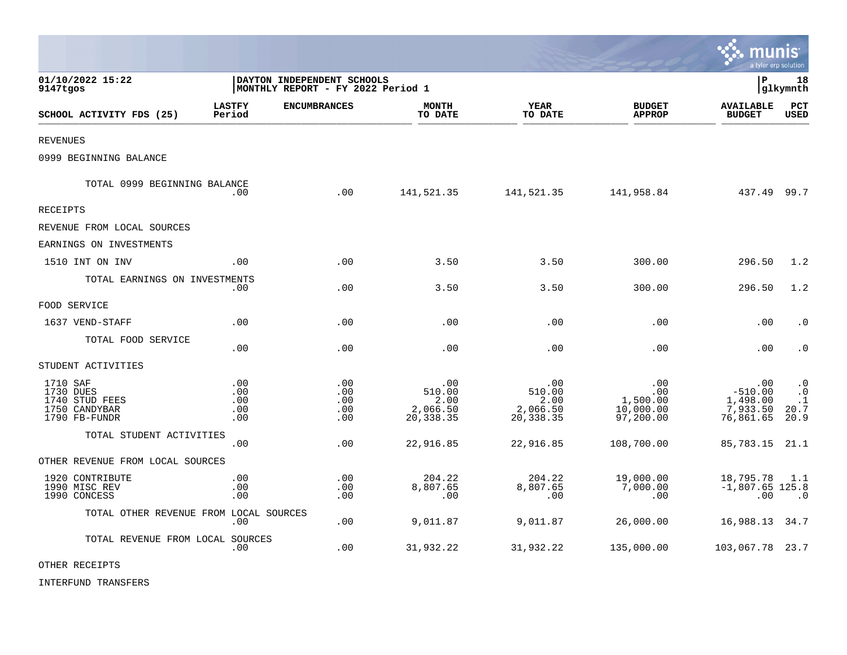|                                                                           |                                                                 |                                 |                                                |                                                |                                                   | munis                                                 | a tyler erp solution                                |
|---------------------------------------------------------------------------|-----------------------------------------------------------------|---------------------------------|------------------------------------------------|------------------------------------------------|---------------------------------------------------|-------------------------------------------------------|-----------------------------------------------------|
| 01/10/2022 15:22<br>9147tgos                                              | DAYTON INDEPENDENT SCHOOLS<br>MONTHLY REPORT - FY 2022 Period 1 |                                 |                                                |                                                |                                                   |                                                       | 18<br> glkymnth                                     |
| SCHOOL ACTIVITY FDS (25)                                                  | <b>LASTFY</b><br>Period                                         | <b>ENCUMBRANCES</b>             | <b>MONTH</b><br>TO DATE                        | <b>YEAR</b><br>TO DATE                         | <b>BUDGET</b><br><b>APPROP</b>                    | <b>AVAILABLE</b><br><b>BUDGET</b>                     | PCT<br><b>USED</b>                                  |
| <b>REVENUES</b>                                                           |                                                                 |                                 |                                                |                                                |                                                   |                                                       |                                                     |
| 0999 BEGINNING BALANCE                                                    |                                                                 |                                 |                                                |                                                |                                                   |                                                       |                                                     |
| TOTAL 0999 BEGINNING BALANCE                                              | .00                                                             | .00                             | 141,521.35                                     | 141,521.35                                     | 141,958.84                                        | 437.49 99.7                                           |                                                     |
| <b>RECEIPTS</b>                                                           |                                                                 |                                 |                                                |                                                |                                                   |                                                       |                                                     |
| REVENUE FROM LOCAL SOURCES                                                |                                                                 |                                 |                                                |                                                |                                                   |                                                       |                                                     |
| EARNINGS ON INVESTMENTS                                                   |                                                                 |                                 |                                                |                                                |                                                   |                                                       |                                                     |
| 1510 INT ON INV                                                           | .00                                                             | .00                             | 3.50                                           | 3.50                                           | 300.00                                            | 296.50                                                | 1.2                                                 |
| TOTAL EARNINGS ON INVESTMENTS                                             | .00                                                             | .00                             | 3.50                                           | 3.50                                           | 300.00                                            | 296.50                                                | 1.2                                                 |
| FOOD SERVICE                                                              |                                                                 |                                 |                                                |                                                |                                                   |                                                       |                                                     |
| 1637 VEND-STAFF                                                           | .00                                                             | .00                             | .00                                            | .00                                            | .00                                               | .00                                                   | $\cdot$ 0                                           |
| TOTAL FOOD SERVICE                                                        | .00                                                             | .00                             | .00                                            | .00                                            | .00                                               | .00                                                   | $\cdot$ 0                                           |
| STUDENT ACTIVITIES                                                        |                                                                 |                                 |                                                |                                                |                                                   |                                                       |                                                     |
| 1710 SAF<br>1730 DUES<br>1740 STUD FEES<br>1750 CANDYBAR<br>1790 FB-FUNDR | .00<br>.00<br>.00<br>.00<br>.00                                 | .00<br>.00<br>.00<br>.00<br>.00 | .00<br>510.00<br>2.00<br>2,066.50<br>20,338.35 | .00<br>510.00<br>2.00<br>2,066.50<br>20,338.35 | .00<br>.00.<br>1,500.00<br>10,000.00<br>97,200.00 | .00<br>$-510.00$<br>1,498.00<br>7,933.50<br>76,861.65 | $\cdot$ 0<br>$\cdot$ 0<br>$\cdot$ 1<br>20.7<br>20.9 |
| TOTAL STUDENT ACTIVITIES                                                  | .00                                                             | .00                             | 22,916.85                                      | 22,916.85                                      | 108,700.00                                        | 85,783.15                                             | 21.1                                                |
| OTHER REVENUE FROM LOCAL SOURCES                                          |                                                                 |                                 |                                                |                                                |                                                   |                                                       |                                                     |
| 1920 CONTRIBUTE<br>1990 MISC REV<br>1990 CONCESS                          | .00<br>.00<br>.00                                               | .00<br>.00<br>.00               | 204.22<br>8,807.65<br>.00                      | 204.22<br>8,807.65<br>.00                      | 19,000.00<br>7,000.00<br>.00                      | 18,795.78<br>$-1,807.65$ 125.8<br>.00                 | 1.1<br>$\cdot$ 0                                    |
| TOTAL OTHER REVENUE FROM LOCAL SOURCES                                    | .00                                                             | .00                             | 9,011.87                                       | 9,011.87                                       | 26,000.00                                         | 16,988.13 34.7                                        |                                                     |
| TOTAL REVENUE FROM LOCAL SOURCES                                          | .00                                                             | .00                             | 31,932.22                                      | 31,932.22                                      | 135,000.00                                        | 103,067.78 23.7                                       |                                                     |

OTHER RECEIPTS

INTERFUND TRANSFERS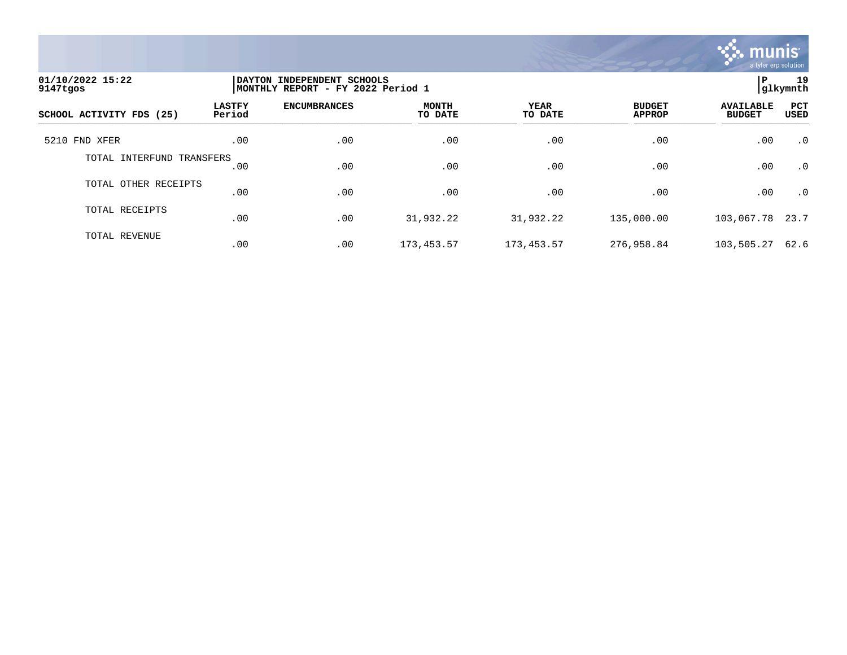

| 01/10/2022 15:22<br>9147tgos | DAYTON INDEPENDENT SCHOOLS<br> MONTHLY REPORT - FY 2022 Period 1 | 19<br>ΙP<br> q1kymnth |                         |                 |                                |                                   |             |
|------------------------------|------------------------------------------------------------------|-----------------------|-------------------------|-----------------|--------------------------------|-----------------------------------|-------------|
| SCHOOL ACTIVITY FDS (25)     | <b>LASTFY</b><br>Period                                          | <b>ENCUMBRANCES</b>   | <b>MONTH</b><br>TO DATE | YEAR<br>TO DATE | <b>BUDGET</b><br><b>APPROP</b> | <b>AVAILABLE</b><br><b>BUDGET</b> | PCT<br>USED |
| 5210 FND XFER                | .00                                                              | .00                   | .00                     | .00             | .00                            | .00                               | $\cdot$ 0   |
| TOTAL INTERFUND TRANSFERS    | .00                                                              | .00                   | .00                     | .00             | .00                            | .00                               | $\cdot$ 0   |
| TOTAL OTHER RECEIPTS         | .00                                                              | .00                   | .00                     | .00             | .00                            | .00                               | $\cdot$ 0   |
| TOTAL RECEIPTS               | .00                                                              | .00                   | 31,932.22               | 31,932.22       | 135,000.00                     | 103,067.78                        | 23.7        |
| TOTAL REVENUE                | .00                                                              | .00                   | 173,453.57              | 173,453.57      | 276,958.84                     | 103,505.27                        | 62.6        |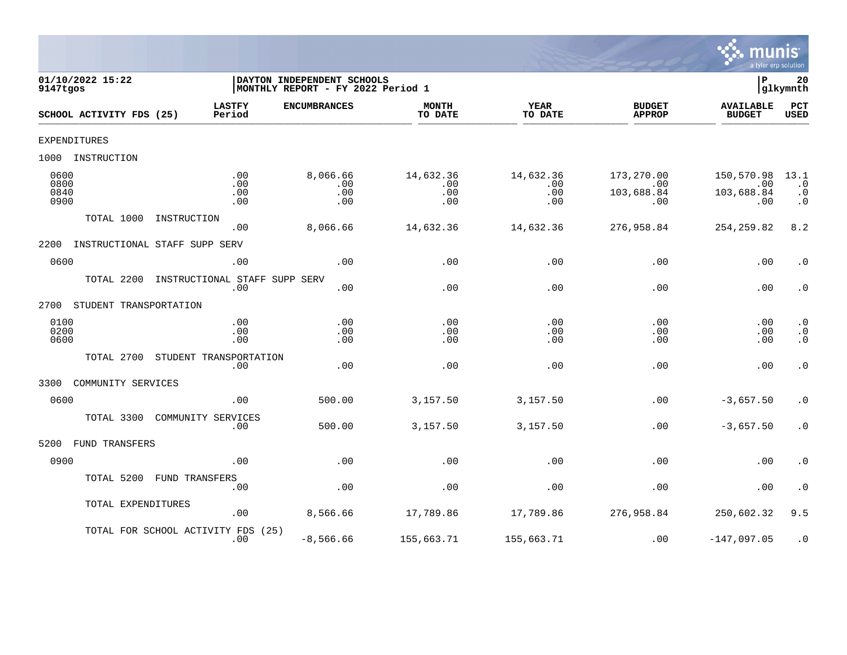

| 9147tgos                     | 01/10/2022 15:22         |                               |                          | DAYTON INDEPENDENT SCHOOLS<br> MONTHLY REPORT - FY 2022 Period 1 |                                |                                |                                        | lР                                     | 20<br> glkymnth                             |
|------------------------------|--------------------------|-------------------------------|--------------------------|------------------------------------------------------------------|--------------------------------|--------------------------------|----------------------------------------|----------------------------------------|---------------------------------------------|
|                              | SCHOOL ACTIVITY FDS (25) | <b>LASTFY</b><br>Period       |                          | <b>ENCUMBRANCES</b>                                              | <b>MONTH</b><br>TO DATE        | <b>YEAR</b><br>TO DATE         | <b>BUDGET</b><br><b>APPROP</b>         | <b>AVAILABLE</b><br><b>BUDGET</b>      | PCT<br><b>USED</b>                          |
|                              | <b>EXPENDITURES</b>      |                               |                          |                                                                  |                                |                                |                                        |                                        |                                             |
| 1000                         | INSTRUCTION              |                               |                          |                                                                  |                                |                                |                                        |                                        |                                             |
| 0600<br>0800<br>0840<br>0900 |                          |                               | .00<br>.00<br>.00<br>.00 | 8,066.66<br>.00<br>.00<br>.00                                    | 14,632.36<br>.00<br>.00<br>.00 | 14,632.36<br>.00<br>.00<br>.00 | 173,270.00<br>.00<br>103,688.84<br>.00 | 150,570.98<br>.00<br>103,688.84<br>.00 | 13.1<br>$\cdot$ 0<br>$\cdot$ 0<br>$\cdot$ 0 |
|                              | TOTAL 1000               | INSTRUCTION                   | .00                      | 8,066.66                                                         | 14,632.36                      | 14,632.36                      | 276,958.84                             | 254, 259.82                            | 8.2                                         |
| 2200                         |                          | INSTRUCTIONAL STAFF SUPP SERV |                          |                                                                  |                                |                                |                                        |                                        |                                             |
| 0600                         |                          |                               | .00                      | .00                                                              | .00                            | .00                            | .00                                    | .00                                    | $\cdot$ 0                                   |
|                              | TOTAL 2200               | INSTRUCTIONAL STAFF SUPP SERV | .00                      | .00                                                              | .00                            | .00                            | .00                                    | .00                                    | $\cdot$ 0                                   |
| 2700                         | STUDENT TRANSPORTATION   |                               |                          |                                                                  |                                |                                |                                        |                                        |                                             |
| 0100<br>0200<br>0600         |                          |                               | .00<br>.00<br>.00        | .00<br>.00<br>.00                                                | .00<br>.00<br>.00              | .00<br>.00<br>.00              | .00<br>.00<br>.00                      | .00<br>.00<br>.00                      | $\cdot$ 0<br>$\cdot$ 0<br>$\overline{0}$    |
|                              | TOTAL 2700               | STUDENT TRANSPORTATION        | .00                      | .00                                                              | .00                            | .00                            | .00                                    | .00                                    | $\cdot$ 0                                   |
| 3300                         | COMMUNITY SERVICES       |                               |                          |                                                                  |                                |                                |                                        |                                        |                                             |
| 0600                         |                          |                               | .00                      | 500.00                                                           | 3,157.50                       | 3,157.50                       | .00                                    | $-3,657.50$                            | $\cdot$ 0                                   |
|                              | TOTAL 3300               | COMMUNITY SERVICES            | .00                      | 500.00                                                           | 3,157.50                       | 3,157.50                       | .00                                    | $-3,657.50$                            | $\cdot$ 0                                   |
| 5200                         | FUND TRANSFERS           |                               |                          |                                                                  |                                |                                |                                        |                                        |                                             |
| 0900                         |                          |                               | .00                      | .00                                                              | .00                            | .00                            | .00                                    | .00                                    | $\cdot$ 0                                   |
|                              | TOTAL 5200               | <b>FUND TRANSFERS</b>         | .00                      | .00                                                              | .00                            | .00                            | .00                                    | .00                                    | $\cdot$ 0                                   |
|                              | TOTAL EXPENDITURES       |                               | .00                      | 8,566.66                                                         | 17,789.86                      | 17,789.86                      | 276,958.84                             | 250,602.32                             | 9.5                                         |
|                              |                          | TOTAL FOR SCHOOL ACTIVITY FDS | (25)<br>.00              | $-8,566.66$                                                      | 155,663.71                     | 155,663.71                     | .00                                    | $-147,097.05$                          | $\cdot$ 0                                   |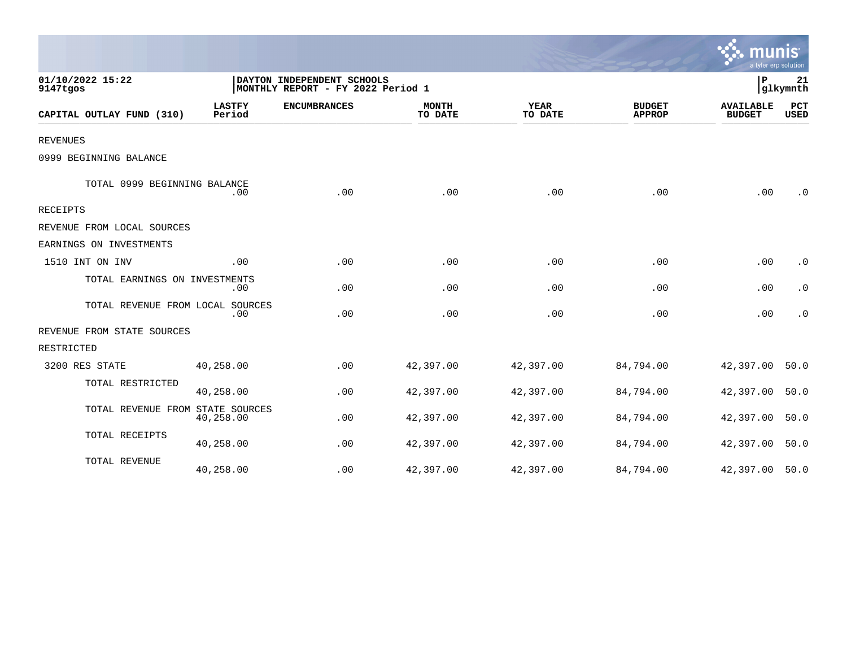|                                  |                         |                                                                 |                         |                        |                                | a tyler erp solution              |                    |
|----------------------------------|-------------------------|-----------------------------------------------------------------|-------------------------|------------------------|--------------------------------|-----------------------------------|--------------------|
| 01/10/2022 15:22<br>9147tgos     |                         | DAYTON INDEPENDENT SCHOOLS<br>MONTHLY REPORT - FY 2022 Period 1 |                         |                        |                                | P                                 | 21<br>glkymnth     |
| CAPITAL OUTLAY FUND (310)        | <b>LASTFY</b><br>Period | <b>ENCUMBRANCES</b>                                             | <b>MONTH</b><br>TO DATE | <b>YEAR</b><br>TO DATE | <b>BUDGET</b><br><b>APPROP</b> | <b>AVAILABLE</b><br><b>BUDGET</b> | PCT<br><b>USED</b> |
| <b>REVENUES</b>                  |                         |                                                                 |                         |                        |                                |                                   |                    |
| 0999 BEGINNING BALANCE           |                         |                                                                 |                         |                        |                                |                                   |                    |
| TOTAL 0999 BEGINNING BALANCE     | .00                     | .00                                                             | .00                     | .00                    | .00                            | .00                               | $\cdot$ 0          |
| <b>RECEIPTS</b>                  |                         |                                                                 |                         |                        |                                |                                   |                    |
| REVENUE FROM LOCAL SOURCES       |                         |                                                                 |                         |                        |                                |                                   |                    |
| EARNINGS ON INVESTMENTS          |                         |                                                                 |                         |                        |                                |                                   |                    |
| 1510 INT ON INV                  | .00                     | .00                                                             | .00                     | .00                    | .00                            | .00                               | $\cdot$ 0          |
| TOTAL EARNINGS ON INVESTMENTS    | .00                     | .00                                                             | .00                     | .00                    | .00                            | .00                               | $\cdot$ 0          |
| TOTAL REVENUE FROM LOCAL SOURCES | .00                     | .00                                                             | .00                     | .00                    | .00                            | .00                               | $\cdot$ 0          |
| REVENUE FROM STATE SOURCES       |                         |                                                                 |                         |                        |                                |                                   |                    |
| RESTRICTED                       |                         |                                                                 |                         |                        |                                |                                   |                    |
| 3200 RES STATE                   | 40,258.00               | .00                                                             | 42,397.00               | 42,397.00              | 84,794.00                      | 42,397.00                         | 50.0               |
| TOTAL RESTRICTED                 | 40,258.00               | .00                                                             | 42,397.00               | 42,397.00              | 84,794.00                      | 42,397.00                         | 50.0               |
| TOTAL REVENUE FROM STATE SOURCES | 40,258.00               | .00                                                             | 42,397.00               | 42,397.00              | 84,794.00                      | 42,397.00                         | 50.0               |
| TOTAL RECEIPTS                   | 40,258.00               | .00                                                             | 42,397.00               | 42,397.00              | 84,794.00                      | 42,397.00                         | 50.0               |
| TOTAL REVENUE                    | 40,258.00               | .00                                                             | 42,397.00               | 42,397.00              | 84,794.00                      | 42,397.00                         | 50.0               |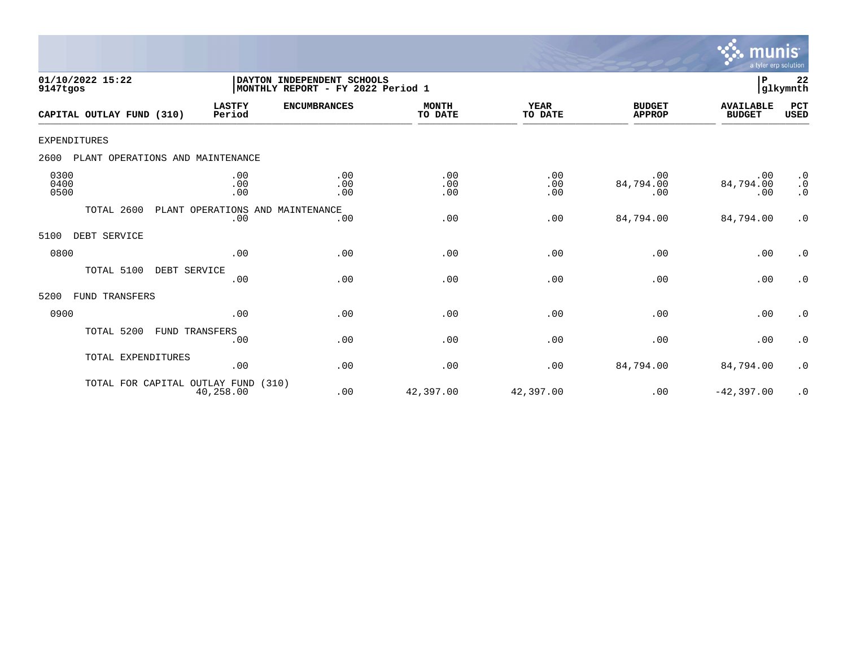

| 01/10/2022 15:22<br>9147tgos             | DAYTON INDEPENDENT SCHOOLS<br> MONTHLY REPORT - FY 2022 Period 1 | 22<br>lР<br>glkymnth |                         |                        |                                |                                   |                                     |
|------------------------------------------|------------------------------------------------------------------|----------------------|-------------------------|------------------------|--------------------------------|-----------------------------------|-------------------------------------|
| CAPITAL OUTLAY FUND (310)                | <b>LASTFY</b><br>Period                                          | <b>ENCUMBRANCES</b>  | <b>MONTH</b><br>TO DATE | <b>YEAR</b><br>TO DATE | <b>BUDGET</b><br><b>APPROP</b> | <b>AVAILABLE</b><br><b>BUDGET</b> | PCT<br><b>USED</b>                  |
| EXPENDITURES                             |                                                                  |                      |                         |                        |                                |                                   |                                     |
| 2600<br>PLANT OPERATIONS AND MAINTENANCE |                                                                  |                      |                         |                        |                                |                                   |                                     |
| 0300<br>0400<br>0500                     | .00<br>.00<br>.00                                                | .00<br>.00<br>.00    | .00<br>.00<br>.00       | .00<br>.00<br>.00      | .00<br>84,794.00<br>.00        | .00<br>84,794.00<br>.00           | $\cdot$ 0<br>$\cdot$ 0<br>$\cdot$ 0 |
| TOTAL 2600                               | PLANT OPERATIONS AND<br>.00                                      | MAINTENANCE<br>.00   | .00                     | .00                    | 84,794.00                      | 84,794.00                         | $\cdot$ 0                           |
| DEBT SERVICE<br>5100                     |                                                                  |                      |                         |                        |                                |                                   |                                     |
| 0800                                     | .00                                                              | .00                  | .00                     | .00                    | .00                            | .00                               | $\cdot$ 0                           |
| TOTAL 5100<br>DEBT SERVICE               | .00                                                              | .00                  | .00                     | .00                    | .00                            | .00                               | $\cdot$ 0                           |
| FUND TRANSFERS<br>5200                   |                                                                  |                      |                         |                        |                                |                                   |                                     |
| 0900                                     | .00                                                              | .00                  | .00                     | .00                    | .00                            | .00                               | $\cdot$ 0                           |
| TOTAL 5200                               | FUND TRANSFERS<br>.00                                            | .00                  | .00                     | .00                    | .00                            | .00                               | $\cdot$ 0                           |
| TOTAL EXPENDITURES                       | .00                                                              | .00                  | .00                     | .00                    | 84,794.00                      | 84,794.00                         | $\cdot$ 0                           |
| TOTAL FOR CAPITAL OUTLAY FUND            | (310)<br>40,258.00                                               | .00                  | 42,397.00               | 42,397.00              | .00                            | $-42,397.00$                      | $\cdot$ 0                           |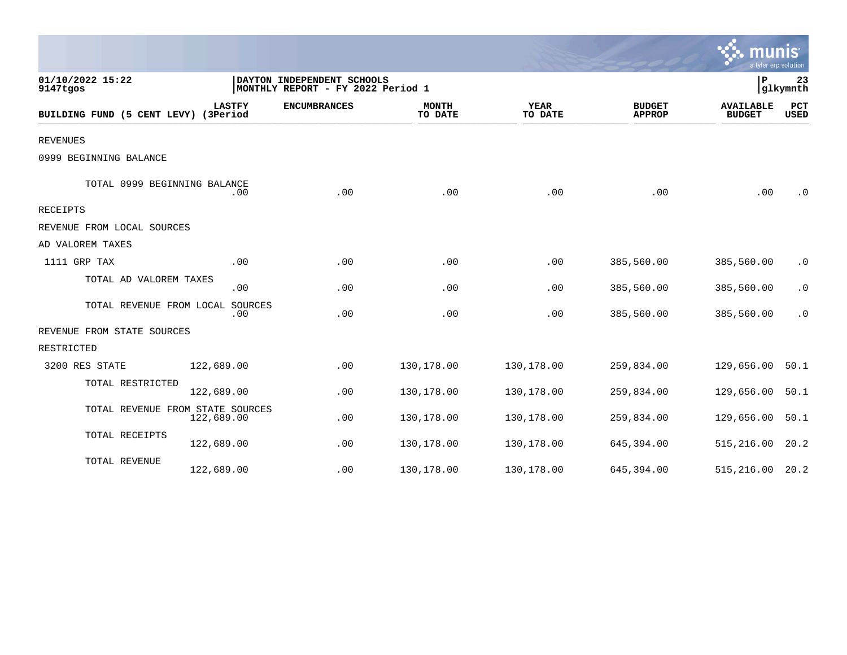|                                      |                |                                                                 |                         |                        |                                | $\sim$ munis<br>a tyler erp solution |                    |
|--------------------------------------|----------------|-----------------------------------------------------------------|-------------------------|------------------------|--------------------------------|--------------------------------------|--------------------|
| 01/10/2022 15:22<br>9147tgos         |                | DAYTON INDEPENDENT SCHOOLS<br>MONTHLY REPORT - FY 2022 Period 1 |                         |                        |                                | P                                    | 23<br>glkymnth     |
| BUILDING FUND (5 CENT LEVY) (3Period | <b>LASTFY</b>  | <b>ENCUMBRANCES</b>                                             | <b>MONTH</b><br>TO DATE | <b>YEAR</b><br>TO DATE | <b>BUDGET</b><br><b>APPROP</b> | <b>AVAILABLE</b><br><b>BUDGET</b>    | PCT<br><b>USED</b> |
| <b>REVENUES</b>                      |                |                                                                 |                         |                        |                                |                                      |                    |
| 0999 BEGINNING BALANCE               |                |                                                                 |                         |                        |                                |                                      |                    |
| TOTAL 0999 BEGINNING BALANCE         | .00            | .00                                                             | .00                     | .00                    | .00                            | .00                                  | $\cdot$ 0          |
| RECEIPTS                             |                |                                                                 |                         |                        |                                |                                      |                    |
| REVENUE FROM LOCAL SOURCES           |                |                                                                 |                         |                        |                                |                                      |                    |
| AD VALOREM TAXES                     |                |                                                                 |                         |                        |                                |                                      |                    |
| 1111 GRP TAX                         | .00            | .00                                                             | .00                     | .00                    | 385,560.00                     | 385,560.00                           | $\cdot$ 0          |
| TOTAL AD VALOREM TAXES               | .00            | .00                                                             | .00                     | .00                    | 385,560.00                     | 385,560.00                           | $\cdot$ 0          |
| TOTAL REVENUE FROM LOCAL             | SOURCES<br>.00 | .00                                                             | .00                     | .00                    | 385,560.00                     | 385,560.00                           | $\cdot$ 0          |
| REVENUE FROM STATE SOURCES           |                |                                                                 |                         |                        |                                |                                      |                    |
| RESTRICTED                           |                |                                                                 |                         |                        |                                |                                      |                    |
| 3200 RES STATE                       | 122,689.00     | .00                                                             | 130,178.00              | 130,178.00             | 259,834.00                     | 129,656.00                           | 50.1               |
| TOTAL RESTRICTED                     | 122,689.00     | .00                                                             | 130,178.00              | 130,178.00             | 259,834.00                     | 129,656.00                           | 50.1               |
| TOTAL REVENUE FROM STATE SOURCES     | 122,689.00     | .00                                                             | 130,178.00              | 130,178.00             | 259,834.00                     | 129,656.00                           | 50.1               |
| TOTAL RECEIPTS                       | 122,689.00     | .00                                                             | 130,178.00              | 130,178.00             | 645,394.00                     | 515,216.00                           | 20.2               |
| TOTAL REVENUE                        | 122,689.00     | .00                                                             | 130,178.00              | 130,178.00             | 645,394.00                     | 515,216.00                           | 20.2               |

 $\sim$   $\sim$   $\sim$   $\sim$   $\sim$   $\sim$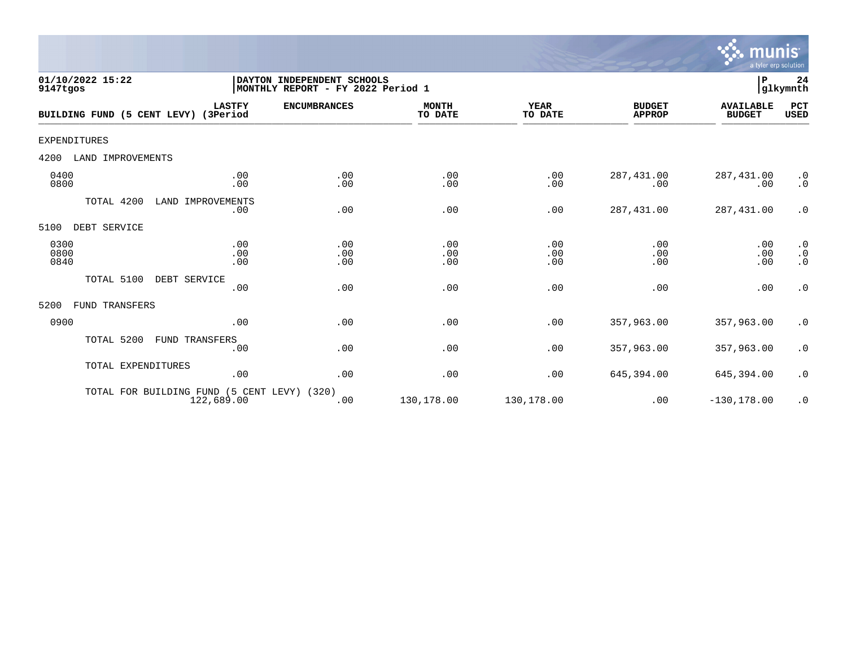

| 01/10/2022 15:22<br>9147tgos         |                              | ${\bf P}$<br>24<br>DAYTON INDEPENDENT SCHOOLS<br>glkymnth<br>MONTHLY REPORT - FY 2022 Period 1 |                         |                   |                                |                                   |                                     |  |  |
|--------------------------------------|------------------------------|------------------------------------------------------------------------------------------------|-------------------------|-------------------|--------------------------------|-----------------------------------|-------------------------------------|--|--|
| BUILDING FUND (5 CENT LEVY) (3Period | <b>LASTFY</b>                | <b>ENCUMBRANCES</b>                                                                            | <b>MONTH</b><br>TO DATE | YEAR<br>TO DATE   | <b>BUDGET</b><br><b>APPROP</b> | <b>AVAILABLE</b><br><b>BUDGET</b> | PCT<br><b>USED</b>                  |  |  |
| <b>EXPENDITURES</b>                  |                              |                                                                                                |                         |                   |                                |                                   |                                     |  |  |
| LAND IMPROVEMENTS<br>4200            |                              |                                                                                                |                         |                   |                                |                                   |                                     |  |  |
| 0400<br>0800                         | .00<br>.00                   | .00<br>.00                                                                                     | .00<br>.00              | .00<br>.00        | 287, 431.00<br>.00             | 287,431.00<br>.00                 | $\cdot$ 0<br>$\cdot$ 0              |  |  |
| TOTAL 4200                           | LAND IMPROVEMENTS<br>.00     | .00                                                                                            | .00                     | .00               | 287, 431.00                    | 287,431.00                        | $\cdot$ 0                           |  |  |
| DEBT SERVICE<br>5100                 |                              |                                                                                                |                         |                   |                                |                                   |                                     |  |  |
| 0300<br>0800<br>0840                 | .00<br>.00<br>.00            | .00<br>.00<br>.00                                                                              | .00<br>.00<br>.00       | .00<br>.00<br>.00 | .00<br>.00<br>.00              | .00<br>.00<br>.00                 | $\cdot$ 0<br>$\cdot$ 0<br>$\cdot$ 0 |  |  |
| TOTAL 5100<br>DEBT SERVICE           | .00                          | .00                                                                                            | .00                     | .00               | .00                            | .00                               | $\cdot$ 0                           |  |  |
| 5200<br>FUND TRANSFERS               |                              |                                                                                                |                         |                   |                                |                                   |                                     |  |  |
| 0900                                 | .00                          | .00                                                                                            | .00                     | .00               | 357,963.00                     | 357,963.00                        | $\cdot$ 0                           |  |  |
| TOTAL 5200                           | <b>FUND TRANSFERS</b><br>.00 | .00                                                                                            | .00                     | .00               | 357,963.00                     | 357,963.00                        | $\cdot$ 0                           |  |  |
| TOTAL EXPENDITURES                   | .00                          | .00                                                                                            | .00                     | .00               | 645,394.00                     | 645,394.00                        | $\cdot$ 0                           |  |  |
| TOTAL FOR BUILDING FUND              | 122,689.00                   | (5 CENT LEVY) (320)<br>.00                                                                     | 130,178.00              | 130,178.00        | .00                            | $-130, 178.00$                    | $\cdot$ 0                           |  |  |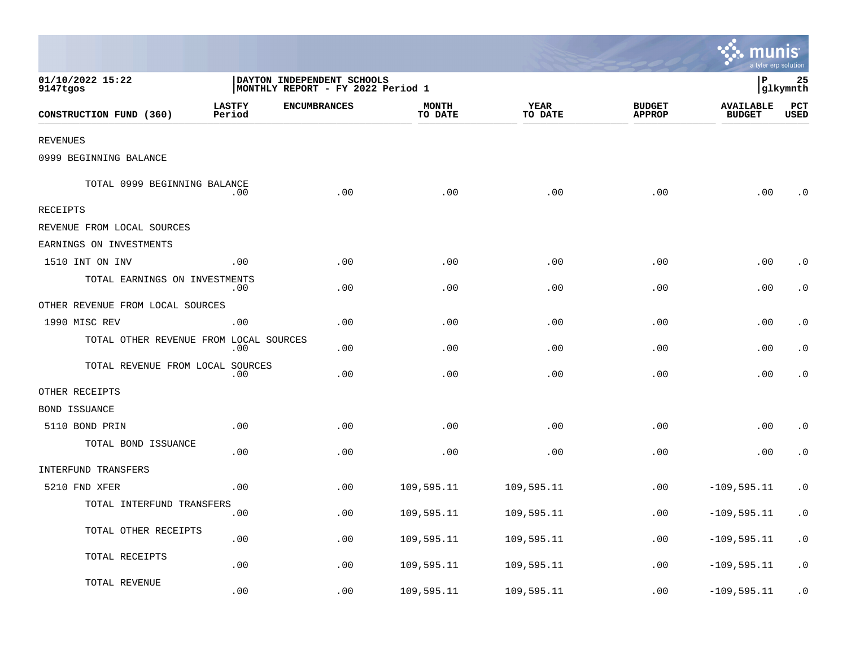|                                        |                         |                                                                 |                         |                 |                                | munis <sup>.</sup><br>a tyler erp solution |                 |
|----------------------------------------|-------------------------|-----------------------------------------------------------------|-------------------------|-----------------|--------------------------------|--------------------------------------------|-----------------|
| 01/10/2022 15:22<br>9147tgos           |                         | DAYTON INDEPENDENT SCHOOLS<br>MONTHLY REPORT - FY 2022 Period 1 |                         |                 |                                | ∣P                                         | 25<br> glkymnth |
| CONSTRUCTION FUND (360)                | <b>LASTFY</b><br>Period | <b>ENCUMBRANCES</b>                                             | <b>MONTH</b><br>TO DATE | YEAR<br>TO DATE | <b>BUDGET</b><br><b>APPROP</b> | <b>AVAILABLE</b><br><b>BUDGET</b>          | PCT<br>USED     |
| REVENUES                               |                         |                                                                 |                         |                 |                                |                                            |                 |
| 0999 BEGINNING BALANCE                 |                         |                                                                 |                         |                 |                                |                                            |                 |
| TOTAL 0999 BEGINNING BALANCE           | .00                     | .00                                                             | .00                     | .00             | .00                            | .00                                        | . 0             |
| RECEIPTS                               |                         |                                                                 |                         |                 |                                |                                            |                 |
| REVENUE FROM LOCAL SOURCES             |                         |                                                                 |                         |                 |                                |                                            |                 |
| EARNINGS ON INVESTMENTS                |                         |                                                                 |                         |                 |                                |                                            |                 |
| 1510 INT ON INV                        | .00                     | .00                                                             | .00                     | .00             | .00                            | .00                                        | . 0             |
| TOTAL EARNINGS ON INVESTMENTS          | .00                     | .00                                                             | .00                     | .00             | .00                            | .00                                        | $\cdot$ 0       |
| OTHER REVENUE FROM LOCAL SOURCES       |                         |                                                                 |                         |                 |                                |                                            |                 |
| 1990 MISC REV                          | .00                     | .00                                                             | .00                     | .00             | .00                            | .00                                        | . 0             |
| TOTAL OTHER REVENUE FROM LOCAL SOURCES | .00                     | .00                                                             | .00                     | .00             | .00                            | .00                                        | $\cdot$ 0       |
| TOTAL REVENUE FROM LOCAL SOURCES       | .00                     | .00                                                             | .00                     | .00             | .00                            | .00                                        | $\cdot$ 0       |
| OTHER RECEIPTS                         |                         |                                                                 |                         |                 |                                |                                            |                 |
| BOND ISSUANCE                          |                         |                                                                 |                         |                 |                                |                                            |                 |
| 5110 BOND PRIN                         | .00                     | .00                                                             | .00                     | .00             | .00                            | .00                                        | $\cdot$ 0       |
| TOTAL BOND ISSUANCE                    | .00                     | .00                                                             | .00                     | .00             | .00                            | .00                                        | $\cdot$ 0       |
| INTERFUND TRANSFERS                    |                         |                                                                 |                         |                 |                                |                                            |                 |
| 5210 FND XFER                          | .00                     | .00                                                             | 109,595.11              | 109,595.11      | .00                            | $-109, 595.11$                             | $\cdot$ 0       |
| TOTAL INTERFUND TRANSFERS              | .00                     | .00                                                             | 109,595.11              | 109,595.11      | .00                            | $-109,595.11$                              | $\cdot$ 0       |
| TOTAL OTHER RECEIPTS                   | .00                     | .00                                                             | 109,595.11              | 109,595.11      | .00                            | $-109, 595.11$                             | $\cdot$ 0       |
| TOTAL RECEIPTS                         | .00                     | .00                                                             | 109,595.11              | 109,595.11      | .00                            | $-109, 595.11$                             | $\cdot$ 0       |
| TOTAL REVENUE                          | .00                     | .00                                                             | 109,595.11              | 109,595.11      | .00                            | $-109, 595.11$                             | $\cdot$ 0       |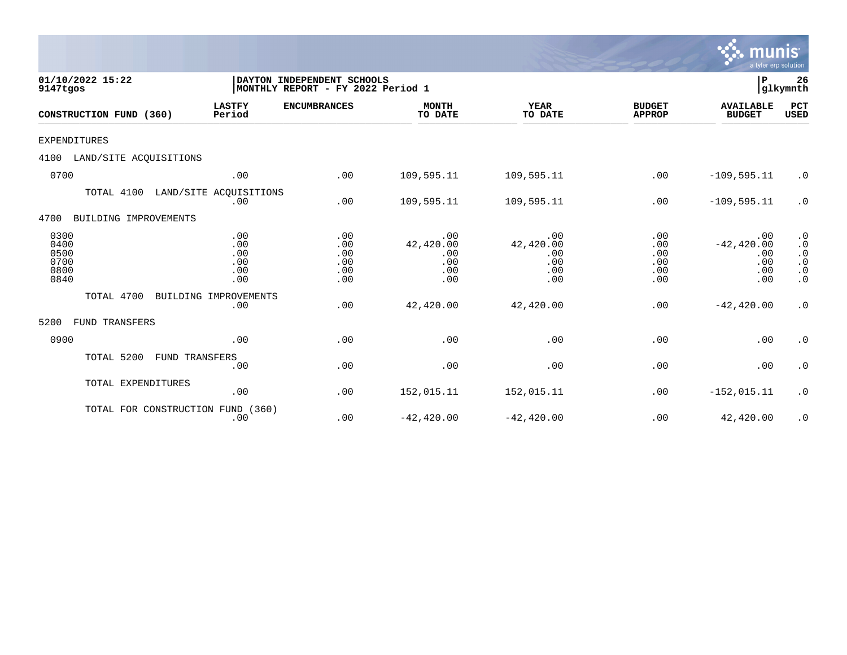|                                              |                                        |                                                                 |                                              |                                              |                                        | D<br>a tyler erp solution                        |                                                                                                      |
|----------------------------------------------|----------------------------------------|-----------------------------------------------------------------|----------------------------------------------|----------------------------------------------|----------------------------------------|--------------------------------------------------|------------------------------------------------------------------------------------------------------|
| 01/10/2022 15:22<br>9147tgos                 |                                        | DAYTON INDEPENDENT SCHOOLS<br>MONTHLY REPORT - FY 2022 Period 1 |                                              |                                              |                                        | P                                                | 26<br>glkymnth                                                                                       |
| CONSTRUCTION FUND (360)                      | <b>LASTFY</b><br>Period                | <b>ENCUMBRANCES</b>                                             | <b>MONTH</b><br>TO DATE                      | YEAR<br>TO DATE                              | <b>BUDGET</b><br><b>APPROP</b>         | <b>AVAILABLE</b><br><b>BUDGET</b>                | PCT<br><b>USED</b>                                                                                   |
| <b>EXPENDITURES</b>                          |                                        |                                                                 |                                              |                                              |                                        |                                                  |                                                                                                      |
| 4100<br>LAND/SITE ACQUISITIONS               |                                        |                                                                 |                                              |                                              |                                        |                                                  |                                                                                                      |
| 0700                                         | .00                                    | .00                                                             | 109,595.11                                   | 109,595.11                                   | .00                                    | $-109, 595.11$                                   | $\cdot$ 0                                                                                            |
| TOTAL 4100                                   | LAND/SITE ACOUISITIONS<br>.00          | .00                                                             | 109,595.11                                   | 109,595.11                                   | .00                                    | $-109, 595.11$                                   | $\cdot$ 0                                                                                            |
| 4700<br>BUILDING IMPROVEMENTS                |                                        |                                                                 |                                              |                                              |                                        |                                                  |                                                                                                      |
| 0300<br>0400<br>0500<br>0700<br>0800<br>0840 | .00<br>.00<br>.00<br>.00<br>.00<br>.00 | .00<br>.00<br>.00<br>.00<br>.00<br>.00                          | .00<br>42,420.00<br>.00<br>.00<br>.00<br>.00 | .00<br>42,420.00<br>.00<br>.00<br>.00<br>.00 | .00<br>.00<br>.00<br>.00<br>.00<br>.00 | .00<br>$-42, 420.00$<br>.00<br>.00<br>.00<br>.00 | $\cdot$ 0<br>$\boldsymbol{\cdot}$ 0<br>$\cdot$ 0<br>$\boldsymbol{\cdot}$ 0<br>$\cdot$ 0<br>$\cdot$ 0 |
| TOTAL 4700                                   | BUILDING IMPROVEMENTS<br>.00           | .00                                                             | 42,420.00                                    | 42,420.00                                    | .00                                    | $-42, 420.00$                                    | $\cdot$ 0                                                                                            |
| 5200<br>FUND TRANSFERS                       |                                        |                                                                 |                                              |                                              |                                        |                                                  |                                                                                                      |
| 0900                                         | .00                                    | .00                                                             | .00                                          | .00                                          | .00                                    | .00                                              | $\cdot$ 0                                                                                            |
| TOTAL 5200                                   | FUND TRANSFERS<br>.00                  | .00                                                             | .00                                          | .00                                          | .00                                    | .00                                              | $\cdot$ 0                                                                                            |
| TOTAL EXPENDITURES                           | .00                                    | .00                                                             | 152,015.11                                   | 152,015.11                                   | .00                                    | $-152,015.11$                                    | $\cdot$ 0                                                                                            |
| TOTAL FOR CONSTRUCTION                       | FUND (360)<br>.00                      | .00                                                             | $-42, 420.00$                                | $-42, 420.00$                                | .00                                    | 42,420.00                                        | $\cdot$ 0                                                                                            |

 $\sqrt{\frac{1}{2}}$  munis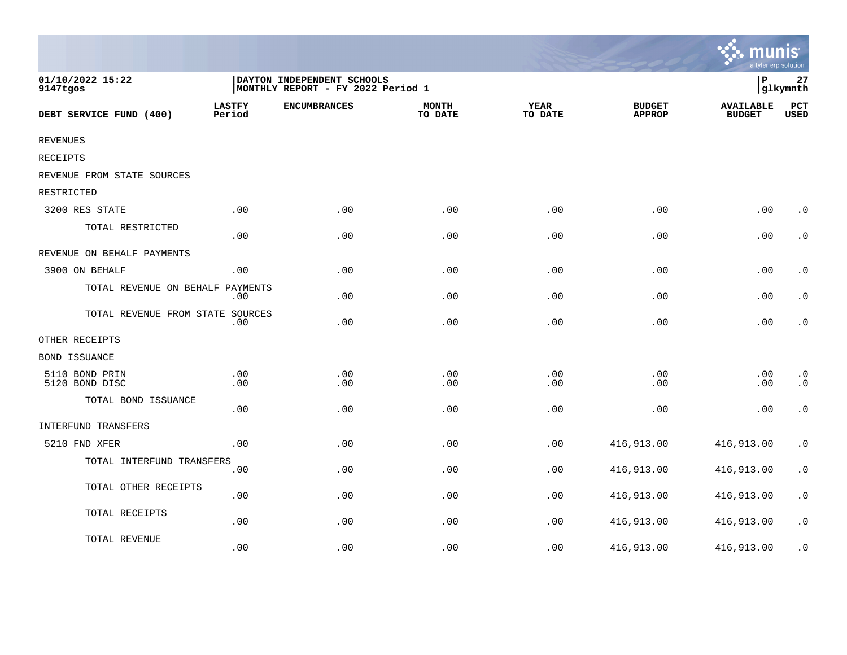|                                  |                         |                                                                 |                         |                        |                                | $\mathbf{\ddot{\cdot}}\mathbf{\ddot{\cdot}}$ munis<br>a tyler erp solution |                        |
|----------------------------------|-------------------------|-----------------------------------------------------------------|-------------------------|------------------------|--------------------------------|----------------------------------------------------------------------------|------------------------|
| 01/10/2022 15:22<br>9147tgos     |                         | DAYTON INDEPENDENT SCHOOLS<br>MONTHLY REPORT - FY 2022 Period 1 |                         |                        |                                | P<br>glkymnth                                                              |                        |
| DEBT SERVICE FUND (400)          | <b>LASTFY</b><br>Period | <b>ENCUMBRANCES</b>                                             | <b>MONTH</b><br>TO DATE | <b>YEAR</b><br>TO DATE | <b>BUDGET</b><br><b>APPROP</b> | <b>AVAILABLE</b><br><b>BUDGET</b>                                          | PCT<br><b>USED</b>     |
| <b>REVENUES</b>                  |                         |                                                                 |                         |                        |                                |                                                                            |                        |
| RECEIPTS                         |                         |                                                                 |                         |                        |                                |                                                                            |                        |
| REVENUE FROM STATE SOURCES       |                         |                                                                 |                         |                        |                                |                                                                            |                        |
| RESTRICTED                       |                         |                                                                 |                         |                        |                                |                                                                            |                        |
| 3200 RES STATE                   | .00                     | .00                                                             | .00                     | .00                    | .00                            | .00                                                                        | $\cdot$ 0              |
| TOTAL RESTRICTED                 | .00                     | .00                                                             | .00                     | .00                    | .00                            | .00                                                                        | $\boldsymbol{\cdot}$ 0 |
| REVENUE ON BEHALF PAYMENTS       |                         |                                                                 |                         |                        |                                |                                                                            |                        |
| 3900 ON BEHALF                   | .00                     | .00                                                             | .00                     | .00                    | .00                            | .00                                                                        | $\cdot$ 0              |
| TOTAL REVENUE ON BEHALF PAYMENTS | .00                     | .00                                                             | .00                     | .00                    | .00                            | .00                                                                        | $\boldsymbol{\cdot}$ 0 |
| TOTAL REVENUE FROM STATE SOURCES | .00                     | .00                                                             | .00                     | .00                    | .00                            | .00                                                                        | $\boldsymbol{\cdot}$ 0 |
| OTHER RECEIPTS                   |                         |                                                                 |                         |                        |                                |                                                                            |                        |
| <b>BOND ISSUANCE</b>             |                         |                                                                 |                         |                        |                                |                                                                            |                        |
| 5110 BOND PRIN<br>5120 BOND DISC | .00<br>.00              | .00<br>.00                                                      | .00<br>.00              | .00<br>.00             | .00<br>.00                     | .00<br>.00                                                                 | $\cdot$ 0<br>$\cdot$ 0 |
| TOTAL BOND ISSUANCE              | .00                     | .00                                                             | .00                     | .00                    | .00                            | .00                                                                        | $\cdot$ 0              |
| INTERFUND TRANSFERS              |                         |                                                                 |                         |                        |                                |                                                                            |                        |
| 5210 FND XFER                    | .00                     | .00                                                             | .00                     | .00                    | 416,913.00                     | 416,913.00                                                                 | $\cdot$ 0              |
| TOTAL INTERFUND TRANSFERS        | .00                     | .00                                                             | .00                     | .00                    | 416,913.00                     | 416,913.00                                                                 | $\boldsymbol{\cdot}$ 0 |
| TOTAL OTHER RECEIPTS             | .00                     | .00                                                             | .00                     | .00                    | 416,913.00                     | 416,913.00                                                                 | $\boldsymbol{\cdot}$ 0 |
| TOTAL RECEIPTS                   | .00                     | .00                                                             | .00                     | .00                    | 416,913.00                     | 416,913.00                                                                 | $\boldsymbol{\cdot}$ 0 |
| TOTAL REVENUE                    | .00                     | .00                                                             | .00                     | .00                    | 416,913.00                     | 416,913.00                                                                 | $\cdot$ 0              |

and the contract of the contract of the contract of the contract of the contract of the contract of the contract of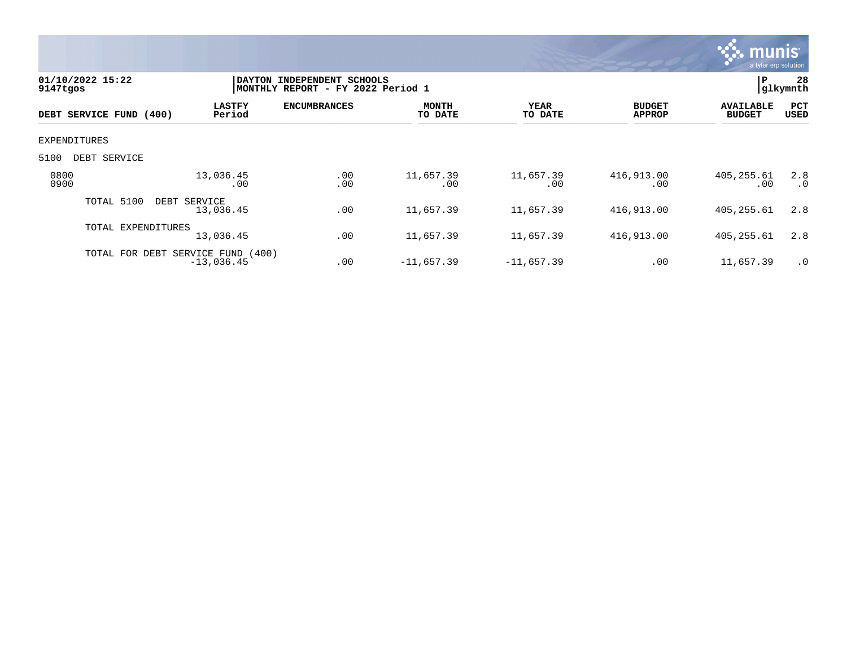

| 9147tgos     | 01/10/2022 15:22                  |                           | DAYTON INDEPENDENT SCHOOLS<br>MONTHLY REPORT - FY 2022 Period 1 |                         |                  |                                | l P                               | 28<br> glkymnth  |
|--------------|-----------------------------------|---------------------------|-----------------------------------------------------------------|-------------------------|------------------|--------------------------------|-----------------------------------|------------------|
|              | DEBT SERVICE FUND (400)           | <b>LASTFY</b><br>Period   | <b>ENCUMBRANCES</b>                                             | <b>MONTH</b><br>TO DATE | YEAR<br>TO DATE  | <b>BUDGET</b><br><b>APPROP</b> | <b>AVAILABLE</b><br><b>BUDGET</b> | PCT<br>USED      |
| EXPENDITURES |                                   |                           |                                                                 |                         |                  |                                |                                   |                  |
| 5100         | DEBT SERVICE                      |                           |                                                                 |                         |                  |                                |                                   |                  |
| 0800<br>0900 |                                   | 13,036.45<br>.00          | .00<br>.00                                                      | 11,657.39<br>.00        | 11,657.39<br>.00 | 416,913.00<br>.00              | 405, 255.61<br>.00                | 2.8<br>$\cdot$ 0 |
|              | TOTAL 5100                        | DEBT SERVICE<br>13,036.45 | .00                                                             | 11,657.39               | 11,657.39        | 416,913.00                     | 405,255.61                        | 2.8              |
|              | TOTAL EXPENDITURES                | 13,036.45                 | .00                                                             | 11,657.39               | 11,657.39        | 416,913.00                     | 405,255.61                        | 2.8              |
|              | TOTAL FOR DEBT SERVICE FUND (400) | $-13,036.45$              | .00                                                             | $-11,657.39$            | $-11,657.39$     | .00                            | 11,657.39                         | $\cdot$ 0        |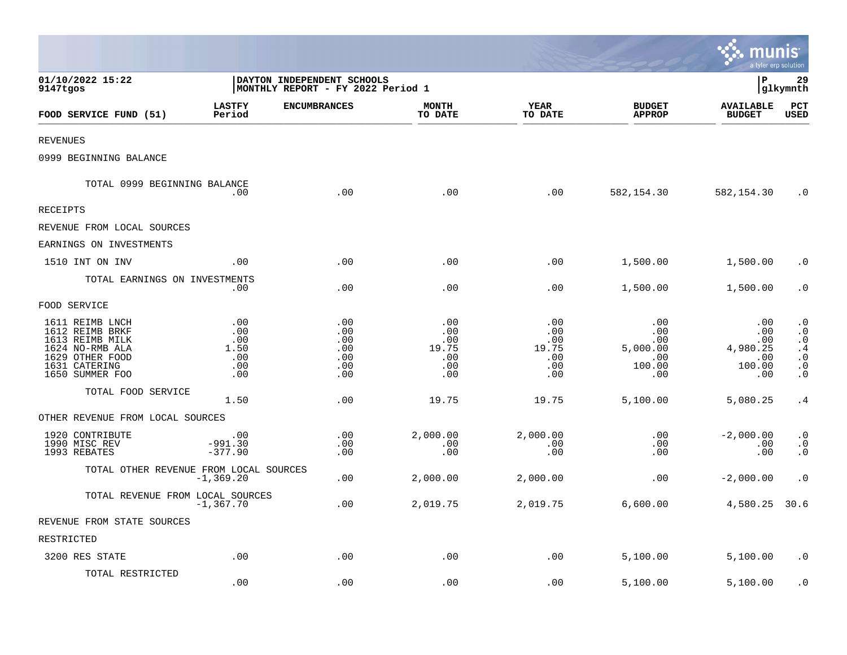|                                                                                                                                 |                                                |                                                                 |                                                 |                                                 |                                                       | munis<br>a tyler erp solution                         |                                                                                                            |
|---------------------------------------------------------------------------------------------------------------------------------|------------------------------------------------|-----------------------------------------------------------------|-------------------------------------------------|-------------------------------------------------|-------------------------------------------------------|-------------------------------------------------------|------------------------------------------------------------------------------------------------------------|
| 01/10/2022 15:22<br>9147tgos                                                                                                    |                                                | DAYTON INDEPENDENT SCHOOLS<br>MONTHLY REPORT - FY 2022 Period 1 |                                                 |                                                 |                                                       | l P                                                   | 29<br>glkymnth                                                                                             |
| FOOD SERVICE FUND (51)                                                                                                          | <b>LASTFY</b><br>Period                        | <b>ENCUMBRANCES</b>                                             | <b>MONTH</b><br>TO DATE                         | YEAR<br>TO DATE                                 | <b>BUDGET</b><br><b>APPROP</b>                        | <b>AVAILABLE</b><br><b>BUDGET</b>                     | $_{\rm PCT}$<br><b>USED</b>                                                                                |
| REVENUES                                                                                                                        |                                                |                                                                 |                                                 |                                                 |                                                       |                                                       |                                                                                                            |
| 0999 BEGINNING BALANCE                                                                                                          |                                                |                                                                 |                                                 |                                                 |                                                       |                                                       |                                                                                                            |
| TOTAL 0999 BEGINNING BALANCE                                                                                                    | .00                                            | .00                                                             | .00                                             | .00                                             | 582,154.30                                            | 582,154.30                                            | . 0                                                                                                        |
| RECEIPTS                                                                                                                        |                                                |                                                                 |                                                 |                                                 |                                                       |                                                       |                                                                                                            |
| REVENUE FROM LOCAL SOURCES                                                                                                      |                                                |                                                                 |                                                 |                                                 |                                                       |                                                       |                                                                                                            |
| EARNINGS ON INVESTMENTS                                                                                                         |                                                |                                                                 |                                                 |                                                 |                                                       |                                                       |                                                                                                            |
| 1510 INT ON INV                                                                                                                 | .00                                            | .00                                                             | .00                                             | .00                                             | 1,500.00                                              | 1,500.00                                              | $\cdot$ 0                                                                                                  |
| TOTAL EARNINGS ON INVESTMENTS                                                                                                   | .00                                            | .00                                                             | .00                                             | .00                                             | 1,500.00                                              | 1,500.00                                              | $\cdot$ 0                                                                                                  |
| FOOD SERVICE                                                                                                                    |                                                |                                                                 |                                                 |                                                 |                                                       |                                                       |                                                                                                            |
| 1611 REIMB LNCH<br>1612 REIMB BRKF<br>1613 REIMB MILK<br>1624 NO-RMB ALA<br>1629 OTHER FOOD<br>1631 CATERING<br>1650 SUMMER FOO | .00<br>.00<br>.00<br>1.50<br>.00<br>.00<br>.00 | .00<br>.00<br>.00<br>.00<br>.00<br>.00<br>.00                   | .00<br>.00<br>.00<br>19.75<br>.00<br>.00<br>.00 | .00<br>.00<br>.00<br>19.75<br>.00<br>.00<br>.00 | .00<br>.00<br>.00<br>5,000.00<br>.00<br>100.00<br>.00 | .00<br>.00<br>.00<br>4,980.25<br>.00<br>100.00<br>.00 | $\cdot$ 0<br>$\boldsymbol{\cdot}$ 0<br>$\cdot$ 0<br>.4<br>$\cdot$ 0<br>$\boldsymbol{\cdot}$ 0<br>$\cdot$ 0 |
| TOTAL FOOD SERVICE                                                                                                              | 1.50                                           | .00                                                             | 19.75                                           | 19.75                                           | 5,100.00                                              | 5,080.25                                              | .4                                                                                                         |
| OTHER REVENUE FROM LOCAL SOURCES                                                                                                |                                                |                                                                 |                                                 |                                                 |                                                       |                                                       |                                                                                                            |
| 1920 CONTRIBUTE<br>1990 MISC REV<br>1993 REBATES                                                                                | .00<br>$-991.30$<br>$-377.90$                  | .00<br>.00<br>.00                                               | 2,000.00<br>.00<br>.00                          | 2,000.00<br>.00<br>.00                          | .00<br>.00<br>.00                                     | $-2,000.00$<br>.00<br>.00                             | $\cdot$ 0<br>$\cdot$ 0<br>$\cdot$ 0                                                                        |
| TOTAL OTHER REVENUE FROM LOCAL SOURCES                                                                                          | $-1, 369.20$                                   | .00                                                             | 2,000.00                                        | 2,000.00                                        | .00                                                   | $-2,000.00$                                           | $\cdot$ 0                                                                                                  |
| TOTAL REVENUE FROM LOCAL SOURCES                                                                                                | $-1,367.70$                                    | .00                                                             | 2,019.75                                        | 2,019.75                                        | 6,600.00                                              | 4,580.25                                              | 30.6                                                                                                       |
| REVENUE FROM STATE SOURCES                                                                                                      |                                                |                                                                 |                                                 |                                                 |                                                       |                                                       |                                                                                                            |
| RESTRICTED                                                                                                                      |                                                |                                                                 |                                                 |                                                 |                                                       |                                                       |                                                                                                            |
| 3200 RES STATE                                                                                                                  | .00                                            | .00                                                             | .00                                             | .00                                             | 5,100.00                                              | 5,100.00                                              | $\cdot$ 0                                                                                                  |
| TOTAL RESTRICTED                                                                                                                | .00                                            | .00                                                             | .00                                             | .00                                             | 5,100.00                                              | 5,100.00                                              | . 0                                                                                                        |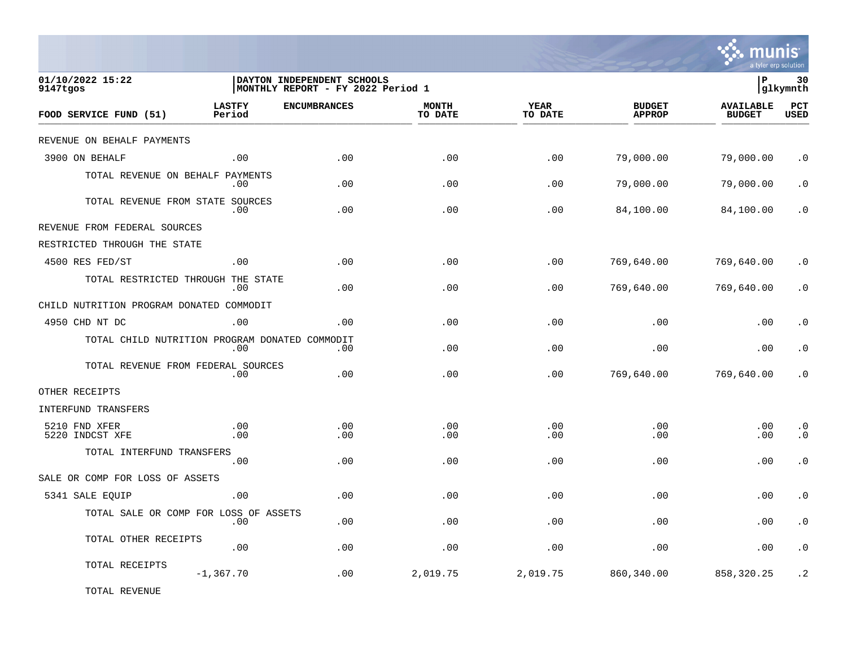

| 01/10/2022 15:22<br>9147tgos                   |                         | DAYTON INDEPENDENT SCHOOLS<br>MONTHLY REPORT - FY 2022 Period 1 |                         |                        |                                | lР                                | 30<br>glkymnth         |
|------------------------------------------------|-------------------------|-----------------------------------------------------------------|-------------------------|------------------------|--------------------------------|-----------------------------------|------------------------|
| FOOD SERVICE FUND (51)                         | <b>LASTFY</b><br>Period | <b>ENCUMBRANCES</b>                                             | <b>MONTH</b><br>TO DATE | <b>YEAR</b><br>TO DATE | <b>BUDGET</b><br><b>APPROP</b> | <b>AVAILABLE</b><br><b>BUDGET</b> | PCT<br>USED            |
| REVENUE ON BEHALF PAYMENTS                     |                         |                                                                 |                         |                        |                                |                                   |                        |
| 3900 ON BEHALF                                 | .00                     | .00                                                             | .00                     | .00                    | 79,000.00                      | 79,000.00                         | $\cdot$ 0              |
| TOTAL REVENUE ON BEHALF PAYMENTS               | .00                     | .00                                                             | .00                     | .00                    | 79,000.00                      | 79,000.00                         | $\cdot$ 0              |
| TOTAL REVENUE FROM STATE SOURCES               | .00                     | .00                                                             | .00                     | .00                    | 84,100.00                      | 84,100.00                         | . 0                    |
| REVENUE FROM FEDERAL SOURCES                   |                         |                                                                 |                         |                        |                                |                                   |                        |
| RESTRICTED THROUGH THE STATE                   |                         |                                                                 |                         |                        |                                |                                   |                        |
| 4500 RES FED/ST                                | .00                     | .00                                                             | .00                     | .00                    | 769,640.00                     | 769,640.00                        | $\cdot$ 0              |
| TOTAL RESTRICTED THROUGH THE STATE             | .00                     | .00                                                             | .00                     | .00                    | 769,640.00                     | 769,640.00                        | $\cdot$ 0              |
| CHILD NUTRITION PROGRAM DONATED COMMODIT       |                         |                                                                 |                         |                        |                                |                                   |                        |
| 4950 CHD NT DC                                 | .00                     | .00                                                             | .00                     | .00                    | .00                            | .00                               | $\cdot$ 0              |
| TOTAL CHILD NUTRITION PROGRAM DONATED COMMODIT | .00                     | .00                                                             | .00                     | .00                    | .00                            | .00                               | $\boldsymbol{\cdot}$ 0 |
| TOTAL REVENUE FROM FEDERAL SOURCES             | .00                     | .00                                                             | .00                     | .00                    | 769,640.00                     | 769,640.00                        | . 0                    |
| OTHER RECEIPTS                                 |                         |                                                                 |                         |                        |                                |                                   |                        |
| INTERFUND TRANSFERS                            |                         |                                                                 |                         |                        |                                |                                   |                        |
| 5210 FND XFER<br>5220 INDCST XFE               | .00<br>.00              | .00<br>.00                                                      | .00<br>.00              | .00<br>.00             | .00<br>.00                     | .00<br>.00                        | $\cdot$ 0<br>$\cdot$ 0 |
| TOTAL INTERFUND TRANSFERS                      | .00.                    | .00                                                             | .00                     | .00                    | .00                            | .00                               | $\cdot$ 0              |
| SALE OR COMP FOR LOSS OF ASSETS                |                         |                                                                 |                         |                        |                                |                                   |                        |
| 5341 SALE EQUIP                                | .00                     | .00                                                             | .00                     | .00                    | .00                            | .00                               | $\cdot$ 0              |
| TOTAL SALE OR COMP FOR LOSS OF ASSETS          | .00                     | .00                                                             | .00                     | .00                    | .00                            | .00                               | $\cdot$ 0              |
| TOTAL OTHER RECEIPTS                           | .00                     | .00                                                             | .00                     | .00                    | .00                            | .00                               | $\cdot$ 0              |
| TOTAL RECEIPTS                                 | $-1, 367.70$            | .00                                                             | 2,019.75                | 2,019.75               | 860,340.00                     | 858, 320.25                       | $\cdot$ 2              |

TOTAL REVENUE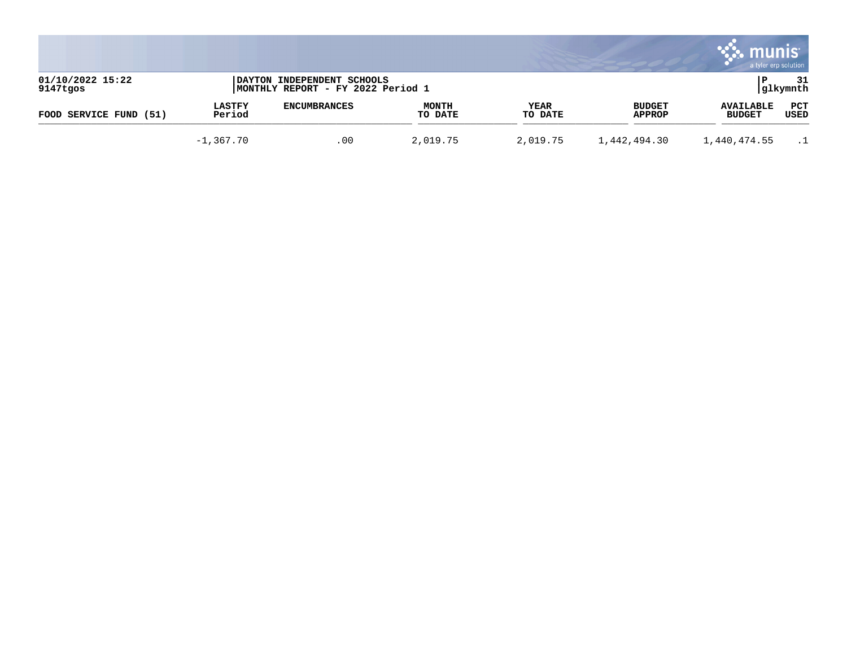|                              |                         |                                                                 |                         |                 |                         | munis                             | a tyler erp solution |
|------------------------------|-------------------------|-----------------------------------------------------------------|-------------------------|-----------------|-------------------------|-----------------------------------|----------------------|
| 01/10/2022 15:22<br>9147tgos |                         | DAYTON INDEPENDENT SCHOOLS<br>MONTHLY REPORT - FY 2022 Period 1 |                         |                 |                         |                                   | 31<br> glkymnth      |
| FOOD SERVICE FUND<br>(51)    | <b>LASTFY</b><br>Period | <b>ENCUMBRANCES</b>                                             | <b>MONTH</b><br>TO DATE | YEAR<br>TO DATE | <b>BUDGET</b><br>APPROP | <b>AVAILABLE</b><br><b>BUDGET</b> | PCT<br>USED          |
|                              | $-1,367.70$             | .00                                                             | 2,019.75                | 2,019.75        | 1,442,494.30            | 1,440,474.55                      |                      |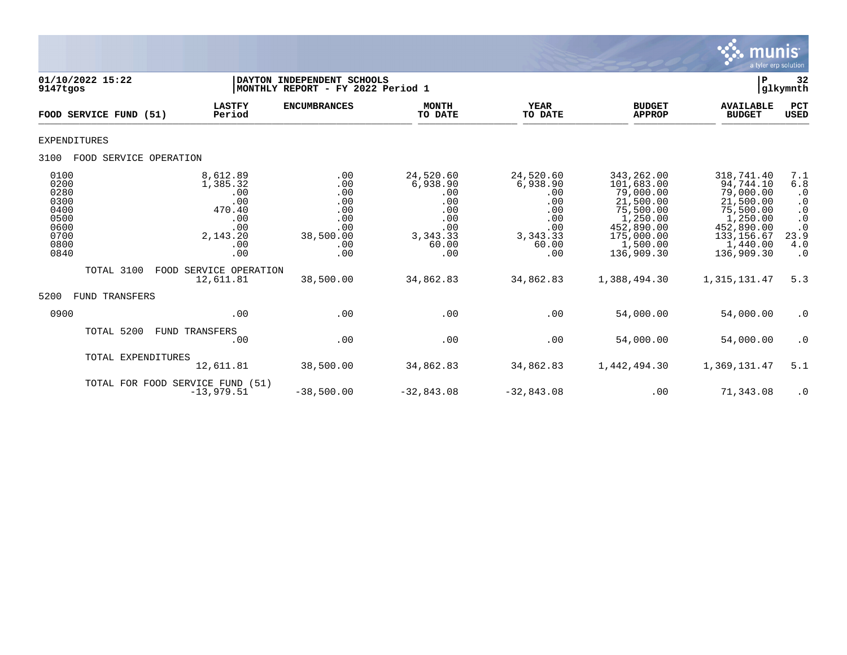

| 01/10/2022 15:22<br>9147tgos                                                 |                        |                                                                                      | DAYTON INDEPENDENT SCHOOLS<br> MONTHLY REPORT - FY 2022 Period 1         |                                                                                       |                                                                                        |                                                                                                                                   | $\mathbf P$                                                                                                                       | 32<br>glkymnth                                                                                                                                      |
|------------------------------------------------------------------------------|------------------------|--------------------------------------------------------------------------------------|--------------------------------------------------------------------------|---------------------------------------------------------------------------------------|----------------------------------------------------------------------------------------|-----------------------------------------------------------------------------------------------------------------------------------|-----------------------------------------------------------------------------------------------------------------------------------|-----------------------------------------------------------------------------------------------------------------------------------------------------|
|                                                                              | FOOD SERVICE FUND      | <b>LASTFY</b><br>Period<br>(51)                                                      | <b>ENCUMBRANCES</b>                                                      | <b>MONTH</b><br>TO DATE                                                               | <b>YEAR</b><br>TO DATE                                                                 | <b>BUDGET</b><br><b>APPROP</b>                                                                                                    | <b>AVAILABLE</b><br><b>BUDGET</b>                                                                                                 | PCT<br><b>USED</b>                                                                                                                                  |
| EXPENDITURES                                                                 |                        |                                                                                      |                                                                          |                                                                                       |                                                                                        |                                                                                                                                   |                                                                                                                                   |                                                                                                                                                     |
| 3100                                                                         | FOOD SERVICE OPERATION |                                                                                      |                                                                          |                                                                                       |                                                                                        |                                                                                                                                   |                                                                                                                                   |                                                                                                                                                     |
| 0100<br>0200<br>0280<br>0300<br>0400<br>0500<br>0600<br>0700<br>0800<br>0840 |                        | 8,612.89<br>1,385.32<br>.00<br>.00<br>470.40<br>.00<br>.00<br>2,143.20<br>.00<br>.00 | .00<br>.00<br>.00<br>.00<br>.00<br>.00<br>.00<br>38,500.00<br>.00<br>.00 | 24,520.60<br>6,938.90<br>.00<br>.00<br>.00<br>.00<br>.00<br>3, 343.33<br>60.00<br>.00 | 24,520.60<br>6,938.90<br>.00<br>.00<br>.00<br>.00<br>.00<br>3, 343. 33<br>60.00<br>.00 | 343,262.00<br>101,683.00<br>79,000.00<br>21,500.00<br>75,500.00<br>1,250.00<br>452,890.00<br>175,000.00<br>1,500.00<br>136,909.30 | 318,741.40<br>94,744.10<br>79,000.00<br>21,500.00<br>75,500.00<br>1,250.00<br>452,890.00<br>133, 156.67<br>1,440.00<br>136,909.30 | 7.1<br>$6.8$<br>$\cdot$ 0<br>$\begin{smallmatrix} 0 \\ 0 \\ 0 \end{smallmatrix}$<br>$\boldsymbol{\cdot}$ 0<br>$\cdot$ 0<br>23.9<br>4.0<br>$\cdot$ 0 |
|                                                                              | TOTAL 3100             | SERVICE OPERATION<br>FOOD<br>12,611.81                                               | 38,500.00                                                                | 34,862.83                                                                             | 34,862.83                                                                              | 1,388,494.30                                                                                                                      | 1,315,131.47                                                                                                                      | 5.3                                                                                                                                                 |
| 5200<br><b>FUND</b>                                                          | TRANSFERS              |                                                                                      |                                                                          |                                                                                       |                                                                                        |                                                                                                                                   |                                                                                                                                   |                                                                                                                                                     |
| 0900                                                                         |                        | .00                                                                                  | .00                                                                      | .00                                                                                   | .00                                                                                    | 54,000.00                                                                                                                         | 54,000.00                                                                                                                         | $\cdot$ 0                                                                                                                                           |
|                                                                              | TOTAL 5200             | FUND TRANSFERS<br>.00                                                                | .00                                                                      | .00                                                                                   | .00                                                                                    | 54,000.00                                                                                                                         | 54,000.00                                                                                                                         | $\cdot$ 0                                                                                                                                           |
|                                                                              | TOTAL EXPENDITURES     | 12,611.81                                                                            | 38,500.00                                                                | 34,862.83                                                                             | 34,862.83                                                                              | 1,442,494.30                                                                                                                      | 1,369,131.47                                                                                                                      | 5.1                                                                                                                                                 |
|                                                                              |                        | TOTAL FOR FOOD SERVICE FUND (51)<br>$-13,979.51$                                     | $-38,500.00$                                                             | $-32,843.08$                                                                          | $-32,843.08$                                                                           | .00                                                                                                                               | 71,343.08                                                                                                                         | $\cdot$ 0                                                                                                                                           |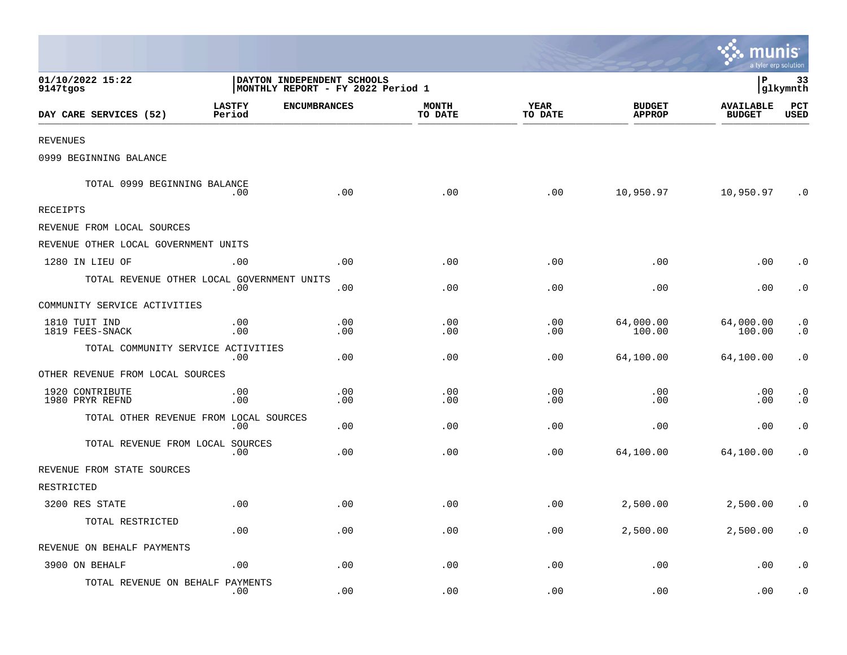|                                            |                         |                                                                 |                         |                        |                                | <b>W. munis</b><br>a tyler erp solution |                        |
|--------------------------------------------|-------------------------|-----------------------------------------------------------------|-------------------------|------------------------|--------------------------------|-----------------------------------------|------------------------|
| 01/10/2022 15:22<br>9147tgos               |                         | DAYTON INDEPENDENT SCHOOLS<br>MONTHLY REPORT - FY 2022 Period 1 |                         |                        |                                | l P                                     | 33<br> glkymnth        |
| DAY CARE SERVICES (52)                     | <b>LASTFY</b><br>Period | <b>ENCUMBRANCES</b>                                             | <b>MONTH</b><br>TO DATE | <b>YEAR</b><br>TO DATE | <b>BUDGET</b><br><b>APPROP</b> | <b>AVAILABLE</b><br><b>BUDGET</b>       | PCT<br><b>USED</b>     |
| <b>REVENUES</b>                            |                         |                                                                 |                         |                        |                                |                                         |                        |
| 0999 BEGINNING BALANCE                     |                         |                                                                 |                         |                        |                                |                                         |                        |
| TOTAL 0999 BEGINNING BALANCE               | .00                     | .00                                                             | .00                     | .00                    | 10,950.97                      | 10,950.97                               | $\cdot$ 0              |
| RECEIPTS                                   |                         |                                                                 |                         |                        |                                |                                         |                        |
| REVENUE FROM LOCAL SOURCES                 |                         |                                                                 |                         |                        |                                |                                         |                        |
| REVENUE OTHER LOCAL GOVERNMENT UNITS       |                         |                                                                 |                         |                        |                                |                                         |                        |
| 1280 IN LIEU OF                            | .00                     | .00                                                             | .00                     | .00                    | .00                            | .00                                     | $\cdot$ 0              |
| TOTAL REVENUE OTHER LOCAL GOVERNMENT UNITS | .00                     | .00                                                             | .00                     | .00                    | .00                            | .00                                     | $\cdot$ 0              |
| COMMUNITY SERVICE ACTIVITIES               |                         |                                                                 |                         |                        |                                |                                         |                        |
| 1810 TUIT IND<br>1819 FEES-SNACK           | .00<br>.00              | .00<br>.00                                                      | .00<br>$.00 \,$         | .00<br>.00             | 64,000.00<br>100.00            | 64,000.00<br>100.00                     | $\cdot$ 0<br>$\cdot$ 0 |
| TOTAL COMMUNITY SERVICE ACTIVITIES         | .00                     | .00                                                             | .00                     | .00                    | 64,100.00                      | 64,100.00                               | $\cdot$ 0              |
| OTHER REVENUE FROM LOCAL SOURCES           |                         |                                                                 |                         |                        |                                |                                         |                        |
| 1920 CONTRIBUTE<br>1980 PRYR REFND         | .00<br>.00              | .00<br>.00                                                      | .00<br>.00              | .00<br>.00             | .00<br>.00                     | .00<br>.00                              | $\cdot$ 0<br>$\cdot$ 0 |
| TOTAL OTHER REVENUE FROM LOCAL SOURCES     | .00                     | .00                                                             | .00                     | .00                    | .00                            | .00                                     | $\cdot$ 0              |
| TOTAL REVENUE FROM LOCAL SOURCES           | .00                     | .00                                                             | .00                     | .00                    | 64,100.00                      | 64,100.00                               | $\cdot$ 0              |
| REVENUE FROM STATE SOURCES                 |                         |                                                                 |                         |                        |                                |                                         |                        |
| RESTRICTED                                 |                         |                                                                 |                         |                        |                                |                                         |                        |
| 3200 RES STATE                             | .00                     | .00                                                             | .00                     | .00                    | 2,500.00                       | 2,500.00                                | $\cdot$ 0              |
| TOTAL RESTRICTED                           | .00                     | .00                                                             | .00                     | .00                    | 2,500.00                       | 2,500.00                                | $\cdot$ 0              |
| REVENUE ON BEHALF PAYMENTS                 |                         |                                                                 |                         |                        |                                |                                         |                        |
| 3900 ON BEHALF                             | .00                     | .00                                                             | .00                     | .00                    | .00                            | .00                                     | $\cdot$ 0              |
| TOTAL REVENUE ON BEHALF PAYMENTS           | .00                     | .00                                                             | .00                     | .00                    | .00                            | .00                                     | $\cdot$ 0              |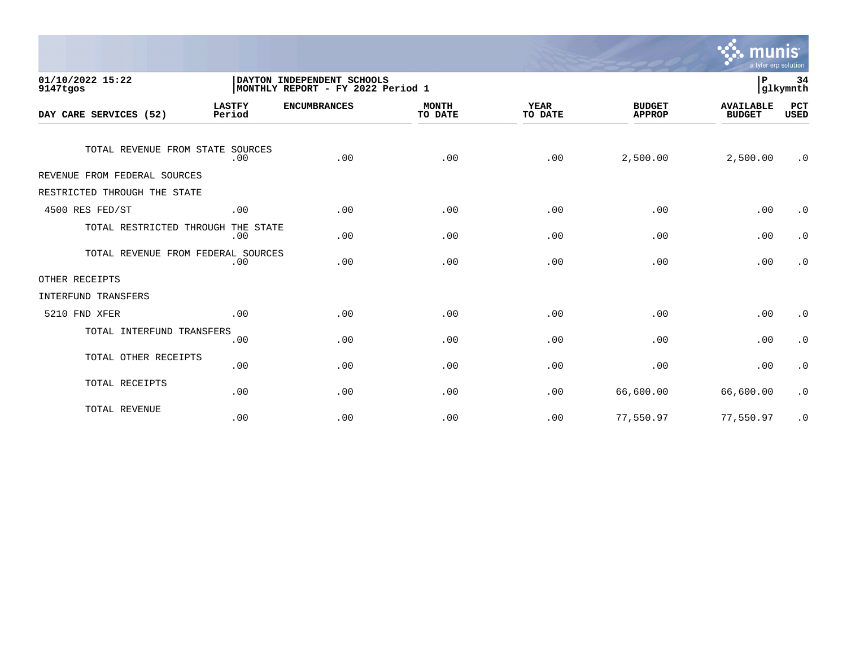

| 01/10/2022 15:22<br>9147tgos       |                         | DAYTON INDEPENDENT SCHOOLS<br>MONTHLY REPORT - FY 2022 Period 1 |                         |                        |                                | 34<br>ΙP<br>glkymnth              |                    |
|------------------------------------|-------------------------|-----------------------------------------------------------------|-------------------------|------------------------|--------------------------------|-----------------------------------|--------------------|
| DAY CARE SERVICES (52)             | <b>LASTFY</b><br>Period | <b>ENCUMBRANCES</b>                                             | <b>MONTH</b><br>TO DATE | <b>YEAR</b><br>TO DATE | <b>BUDGET</b><br><b>APPROP</b> | <b>AVAILABLE</b><br><b>BUDGET</b> | PCT<br><b>USED</b> |
| TOTAL REVENUE FROM STATE SOURCES   | .00                     | .00                                                             | .00                     | .00                    | 2,500.00                       | 2,500.00                          | $\cdot$ 0          |
| REVENUE FROM FEDERAL SOURCES       |                         |                                                                 |                         |                        |                                |                                   |                    |
| RESTRICTED THROUGH THE STATE       |                         |                                                                 |                         |                        |                                |                                   |                    |
| 4500 RES FED/ST                    | .00                     | .00                                                             | .00                     | .00                    | .00                            | .00                               | $\cdot$ 0          |
| TOTAL RESTRICTED THROUGH THE STATE | .00                     | .00                                                             | .00                     | .00                    | .00                            | .00                               | $\cdot$ 0          |
| TOTAL REVENUE FROM FEDERAL SOURCES | .00                     | .00                                                             | .00                     | .00                    | .00                            | .00                               | $\cdot$ 0          |
| OTHER RECEIPTS                     |                         |                                                                 |                         |                        |                                |                                   |                    |
| INTERFUND TRANSFERS                |                         |                                                                 |                         |                        |                                |                                   |                    |
| 5210 FND XFER                      | .00                     | .00                                                             | .00                     | .00                    | .00                            | .00                               | $\cdot$ 0          |
| TOTAL INTERFUND TRANSFERS          | .00                     | .00                                                             | .00                     | .00                    | .00                            | .00                               | $\cdot$ 0          |
| TOTAL OTHER RECEIPTS               | .00                     | .00                                                             | .00                     | .00                    | .00                            | .00                               | $\cdot$ 0          |
| TOTAL RECEIPTS                     | .00                     | .00                                                             | .00                     | .00                    | 66,600.00                      | 66,600.00                         | $\cdot$ 0          |
| TOTAL REVENUE                      | .00                     | .00                                                             | .00                     | .00                    | 77,550.97                      | 77,550.97                         | $\cdot$ 0          |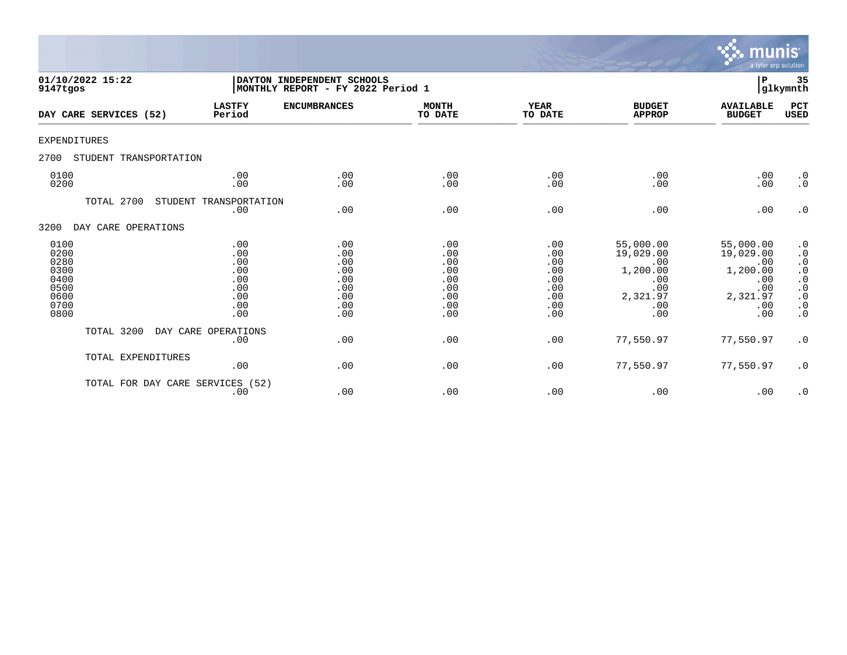

| 01/10/2022 15:22<br>9147tgos                                         |                                                             | DAYTON INDEPENDENT SCHOOLS<br>MONTHLY REPORT - FY 2022 Period 1 |                                                             |                                                             |                                                                                   |                                                                                   |                                                                                                                   |  |
|----------------------------------------------------------------------|-------------------------------------------------------------|-----------------------------------------------------------------|-------------------------------------------------------------|-------------------------------------------------------------|-----------------------------------------------------------------------------------|-----------------------------------------------------------------------------------|-------------------------------------------------------------------------------------------------------------------|--|
| DAY CARE SERVICES (52)                                               | <b>LASTFY</b><br>Period                                     | <b>ENCUMBRANCES</b>                                             | <b>MONTH</b><br>TO DATE                                     | <b>YEAR</b><br>TO DATE                                      | <b>BUDGET</b><br><b>APPROP</b>                                                    | <b>AVAILABLE</b><br><b>BUDGET</b>                                                 | PCT<br><b>USED</b>                                                                                                |  |
| <b>EXPENDITURES</b>                                                  |                                                             |                                                                 |                                                             |                                                             |                                                                                   |                                                                                   |                                                                                                                   |  |
| 2700<br>STUDENT TRANSPORTATION                                       |                                                             |                                                                 |                                                             |                                                             |                                                                                   |                                                                                   |                                                                                                                   |  |
| 0100<br>0200                                                         | .00<br>.00                                                  | .00<br>.00                                                      | .00<br>.00                                                  | .00<br>.00                                                  | .00<br>.00                                                                        | .00<br>.00                                                                        | $\cdot$ 0<br>$\cdot$ 0                                                                                            |  |
| TOTAL 2700                                                           | STUDENT TRANSPORTATION<br>.00                               | .00                                                             | .00                                                         | .00                                                         | .00                                                                               | .00                                                                               | $\cdot$ 0                                                                                                         |  |
| DAY CARE OPERATIONS<br>3200                                          |                                                             |                                                                 |                                                             |                                                             |                                                                                   |                                                                                   |                                                                                                                   |  |
| 0100<br>0200<br>0280<br>0300<br>0400<br>0500<br>0600<br>0700<br>0800 | .00<br>.00<br>.00<br>.00<br>.00<br>.00<br>.00<br>.00<br>.00 | .00<br>.00<br>.00<br>.00<br>.00<br>.00<br>.00<br>.00<br>.00     | .00<br>.00<br>.00<br>.00<br>.00<br>.00<br>.00<br>.00<br>.00 | .00<br>.00<br>.00<br>.00<br>.00<br>.00<br>.00<br>.00<br>.00 | 55,000.00<br>19,029.00<br>.00<br>1,200.00<br>.00<br>.00<br>2,321.97<br>.00<br>.00 | 55,000.00<br>19,029.00<br>.00<br>1,200.00<br>.00<br>.00<br>2,321.97<br>.00<br>.00 | $\cdot$ 0<br>$\cdot$ 0<br>$\cdot$ 0<br>$\cdot$ 0<br>$\cdot$ 0<br>$\cdot$ 0<br>$\cdot$ 0<br>$\cdot$ 0<br>$\cdot$ 0 |  |
| TOTAL 3200                                                           | DAY CARE OPERATIONS<br>.00                                  | .00                                                             | .00                                                         | .00                                                         | 77,550.97                                                                         | 77,550.97                                                                         | $\cdot$ 0                                                                                                         |  |
| TOTAL EXPENDITURES                                                   | .00                                                         | .00                                                             | .00                                                         | .00                                                         | 77,550.97                                                                         | 77,550.97                                                                         | $\cdot$ 0                                                                                                         |  |
| TOTAL FOR DAY CARE SERVICES (52)                                     | .00                                                         | .00                                                             | .00                                                         | .00                                                         | .00                                                                               | .00                                                                               | $\cdot$ 0                                                                                                         |  |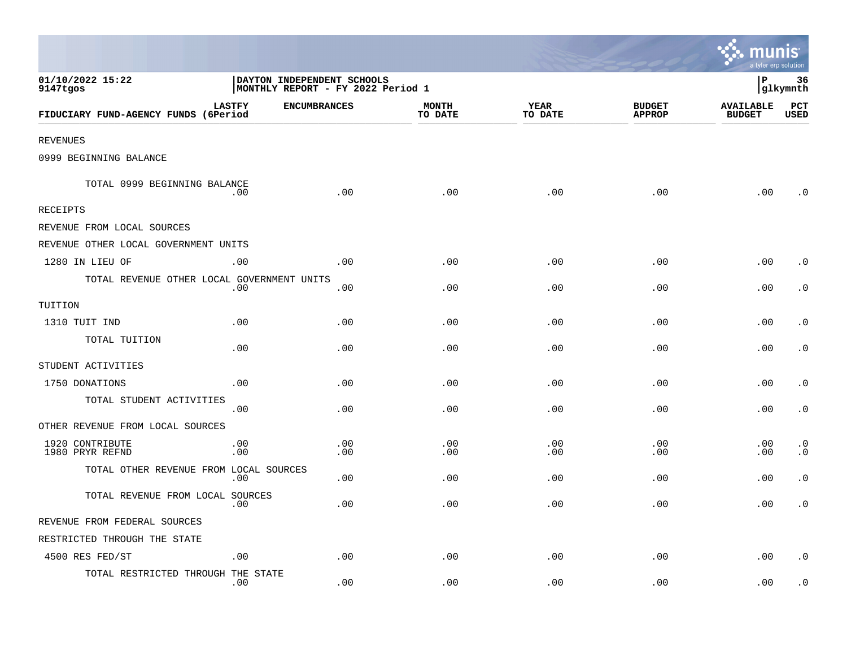|                                            |               |                                                                 |                         |                        |                                | munis<br>a tyler erp solution     |                        |
|--------------------------------------------|---------------|-----------------------------------------------------------------|-------------------------|------------------------|--------------------------------|-----------------------------------|------------------------|
| 01/10/2022 15:22<br>9147tgos               |               | DAYTON INDEPENDENT SCHOOLS<br>MONTHLY REPORT - FY 2022 Period 1 |                         |                        |                                | lР                                | 36<br>glkymnth         |
| FIDUCIARY FUND-AGENCY FUNDS (6Period       | <b>LASTFY</b> | <b>ENCUMBRANCES</b>                                             | <b>MONTH</b><br>TO DATE | <b>YEAR</b><br>TO DATE | <b>BUDGET</b><br><b>APPROP</b> | <b>AVAILABLE</b><br><b>BUDGET</b> | PCT<br><b>USED</b>     |
| <b>REVENUES</b>                            |               |                                                                 |                         |                        |                                |                                   |                        |
| 0999 BEGINNING BALANCE                     |               |                                                                 |                         |                        |                                |                                   |                        |
| TOTAL 0999 BEGINNING BALANCE               | .00           | .00                                                             | .00                     | .00                    | .00                            | .00                               | . 0                    |
| <b>RECEIPTS</b>                            |               |                                                                 |                         |                        |                                |                                   |                        |
| REVENUE FROM LOCAL SOURCES                 |               |                                                                 |                         |                        |                                |                                   |                        |
| REVENUE OTHER LOCAL GOVERNMENT UNITS       |               |                                                                 |                         |                        |                                |                                   |                        |
| 1280 IN LIEU OF                            | .00           | .00                                                             | .00                     | .00                    | .00                            | .00                               | $\cdot$ 0              |
| TOTAL REVENUE OTHER LOCAL GOVERNMENT UNITS | .00           | .00                                                             | .00                     | .00                    | .00                            | .00                               | $\cdot$ 0              |
| TUITION                                    |               |                                                                 |                         |                        |                                |                                   |                        |
| 1310 TUIT IND                              | .00           | .00                                                             | .00                     | .00                    | .00                            | .00                               | $\cdot$ 0              |
| TOTAL TUITION                              | .00           | .00                                                             | .00                     | .00                    | .00                            | .00                               | $\cdot$ 0              |
| STUDENT ACTIVITIES                         |               |                                                                 |                         |                        |                                |                                   |                        |
| 1750 DONATIONS                             | .00           | .00                                                             | .00                     | .00                    | .00                            | .00                               | $\cdot$ 0              |
| TOTAL STUDENT ACTIVITIES                   | .00           | .00                                                             | .00                     | .00                    | .00                            | .00                               | $\cdot$ 0              |
| OTHER REVENUE FROM LOCAL SOURCES           |               |                                                                 |                         |                        |                                |                                   |                        |
| 1920 CONTRIBUTE<br>1980 PRYR REFND         | .00<br>.00    | .00<br>.00                                                      | .00<br>.00              | .00<br>.00             | .00<br>.00                     | .00<br>.00                        | $\cdot$ 0<br>$\cdot$ 0 |
| TOTAL OTHER REVENUE FROM LOCAL SOURCES     | .00           | .00                                                             | .00                     | .00                    | .00                            | .00                               | $\cdot$ 0              |
| TOTAL REVENUE FROM LOCAL SOURCES           | .00           | .00                                                             | .00                     | .00                    | .00                            | .00                               | $\cdot$ 0              |
| REVENUE FROM FEDERAL SOURCES               |               |                                                                 |                         |                        |                                |                                   |                        |
| RESTRICTED THROUGH THE STATE               |               |                                                                 |                         |                        |                                |                                   |                        |
| 4500 RES FED/ST                            | .00           | .00                                                             | .00                     | .00                    | .00                            | .00                               | $\cdot$ 0              |
| TOTAL RESTRICTED THROUGH THE STATE         | .00           | .00                                                             | .00                     | .00                    | .00                            | .00                               | $\cdot$ 0              |

the contract of the contract of the contract of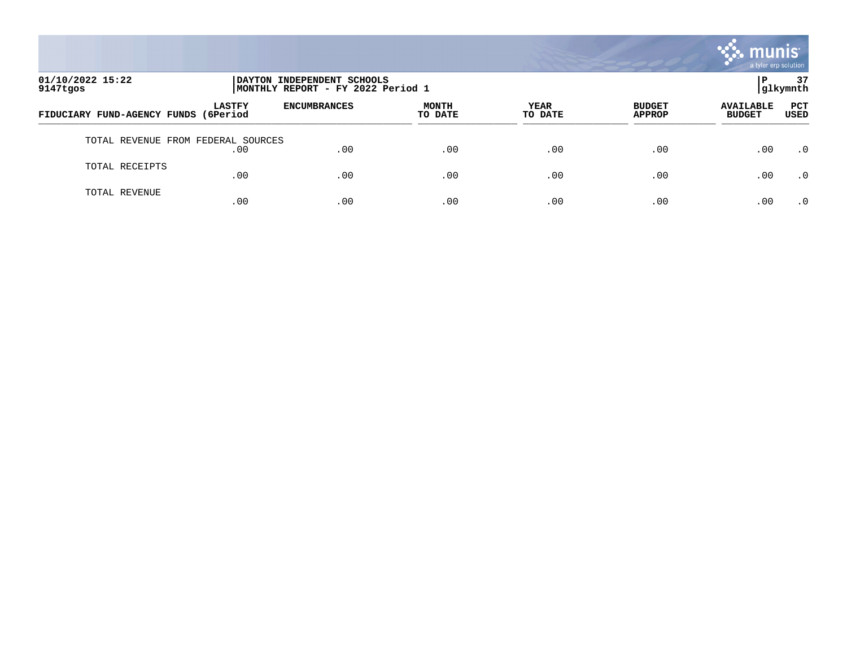

| 01/10/2022 15:22<br>9147tgos       | INDEPENDENT SCHOOLS<br>DAYTON  <br>MONTHLY REPORT - FY 2022 Period 1 |                     |                         |                        |                                |                                   | 37<br> glkymnth |
|------------------------------------|----------------------------------------------------------------------|---------------------|-------------------------|------------------------|--------------------------------|-----------------------------------|-----------------|
| FIDUCIARY FUND-AGENCY FUNDS        | <b>LASTFY</b><br>(6Period                                            | <b>ENCUMBRANCES</b> | <b>MONTH</b><br>TO DATE | <b>YEAR</b><br>TO DATE | <b>BUDGET</b><br><b>APPROP</b> | <b>AVAILABLE</b><br><b>BUDGET</b> | PCT<br>USED     |
| TOTAL REVENUE FROM FEDERAL SOURCES | .00                                                                  | .00                 | .00                     | .00                    | .00                            | .00                               | $\cdot$ 0       |
| TOTAL RECEIPTS                     | .00                                                                  | .00                 | .00                     | .00                    | .00                            | .00                               | $\cdot$ 0       |
| TOTAL REVENUE                      | .00                                                                  | .00                 | .00                     | .00                    | .00                            | .00                               | $\cdot$ 0       |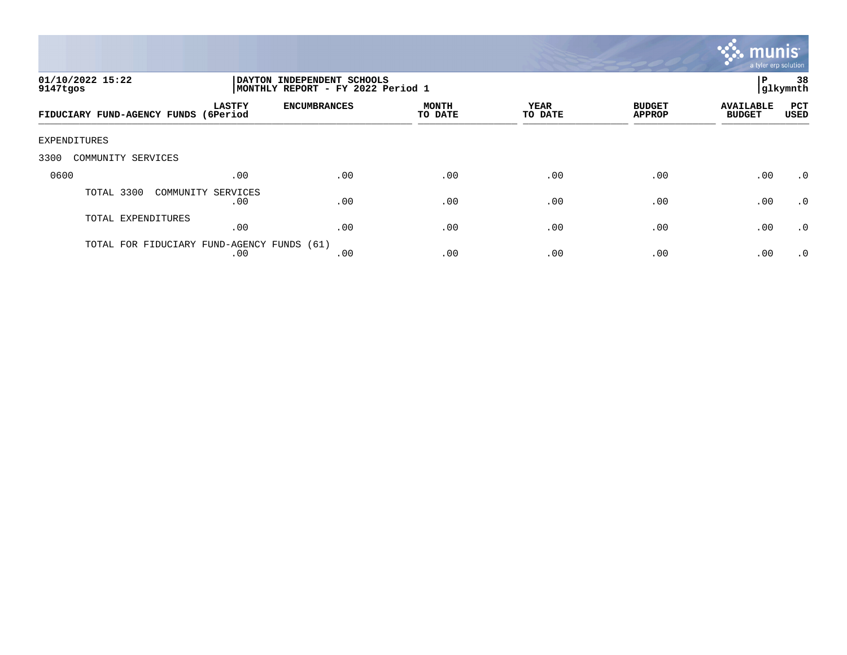

| 01/10/2022 15:22<br>9147tgos         |                                                   | DAYTON INDEPENDENT SCHOOLS<br>MONTHLY REPORT - FY 2022 Period 1 |                         |                        |                                | 38<br>P<br> glkymnth              |             |
|--------------------------------------|---------------------------------------------------|-----------------------------------------------------------------|-------------------------|------------------------|--------------------------------|-----------------------------------|-------------|
| FIDUCIARY FUND-AGENCY FUNDS (6Period | <b>LASTFY</b>                                     | <b>ENCUMBRANCES</b>                                             | <b>MONTH</b><br>TO DATE | <b>YEAR</b><br>TO DATE | <b>BUDGET</b><br><b>APPROP</b> | <b>AVAILABLE</b><br><b>BUDGET</b> | PCT<br>USED |
| EXPENDITURES                         |                                                   |                                                                 |                         |                        |                                |                                   |             |
| 3300<br>COMMUNITY SERVICES           |                                                   |                                                                 |                         |                        |                                |                                   |             |
| 0600                                 | .00                                               | .00                                                             | .00                     | .00                    | .00                            | .00                               | .0          |
| TOTAL 3300                           | COMMUNITY SERVICES<br>.00                         | .00                                                             | .00                     | .00                    | .00                            | .00                               | $\cdot$ 0   |
| TOTAL EXPENDITURES                   | .00                                               | .00                                                             | .00                     | .00                    | .00                            | .00                               | $\cdot$ 0   |
|                                      | TOTAL FOR FIDUCIARY FUND-AGENCY FUNDS (61)<br>.00 | .00                                                             | .00                     | .00                    | .00                            | .00                               | $\cdot$ 0   |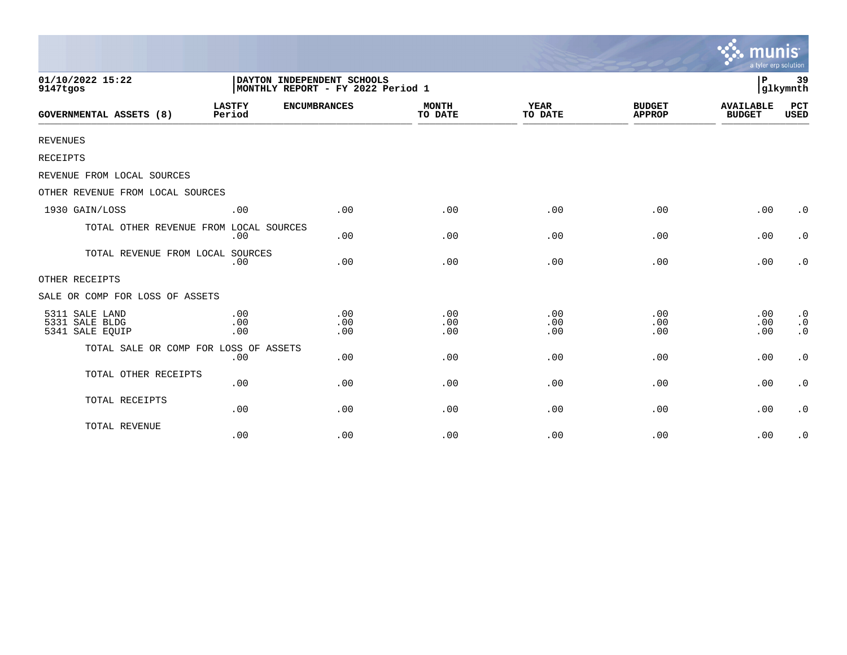|                                                     |                                                                 |                                                |                   |                        |                                | munis<br>a tyler erp solution     |                                                  |
|-----------------------------------------------------|-----------------------------------------------------------------|------------------------------------------------|-------------------|------------------------|--------------------------------|-----------------------------------|--------------------------------------------------|
| 01/10/2022 15:22<br>9147tgos                        | DAYTON INDEPENDENT SCHOOLS<br>MONTHLY REPORT - FY 2022 Period 1 |                                                |                   |                        |                                | l P<br>39<br>glkymnth             |                                                  |
| GOVERNMENTAL ASSETS (8)                             | <b>LASTFY</b><br>Period                                         | <b>ENCUMBRANCES</b><br><b>MONTH</b><br>TO DATE |                   | <b>YEAR</b><br>TO DATE | <b>BUDGET</b><br><b>APPROP</b> | <b>AVAILABLE</b><br><b>BUDGET</b> | <b>PCT</b><br><b>USED</b>                        |
| <b>REVENUES</b>                                     |                                                                 |                                                |                   |                        |                                |                                   |                                                  |
| RECEIPTS                                            |                                                                 |                                                |                   |                        |                                |                                   |                                                  |
| REVENUE FROM LOCAL SOURCES                          |                                                                 |                                                |                   |                        |                                |                                   |                                                  |
| OTHER REVENUE FROM LOCAL SOURCES                    |                                                                 |                                                |                   |                        |                                |                                   |                                                  |
| 1930 GAIN/LOSS                                      | .00                                                             | .00                                            | .00               | .00                    | .00                            | .00                               | $\cdot$ 0                                        |
| TOTAL OTHER REVENUE FROM LOCAL SOURCES              | .00                                                             | .00                                            | .00               | .00                    | .00                            | .00                               | $\cdot$ 0                                        |
| TOTAL REVENUE FROM LOCAL                            | SOURCES<br>.00                                                  | .00                                            | .00               | .00                    | .00                            | .00                               | $\cdot$ 0                                        |
| OTHER RECEIPTS                                      |                                                                 |                                                |                   |                        |                                |                                   |                                                  |
| SALE OR COMP FOR LOSS OF ASSETS                     |                                                                 |                                                |                   |                        |                                |                                   |                                                  |
| 5311 SALE LAND<br>5331 SALE BLDG<br>5341 SALE EQUIP | .00<br>.00<br>.00                                               | .00<br>.00<br>.00                              | .00<br>.00<br>.00 | .00<br>.00<br>.00      | .00<br>.00<br>.00              | .00<br>.00<br>.00                 | $\cdot$ 0<br>$\boldsymbol{\cdot}$ 0<br>$\cdot$ 0 |
| TOTAL SALE OR COMP FOR LOSS OF ASSETS               | .00                                                             | .00                                            | .00               | .00                    | .00                            | .00                               | $\cdot$ 0                                        |
| TOTAL OTHER RECEIPTS                                | .00                                                             | .00                                            | .00               | .00                    | .00                            | .00                               | $\cdot$ 0                                        |
| TOTAL RECEIPTS                                      | .00                                                             | .00                                            | .00               | .00                    | .00                            | .00                               | $\cdot$ 0                                        |
| TOTAL REVENUE                                       | .00                                                             | .00                                            | .00               | .00                    | .00                            | .00                               | $\cdot$ 0                                        |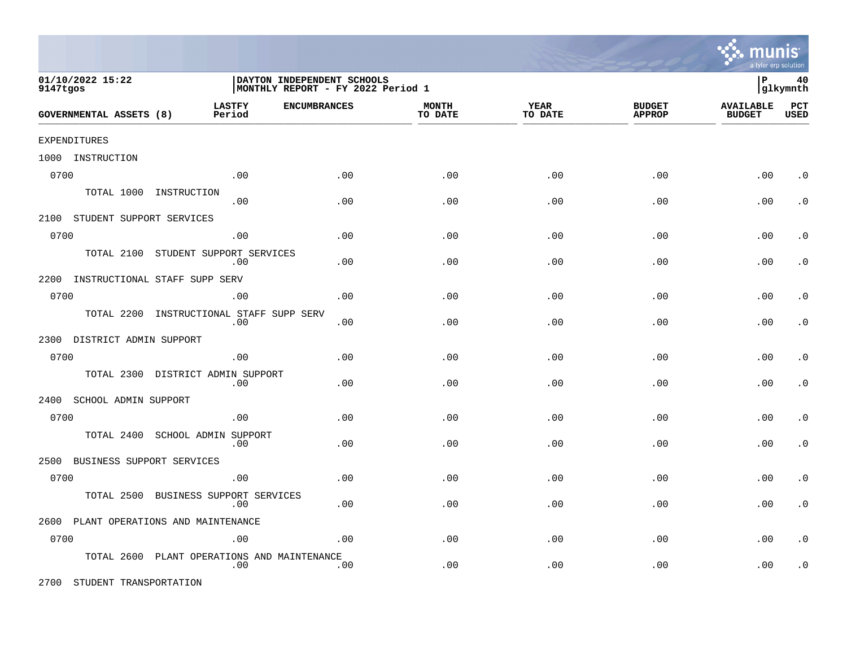|          |                                |                                  |     |                                                                  |                         |                 |                                | a tyler erp solution              |                    |
|----------|--------------------------------|----------------------------------|-----|------------------------------------------------------------------|-------------------------|-----------------|--------------------------------|-----------------------------------|--------------------|
| 9147tgos | 01/10/2022 15:22               |                                  |     | DAYTON INDEPENDENT SCHOOLS<br> MONTHLY REPORT - FY 2022 Period 1 |                         |                 |                                | lР                                | 40<br> glkymnth    |
|          | <b>GOVERNMENTAL ASSETS (8)</b> | <b>LASTFY</b><br>Period          |     | <b>ENCUMBRANCES</b>                                              | <b>MONTH</b><br>TO DATE | YEAR<br>TO DATE | <b>BUDGET</b><br><b>APPROP</b> | <b>AVAILABLE</b><br><b>BUDGET</b> | PCT<br><b>USED</b> |
|          | <b>EXPENDITURES</b>            |                                  |     |                                                                  |                         |                 |                                |                                   |                    |
|          | 1000 INSTRUCTION               |                                  |     |                                                                  |                         |                 |                                |                                   |                    |
| 0700     |                                |                                  | .00 | .00                                                              | .00                     | .00             | .00                            | .00                               | . 0                |
|          | TOTAL 1000                     | INSTRUCTION                      | .00 | .00                                                              | .00                     | .00             | .00                            | .00                               | $\cdot$ 0          |
|          | 2100 STUDENT SUPPORT SERVICES  |                                  |     |                                                                  |                         |                 |                                |                                   |                    |
| 0700     |                                |                                  | .00 | .00                                                              | .00                     | .00             | .00                            | .00                               | $\cdot$ 0          |
|          | TOTAL 2100                     | STUDENT SUPPORT SERVICES         | .00 | .00                                                              | .00                     | .00             | .00                            | .00                               | $\cdot$ 0          |
| 2200     |                                | INSTRUCTIONAL STAFF SUPP SERV    |     |                                                                  |                         |                 |                                |                                   |                    |
| 0700     |                                |                                  | .00 | .00                                                              | .00                     | .00             | .00                            | .00                               | $\cdot$ 0          |
|          | TOTAL 2200                     | INSTRUCTIONAL STAFF SUPP SERV    | .00 | .00                                                              | .00                     | .00             | .00                            | .00                               | $\cdot$ 0          |
| 2300     | DISTRICT ADMIN SUPPORT         |                                  |     |                                                                  |                         |                 |                                |                                   |                    |
| 0700     |                                |                                  | .00 | .00                                                              | .00                     | .00             | .00                            | .00                               | $\cdot$ 0          |
|          | TOTAL 2300                     | DISTRICT ADMIN SUPPORT           | .00 | .00                                                              | .00                     | .00             | .00                            | .00                               | $\cdot$ 0          |
| 2400     | SCHOOL ADMIN SUPPORT           |                                  |     |                                                                  |                         |                 |                                |                                   |                    |
| 0700     |                                |                                  | .00 | .00                                                              | .00                     | .00             | .00                            | .00                               | $\cdot$ 0          |
|          | TOTAL 2400                     | SCHOOL ADMIN SUPPORT             | .00 | .00                                                              | .00                     | .00             | .00                            | .00                               | $\cdot$ 0          |
| 2500     | BUSINESS SUPPORT SERVICES      |                                  |     |                                                                  |                         |                 |                                |                                   |                    |
| 0700     |                                |                                  | .00 | .00                                                              | .00                     | .00             | .00                            | .00                               | $\cdot$ 0          |
|          | TOTAL 2500                     | BUSINESS SUPPORT SERVICES        | .00 | .00                                                              | .00                     | .00             | .00                            | .00                               | $\cdot$ 0          |
| 2600     |                                | PLANT OPERATIONS AND MAINTENANCE |     |                                                                  |                         |                 |                                |                                   |                    |
| 0700     |                                |                                  | .00 | .00                                                              | .00                     | .00             | .00                            | .00                               | $\cdot$ 0          |
|          | TOTAL 2600                     | PLANT OPERATIONS AND MAINTENANCE | .00 | .00                                                              | .00                     | .00             | .00                            | .00                               | $\cdot$ 0          |

2700 STUDENT TRANSPORTATION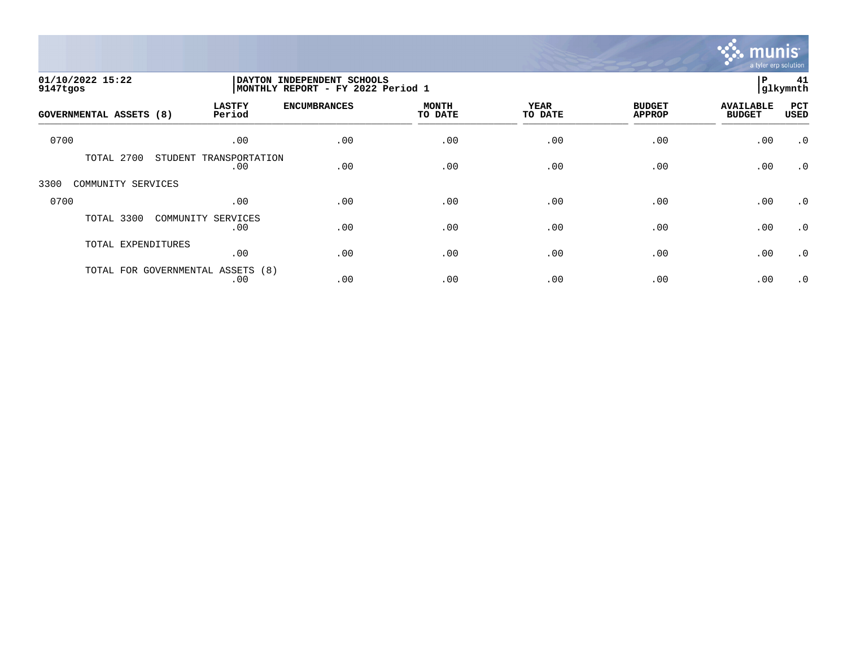

| 01/10/2022 15:22<br>9147tgos |                                          | <b>DAYTON</b><br>INDEPENDENT SCHOOLS<br>MONTHLY REPORT - FY 2022 Period 1 |                         |                        |                                |                                   |                    |
|------------------------------|------------------------------------------|---------------------------------------------------------------------------|-------------------------|------------------------|--------------------------------|-----------------------------------|--------------------|
| GOVERNMENTAL ASSETS (8)      | <b>LASTFY</b><br>Period                  | <b>ENCUMBRANCES</b>                                                       | <b>MONTH</b><br>TO DATE | <b>YEAR</b><br>TO DATE | <b>BUDGET</b><br><b>APPROP</b> | <b>AVAILABLE</b><br><b>BUDGET</b> | PCT<br><b>USED</b> |
| 0700                         | .00                                      | .00                                                                       | .00                     | .00                    | .00                            | .00                               | $\cdot$ 0          |
| 2700<br>TOTAL                | STUDENT TRANSPORTATION<br>.00            | .00                                                                       | .00                     | .00                    | .00                            | .00                               | $\cdot$ 0          |
| 3300<br>COMMUNITY SERVICES   |                                          |                                                                           |                         |                        |                                |                                   |                    |
| 0700                         | .00                                      | .00                                                                       | .00                     | .00                    | .00                            | .00                               | $\cdot$ 0          |
| TOTAL 3300                   | COMMUNITY<br>SERVICES<br>.00             | .00                                                                       | .00                     | .00                    | .00                            | .00                               | .0                 |
| TOTAL EXPENDITURES           | .00                                      | .00                                                                       | .00                     | .00                    | .00                            | .00                               | $\cdot$ 0          |
|                              | TOTAL FOR GOVERNMENTAL ASSETS (8)<br>.00 | .00                                                                       | .00                     | .00                    | .00                            | .00                               | $\cdot$ 0          |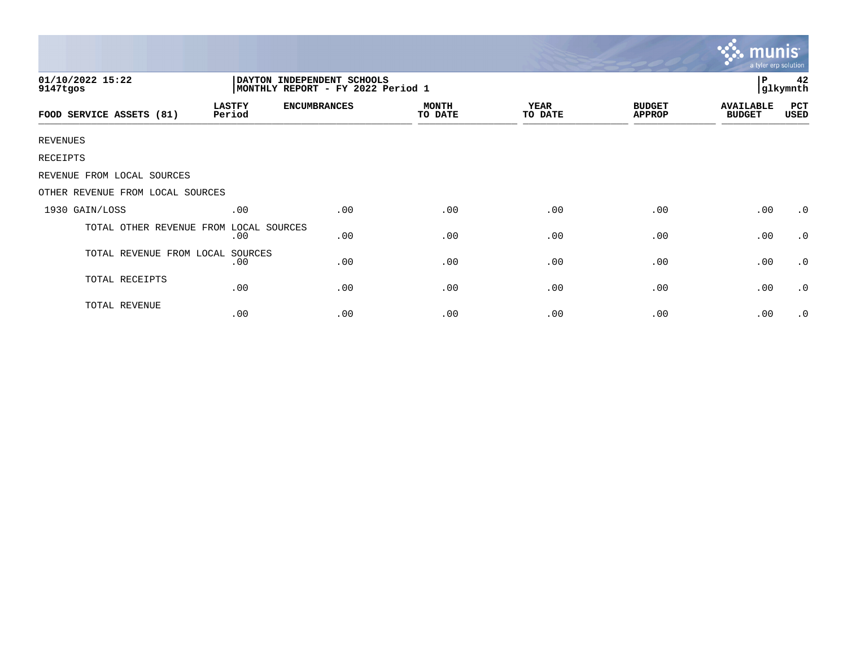|                                                                                                  |                         |                     |                         |                        |                                | munis<br>a tyler erp solution     |             |
|--------------------------------------------------------------------------------------------------|-------------------------|---------------------|-------------------------|------------------------|--------------------------------|-----------------------------------|-------------|
| 01/10/2022 15:22<br>DAYTON INDEPENDENT SCHOOLS<br>9147tgos<br> MONTHLY REPORT - FY 2022 Period 1 |                         |                     |                         |                        |                                |                                   |             |
| FOOD SERVICE ASSETS (81)                                                                         | <b>LASTFY</b><br>Period | <b>ENCUMBRANCES</b> | <b>MONTH</b><br>TO DATE | <b>YEAR</b><br>TO DATE | <b>BUDGET</b><br><b>APPROP</b> | <b>AVAILABLE</b><br><b>BUDGET</b> | PCT<br>USED |
| <b>REVENUES</b>                                                                                  |                         |                     |                         |                        |                                |                                   |             |
| RECEIPTS                                                                                         |                         |                     |                         |                        |                                |                                   |             |
| REVENUE FROM LOCAL SOURCES                                                                       |                         |                     |                         |                        |                                |                                   |             |
| OTHER REVENUE FROM LOCAL SOURCES                                                                 |                         |                     |                         |                        |                                |                                   |             |
| 1930 GAIN/LOSS                                                                                   | .00                     | .00                 | .00                     | .00                    | .00                            | .00                               | $\cdot$ 0   |
| TOTAL OTHER REVENUE FROM LOCAL SOURCES                                                           | .00                     | .00                 | .00                     | .00                    | .00                            | .00                               | .0          |
| TOTAL REVENUE FROM LOCAL SOURCES                                                                 | .00                     | .00                 | .00                     | .00                    | .00                            | .00                               | .0          |
| TOTAL RECEIPTS                                                                                   | .00                     | .00                 | .00                     | .00                    | .00                            | .00                               | $\cdot$ 0   |
| TOTAL REVENUE                                                                                    | .00                     | .00                 | .00                     | .00                    | .00                            | .00                               | $\cdot$ 0   |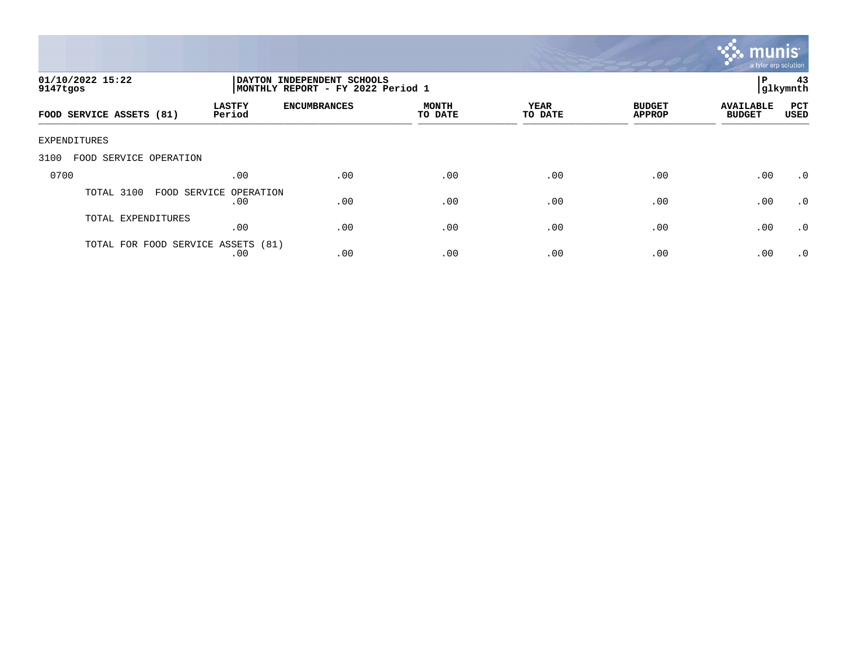

| 01/10/2022 15:22<br>9147tgos   |                                           | P<br>DAYTON INDEPENDENT SCHOOLS<br> glkymnth<br>MONTHLY REPORT - FY 2022 Period 1 |                         |                 |                                |                                   |                    |
|--------------------------------|-------------------------------------------|-----------------------------------------------------------------------------------|-------------------------|-----------------|--------------------------------|-----------------------------------|--------------------|
| FOOD SERVICE ASSETS (81)       | <b>LASTFY</b><br>Period                   | <b>ENCUMBRANCES</b>                                                               | <b>MONTH</b><br>TO DATE | YEAR<br>TO DATE | <b>BUDGET</b><br><b>APPROP</b> | <b>AVAILABLE</b><br><b>BUDGET</b> | PCT<br><b>USED</b> |
| EXPENDITURES                   |                                           |                                                                                   |                         |                 |                                |                                   |                    |
| 3100<br>FOOD SERVICE OPERATION |                                           |                                                                                   |                         |                 |                                |                                   |                    |
| 0700                           | .00                                       | .00                                                                               | .00                     | .00             | .00                            | .00                               | $\cdot$ 0          |
| TOTAL 3100                     | FOOD SERVICE OPERATION<br>.00             | .00                                                                               | .00                     | .00             | .00                            | .00                               | $\cdot$ 0          |
| TOTAL EXPENDITURES             | .00                                       | .00                                                                               | .00                     | .00             | .00                            | .00                               | .0                 |
|                                | TOTAL FOR FOOD SERVICE ASSETS (81)<br>.00 | .00                                                                               | .00                     | .00             | .00                            | .00                               | $\cdot$ 0          |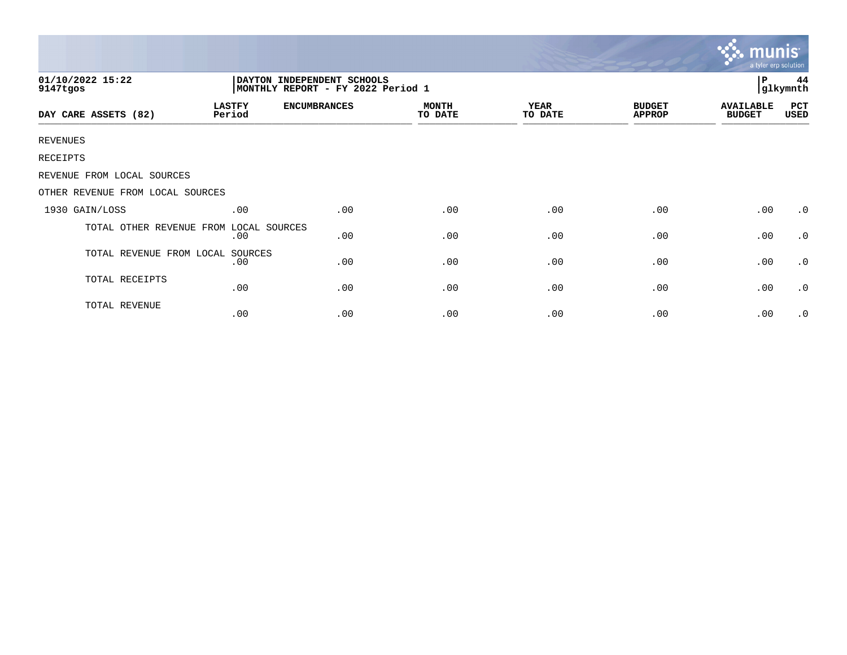|                                  |                         |                                                                 |                         |                 | <b>W. THUTHS</b><br>a tyler erp solution |                                   |                |
|----------------------------------|-------------------------|-----------------------------------------------------------------|-------------------------|-----------------|------------------------------------------|-----------------------------------|----------------|
| 01/10/2022 15:22<br>9147tgos     |                         | DAYTON INDEPENDENT SCHOOLS<br>MONTHLY REPORT - FY 2022 Period 1 |                         |                 |                                          |                                   | 44<br>glkymnth |
| DAY CARE ASSETS (82)             | <b>LASTFY</b><br>Period | <b>ENCUMBRANCES</b>                                             | <b>MONTH</b><br>TO DATE | YEAR<br>TO DATE | <b>BUDGET</b><br><b>APPROP</b>           | <b>AVAILABLE</b><br><b>BUDGET</b> | PCT<br>USED    |
| REVENUES                         |                         |                                                                 |                         |                 |                                          |                                   |                |
| RECEIPTS                         |                         |                                                                 |                         |                 |                                          |                                   |                |
| REVENUE FROM LOCAL SOURCES       |                         |                                                                 |                         |                 |                                          |                                   |                |
| OTHER REVENUE FROM LOCAL SOURCES |                         |                                                                 |                         |                 |                                          |                                   |                |
| 1930 GAIN/LOSS                   | .00                     | .00                                                             | .00                     | .00             | .00                                      | .00                               | $\cdot$ 0      |
| TOTAL OTHER REVENUE FROM         | LOCAL SOURCES<br>.00    | .00                                                             | .00                     | .00             | .00                                      | .00                               | $\cdot$ 0      |
| TOTAL REVENUE FROM LOCAL         | SOURCES<br>.00          | .00                                                             | .00                     | .00             | .00                                      | .00                               | $\cdot$ 0      |
| TOTAL RECEIPTS                   | .00                     | .00                                                             | .00                     | .00             | .00                                      | .00                               | $\cdot$ 0      |
| TOTAL REVENUE                    | .00                     | .00                                                             | .00                     | .00             | .00                                      | .00                               | $\cdot$ 0      |

 $\sim$   $\sim$   $\sim$   $\sim$   $\sim$   $\sim$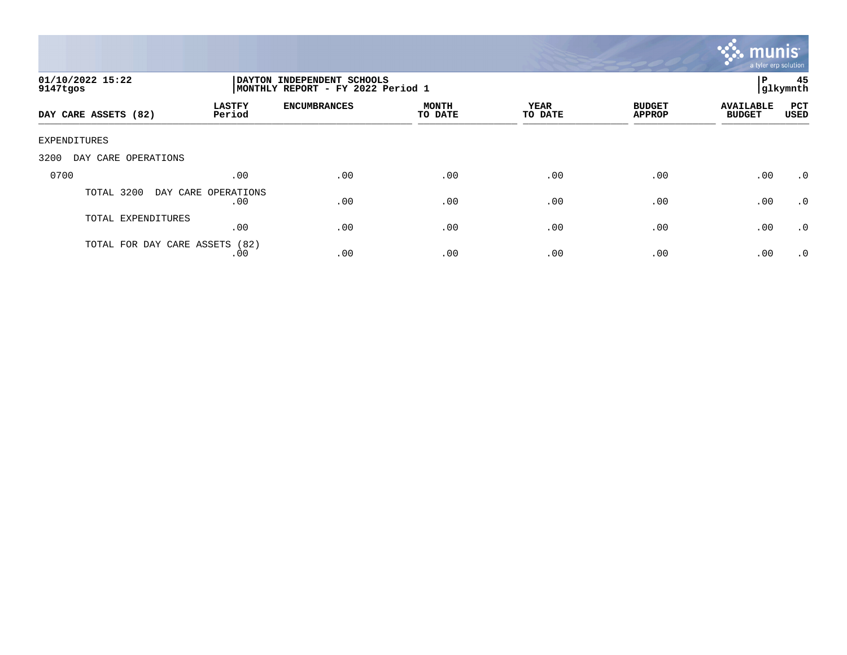

| 01/10/2022 15:22<br>9147tgos   |                            | DAYTON INDEPENDENT SCHOOLS<br>MONTHLY REPORT - FY 2022 Period 1 |                         |                 |                                |                                   |                    |
|--------------------------------|----------------------------|-----------------------------------------------------------------|-------------------------|-----------------|--------------------------------|-----------------------------------|--------------------|
| DAY CARE ASSETS (82)           | <b>LASTFY</b><br>Period    | <b>ENCUMBRANCES</b>                                             | <b>MONTH</b><br>TO DATE | YEAR<br>TO DATE | <b>BUDGET</b><br><b>APPROP</b> | <b>AVAILABLE</b><br><b>BUDGET</b> | PCT<br><b>USED</b> |
| EXPENDITURES                   |                            |                                                                 |                         |                 |                                |                                   |                    |
| 3200<br>DAY CARE OPERATIONS    |                            |                                                                 |                         |                 |                                |                                   |                    |
| 0700                           | .00                        | .00                                                             | .00                     | .00             | .00                            | .00                               | $\cdot$ 0          |
| TOTAL 3200                     | DAY CARE OPERATIONS<br>.00 | .00                                                             | .00                     | .00             | .00                            | .00                               | .0                 |
| TOTAL EXPENDITURES             | .00                        | .00                                                             | .00                     | .00             | .00                            | .00                               | .0                 |
| TOTAL FOR DAY CARE ASSETS (82) | .00                        | .00                                                             | .00                     | .00             | .00                            | .00                               | $\cdot$ 0          |